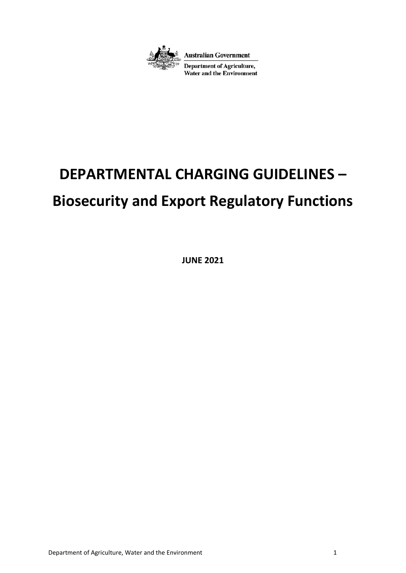

# **DEPARTMENTAL CHARGING GUIDELINES –**

# **Biosecurity and Export Regulatory Functions**

**JUNE 2021**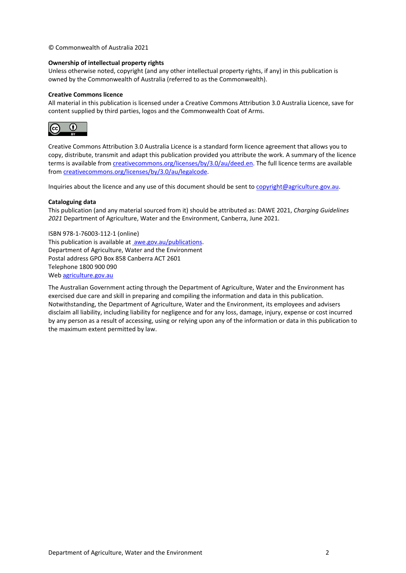© Commonwealth of Australia 2021

#### **Ownership of intellectual property rights**

Unless otherwise noted, copyright (and any other intellectual property rights, if any) in this publication is owned by the Commonwealth of Australia (referred to as the Commonwealth).

#### **Creative Commons licence**

All material in this publication is licensed under a Creative Commons Attribution 3.0 Australia Licence, save for content supplied by third parties, logos and the Commonwealth Coat of Arms.



Creative Commons Attribution 3.0 Australia Licence is a standard form licence agreement that allows you to copy, distribute, transmit and adapt this publication provided you attribute the work. A summary of the licence terms is available from creativecommons.org/licenses/by/3.0/au/deed.en. The full licence terms are available from creativecommons.org/licenses/by/3.0/au/legalcode.

Inquiries about the licence and any use of this document should be sent to copyright@agriculture.gov.au.

#### **Cataloguing data**

This publication (and any material sourced from it) should be attributed as: DAWE 2021, *Charging Guidelines 2021* Department of Agriculture, Water and the Environment, Canberra, June 2021.

ISBN 978-1-76003-112-1 (online) This publication is available at <u>awe.gov.au/publications</u>. Department of Agriculture, Water and the Environment Postal address GPO Box 858 Canberra ACT 2601 Telephone 1800 900 090 Web agriculture.gov.au

The Australian Government acting through the Department of Agriculture, Water and the Environment has exercised due care and skill in preparing and compiling the information and data in this publication. Notwithstanding, the Department of Agriculture, Water and the Environment, its employees and advisers disclaim all liability, including liability for negligence and for any loss, damage, injury, expense or cost incurred by any person as a result of accessing, using or relying upon any of the information or data in this publication to the maximum extent permitted by law.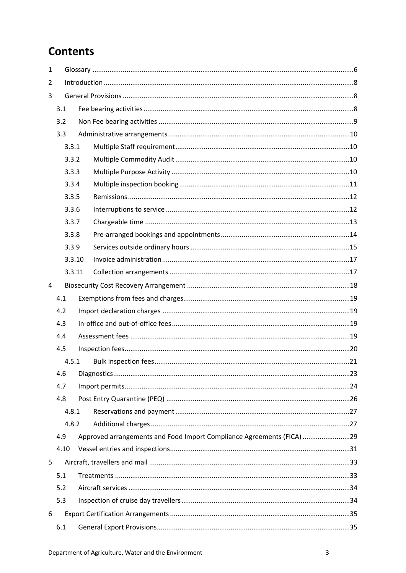# **Contents**

| $\mathbf{1}$   |       |        |                                                                       |  |  |
|----------------|-------|--------|-----------------------------------------------------------------------|--|--|
| $\overline{2}$ |       |        |                                                                       |  |  |
| 3              |       |        |                                                                       |  |  |
|                | 3.1   |        |                                                                       |  |  |
|                | 3.2   |        |                                                                       |  |  |
|                | 3.3   |        |                                                                       |  |  |
|                | 3.3.1 |        |                                                                       |  |  |
|                |       | 3.3.2  |                                                                       |  |  |
|                | 3.3.3 |        |                                                                       |  |  |
|                |       | 3.3.4  |                                                                       |  |  |
|                | 3.3.5 |        |                                                                       |  |  |
|                | 3.3.6 |        |                                                                       |  |  |
|                |       | 3.3.7  |                                                                       |  |  |
|                |       | 3.3.8  |                                                                       |  |  |
|                |       | 3.3.9  |                                                                       |  |  |
|                |       | 3.3.10 |                                                                       |  |  |
|                |       | 3.3.11 |                                                                       |  |  |
| 4              |       |        |                                                                       |  |  |
|                | 4.1   |        |                                                                       |  |  |
|                | 4.2   |        |                                                                       |  |  |
|                | 4.3   |        |                                                                       |  |  |
|                | 4.4   |        |                                                                       |  |  |
|                | 4.5   |        |                                                                       |  |  |
|                |       | 4.5.1  |                                                                       |  |  |
|                | 4.6   |        |                                                                       |  |  |
|                | 4.7   |        |                                                                       |  |  |
|                | 4.8   |        |                                                                       |  |  |
|                | 4.8.1 |        |                                                                       |  |  |
|                |       | 4.8.2  |                                                                       |  |  |
|                | 4.9   |        | Approved arrangements and Food Import Compliance Agreements (FICA) 29 |  |  |
|                | 4.10  |        |                                                                       |  |  |
| 5              |       |        |                                                                       |  |  |
|                | 5.1   |        |                                                                       |  |  |
|                | 5.2   |        |                                                                       |  |  |
|                | 5.3   |        |                                                                       |  |  |
| 6              |       |        |                                                                       |  |  |
|                | 6.1   |        |                                                                       |  |  |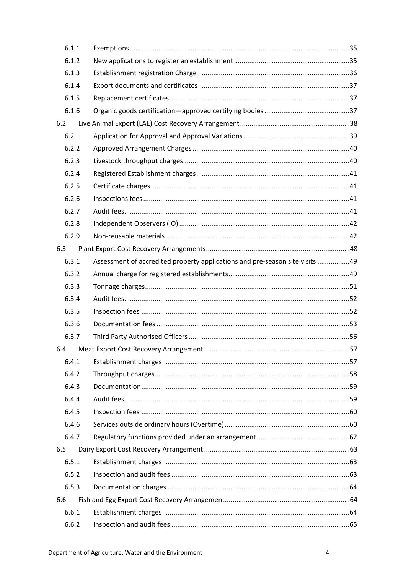| 6.1.1 |                                                                              |  |
|-------|------------------------------------------------------------------------------|--|
| 6.1.2 |                                                                              |  |
| 6.1.3 |                                                                              |  |
| 6.1.4 |                                                                              |  |
| 6.1.5 |                                                                              |  |
| 6.1.6 |                                                                              |  |
| 6.2   |                                                                              |  |
| 6.2.1 |                                                                              |  |
| 6.2.2 |                                                                              |  |
| 6.2.3 |                                                                              |  |
| 6.2.4 |                                                                              |  |
| 6.2.5 |                                                                              |  |
| 6.2.6 |                                                                              |  |
| 6.2.7 |                                                                              |  |
| 6.2.8 |                                                                              |  |
| 6.2.9 |                                                                              |  |
| 6.3   |                                                                              |  |
| 6.3.1 | Assessment of accredited property applications and pre-season site visits 49 |  |
| 6.3.2 |                                                                              |  |
| 6.3.3 |                                                                              |  |
| 6.3.4 |                                                                              |  |
| 6.3.5 |                                                                              |  |
| 6.3.6 |                                                                              |  |
| 6.3.7 |                                                                              |  |
|       |                                                                              |  |
| 6.4.1 |                                                                              |  |
| 6.4.2 |                                                                              |  |
| 6.4.3 |                                                                              |  |
| 6.4.4 |                                                                              |  |
| 6.4.5 |                                                                              |  |
| 6.4.6 |                                                                              |  |
| 6.4.7 |                                                                              |  |
| 6.5   |                                                                              |  |
| 6.5.1 |                                                                              |  |
| 6.5.2 |                                                                              |  |
| 6.5.3 |                                                                              |  |
| 6.6   |                                                                              |  |
| 6.6.1 |                                                                              |  |
| 6.6.2 |                                                                              |  |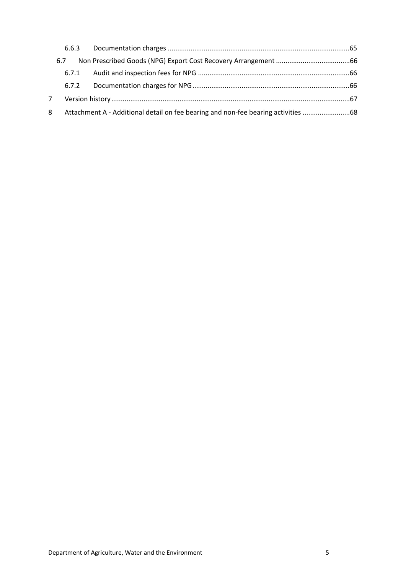|   | 6.6.3 |                                                                                   |  |
|---|-------|-----------------------------------------------------------------------------------|--|
|   | 6.7   |                                                                                   |  |
|   | 6.7.1 |                                                                                   |  |
|   | 6.7.2 |                                                                                   |  |
|   |       |                                                                                   |  |
| 8 |       | Attachment A - Additional detail on fee bearing and non-fee bearing activities 68 |  |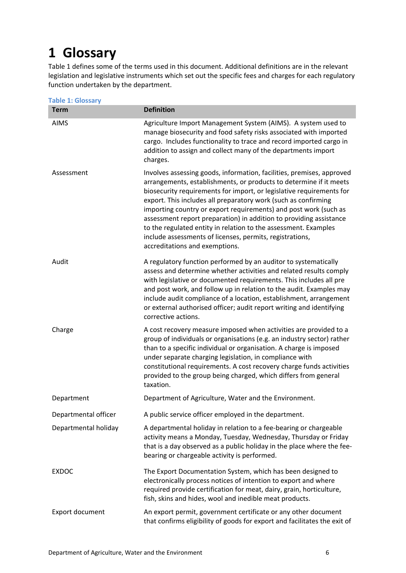# <span id="page-5-0"></span>**1 Glossary**

Table 1 defines some of the terms used in this document. Additional definitions are in the relevant legislation and legislative instruments which set out the specific fees and charges for each regulatory function undertaken by the department.

| <b>Table 1: Glossary</b> |                                                                                                                                                                                                                                                                                                                                                                                                                                                                                                                                                                                                  |
|--------------------------|--------------------------------------------------------------------------------------------------------------------------------------------------------------------------------------------------------------------------------------------------------------------------------------------------------------------------------------------------------------------------------------------------------------------------------------------------------------------------------------------------------------------------------------------------------------------------------------------------|
| <b>Term</b>              | <b>Definition</b>                                                                                                                                                                                                                                                                                                                                                                                                                                                                                                                                                                                |
| <b>AIMS</b>              | Agriculture Import Management System (AIMS). A system used to<br>manage biosecurity and food safety risks associated with imported<br>cargo. Includes functionality to trace and record imported cargo in<br>addition to assign and collect many of the departments import<br>charges.                                                                                                                                                                                                                                                                                                           |
| Assessment               | Involves assessing goods, information, facilities, premises, approved<br>arrangements, establishments, or products to determine if it meets<br>biosecurity requirements for import, or legislative requirements for<br>export. This includes all preparatory work (such as confirming<br>importing country or export requirements) and post work (such as<br>assessment report preparation) in addition to providing assistance<br>to the regulated entity in relation to the assessment. Examples<br>include assessments of licenses, permits, registrations,<br>accreditations and exemptions. |
| Audit                    | A regulatory function performed by an auditor to systematically<br>assess and determine whether activities and related results comply<br>with legislative or documented requirements. This includes all pre<br>and post work, and follow up in relation to the audit. Examples may<br>include audit compliance of a location, establishment, arrangement<br>or external authorised officer; audit report writing and identifying<br>corrective actions.                                                                                                                                          |
| Charge                   | A cost recovery measure imposed when activities are provided to a<br>group of individuals or organisations (e.g. an industry sector) rather<br>than to a specific individual or organisation. A charge is imposed<br>under separate charging legislation, in compliance with<br>constitutional requirements. A cost recovery charge funds activities<br>provided to the group being charged, which differs from general<br>taxation.                                                                                                                                                             |
| Department               | Department of Agriculture, Water and the Environment.                                                                                                                                                                                                                                                                                                                                                                                                                                                                                                                                            |
| Departmental officer     | A public service officer employed in the department.                                                                                                                                                                                                                                                                                                                                                                                                                                                                                                                                             |
| Departmental holiday     | A departmental holiday in relation to a fee-bearing or chargeable<br>activity means a Monday, Tuesday, Wednesday, Thursday or Friday<br>that is a day observed as a public holiday in the place where the fee-<br>bearing or chargeable activity is performed.                                                                                                                                                                                                                                                                                                                                   |
| <b>EXDOC</b>             | The Export Documentation System, which has been designed to<br>electronically process notices of intention to export and where<br>required provide certification for meat, dairy, grain, horticulture,<br>fish, skins and hides, wool and inedible meat products.                                                                                                                                                                                                                                                                                                                                |
| Export document          | An export permit, government certificate or any other document<br>that confirms eligibility of goods for export and facilitates the exit of                                                                                                                                                                                                                                                                                                                                                                                                                                                      |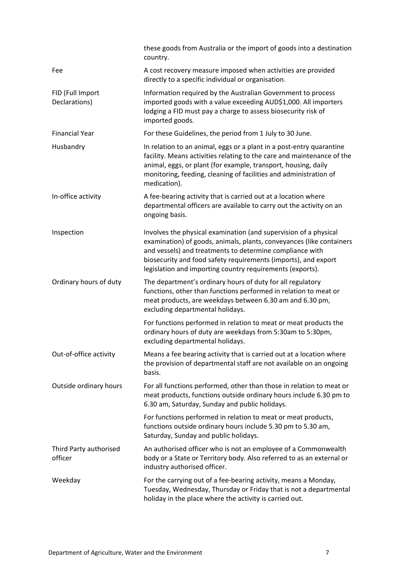|                                   | these goods from Australia or the import of goods into a destination<br>country.                                                                                                                                                                                                                                                    |
|-----------------------------------|-------------------------------------------------------------------------------------------------------------------------------------------------------------------------------------------------------------------------------------------------------------------------------------------------------------------------------------|
| Fee                               | A cost recovery measure imposed when activities are provided<br>directly to a specific individual or organisation.                                                                                                                                                                                                                  |
| FID (Full Import<br>Declarations) | Information required by the Australian Government to process<br>imported goods with a value exceeding AUD\$1,000. All importers<br>lodging a FID must pay a charge to assess biosecurity risk of<br>imported goods.                                                                                                                 |
| <b>Financial Year</b>             | For these Guidelines, the period from 1 July to 30 June.                                                                                                                                                                                                                                                                            |
| Husbandry                         | In relation to an animal, eggs or a plant in a post-entry quarantine<br>facility. Means activities relating to the care and maintenance of the<br>animal, eggs, or plant (for example, transport, housing, daily<br>monitoring, feeding, cleaning of facilities and administration of<br>medication).                               |
| In-office activity                | A fee-bearing activity that is carried out at a location where<br>departmental officers are available to carry out the activity on an<br>ongoing basis.                                                                                                                                                                             |
| Inspection                        | Involves the physical examination (and supervision of a physical<br>examination) of goods, animals, plants, conveyances (like containers<br>and vessels) and treatments to determine compliance with<br>biosecurity and food safety requirements (imports), and export<br>legislation and importing country requirements (exports). |
| Ordinary hours of duty            | The department's ordinary hours of duty for all regulatory<br>functions, other than functions performed in relation to meat or<br>meat products, are weekdays between 6.30 am and 6.30 pm,<br>excluding departmental holidays.                                                                                                      |
|                                   | For functions performed in relation to meat or meat products the<br>ordinary hours of duty are weekdays from 5:30am to 5:30pm,<br>excluding departmental holidays.                                                                                                                                                                  |
| Out-of-office activity            | Means a fee bearing activity that is carried out at a location where<br>the provision of departmental staff are not available on an ongoing<br>basis.                                                                                                                                                                               |
| Outside ordinary hours            | For all functions performed, other than those in relation to meat or<br>meat products, functions outside ordinary hours include 6.30 pm to<br>6.30 am, Saturday, Sunday and public holidays.                                                                                                                                        |
|                                   | For functions performed in relation to meat or meat products,<br>functions outside ordinary hours include 5.30 pm to 5.30 am,<br>Saturday, Sunday and public holidays.                                                                                                                                                              |
| Third Party authorised<br>officer | An authorised officer who is not an employee of a Commonwealth<br>body or a State or Territory body. Also referred to as an external or<br>industry authorised officer.                                                                                                                                                             |
| Weekday                           | For the carrying out of a fee-bearing activity, means a Monday,<br>Tuesday, Wednesday, Thursday or Friday that is not a departmental<br>holiday in the place where the activity is carried out.                                                                                                                                     |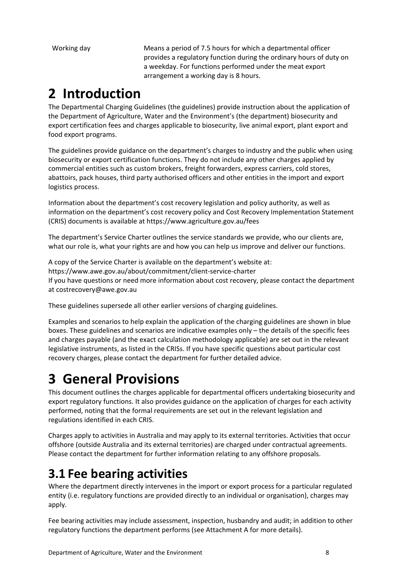Working day Means a period of 7.5 hours for which a departmental officer provides a regulatory function during the ordinary hours of duty on a weekday. For functions performed under the meat export arrangement a working day is 8 hours.

# <span id="page-7-0"></span>**2 Introduction**

The Departmental Charging Guidelines (the guidelines) provide instruction about the application of the Department of Agriculture, Water and the Environment's (the department) biosecurity and export certification fees and charges applicable to biosecurity, live animal export, plant export and food export programs.

The guidelines provide guidance on the department's charges to industry and the public when using biosecurity or export certification functions. They do not include any other charges applied by commercial entities such as custom brokers, freight forwarders, express carriers, cold stores, abattoirs, pack houses, third party authorised officers and other entities in the import and export logistics process.

Information about the department's cost recovery legislation and policy authority, as well as information on the department's cost recovery policy and Cost Recovery Implementation Statement (CRIS) documents is available at https://www.agriculture.gov.au/fees

The department's Service Charter outlines the service standards we provide, who our clients are, what our role is, what your rights are and how you can help us improve and deliver our functions.

A copy of the Service Charter is available on the department's website at: https://www.awe.gov.au/about/commitment/client-service-charter If you have questions or need more information about cost recovery, please contact the department at costrecovery@awe.gov.au

These guidelines supersede all other earlier versions of charging guidelines.

Examples and scenarios to help explain the application of the charging guidelines are shown in blue boxes. These guidelines and scenarios are indicative examples only – the details of the specific fees and charges payable (and the exact calculation methodology applicable) are set out in the relevant legislative instruments, as listed in the CRISs. If you have specific questions about particular cost recovery charges, please contact the department for further detailed advice.

# <span id="page-7-1"></span>**3 General Provisions**

This document outlines the charges applicable for departmental officers undertaking biosecurity and export regulatory functions. It also provides guidance on the application of charges for each activity performed, noting that the formal requirements are set out in the relevant legislation and regulations identified in each CRIS.

Charges apply to activities in Australia and may apply to its external territories. Activities that occur offshore (outside Australia and its external territories) are charged under contractual agreements. Please contact the department for further information relating to any offshore proposals.

# <span id="page-7-2"></span>**3.1 Fee bearing activities**

Where the department directly intervenes in the import or export process for a particular regulated entity (i.e. regulatory functions are provided directly to an individual or organisation), charges may apply.

Fee bearing activities may include assessment, inspection, husbandry and audit; in addition to other regulatory functions the department performs (see Attachment A for more details).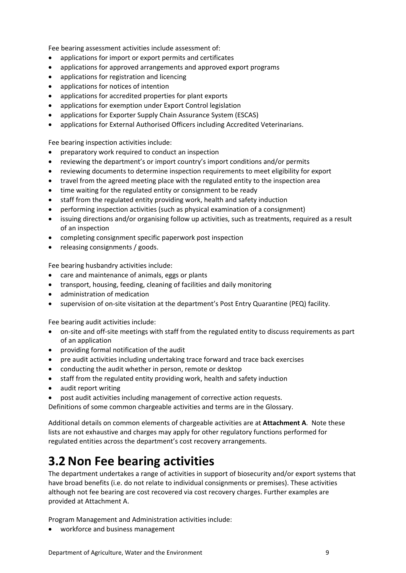Fee bearing assessment activities include assessment of:

- applications for import or export permits and certificates
- applications for approved arrangements and approved export programs
- applications for registration and licencing
- applications for notices of intention
- applications for accredited properties for plant exports
- applications for exemption under Export Control legislation
- applications for Exporter Supply Chain Assurance System (ESCAS)
- applications for External Authorised Officers including Accredited Veterinarians.

Fee bearing inspection activities include:

- preparatory work required to conduct an inspection
- reviewing the department's or import country's import conditions and/or permits
- reviewing documents to determine inspection requirements to meet eligibility for export
- travel from the agreed meeting place with the regulated entity to the inspection area
- time waiting for the regulated entity or consignment to be ready
- staff from the regulated entity providing work, health and safety induction
- performing inspection activities (such as physical examination of a consignment)
- issuing directions and/or organising follow up activities, such as treatments, required as a result of an inspection
- completing consignment specific paperwork post inspection
- releasing consignments / goods.

Fee bearing husbandry activities include:

- care and maintenance of animals, eggs or plants
- transport, housing, feeding, cleaning of facilities and daily monitoring
- administration of medication
- supervision of on-site visitation at the department's Post Entry Quarantine (PEQ) facility.

Fee bearing audit activities include:

- on-site and off-site meetings with staff from the regulated entity to discuss requirements as part of an application
- providing formal notification of the audit
- pre audit activities including undertaking trace forward and trace back exercises
- conducting the audit whether in person, remote or desktop
- staff from the regulated entity providing work, health and safety induction
- audit report writing
- post audit activities including management of corrective action requests.

Definitions of some common chargeable activities and terms are in the Glossary.

Additional details on common elements of chargeable activities are at **Attachment A**. Note these lists are not exhaustive and charges may apply for other regulatory functions performed for regulated entities across the department's cost recovery arrangements.

# <span id="page-8-0"></span>**3.2 Non Fee bearing activities**

The department undertakes a range of activities in support of biosecurity and/or export systems that have broad benefits (i.e. do not relate to individual consignments or premises). These activities although not fee bearing are cost recovered via cost recovery charges. Further examples are provided at Attachment A.

Program Management and Administration activities include:

workforce and business management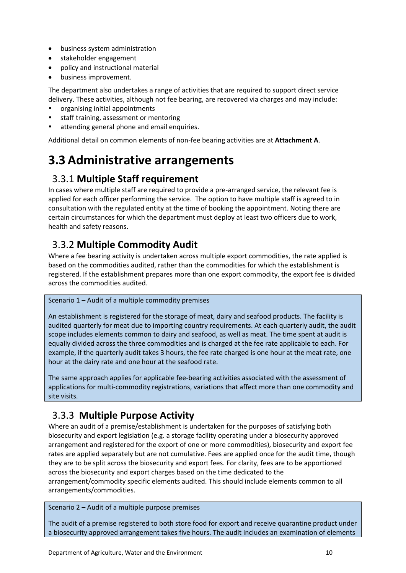- business system administration
- stakeholder engagement
- policy and instructional material
- business improvement.

The department also undertakes a range of activities that are required to support direct service delivery. These activities, although not fee bearing, are recovered via charges and may include:

- organising initial appointments
- staff training, assessment or mentoring
- attending general phone and email enquiries.

Additional detail on common elements of non-fee bearing activities are at **Attachment A**.

# <span id="page-9-0"></span>**3.3 Administrative arrangements**

## <span id="page-9-1"></span>3.3.1 **Multiple Staff requirement**

In cases where multiple staff are required to provide a pre-arranged service, the relevant fee is applied for each officer performing the service. The option to have multiple staff is agreed to in consultation with the regulated entity at the time of booking the appointment. Noting there are certain circumstances for which the department must deploy at least two officers due to work, health and safety reasons.

# <span id="page-9-2"></span>3.3.2 **Multiple Commodity Audit**

Where a fee bearing activity is undertaken across multiple export commodities, the rate applied is based on the commodities audited, rather than the commodities for which the establishment is registered. If the establishment prepares more than one export commodity, the export fee is divided across the commodities audited.

### Scenario 1 – Audit of a multiple commodity premises

An establishment is registered for the storage of meat, dairy and seafood products. The facility is audited quarterly for meat due to importing country requirements. At each quarterly audit, the audit scope includes elements common to dairy and seafood, as well as meat. The time spent at audit is equally divided across the three commodities and is charged at the fee rate applicable to each. For example, if the quarterly audit takes 3 hours, the fee rate charged is one hour at the meat rate, one hour at the dairy rate and one hour at the seafood rate.

The same approach applies for applicable fee-bearing activities associated with the assessment of applications for multi-commodity registrations, variations that affect more than one commodity and site visits.

## <span id="page-9-3"></span>3.3.3 **Multiple Purpose Activity**

Where an audit of a premise/establishment is undertaken for the purposes of satisfying both biosecurity and export legislation (e.g. a storage facility operating under a biosecurity approved arrangement and registered for the export of one or more commodities), biosecurity and export fee rates are applied separately but are not cumulative. Fees are applied once for the audit time, though they are to be split across the biosecurity and export fees. For clarity, fees are to be apportioned across the biosecurity and export charges based on the time dedicated to the arrangement/commodity specific elements audited. This should include elements common to all arrangements/commodities.

Scenario 2 – Audit of a multiple purpose premises

The audit of a premise registered to both store food for export and receive quarantine product under a biosecurity approved arrangement takes five hours. The audit includes an examination of elements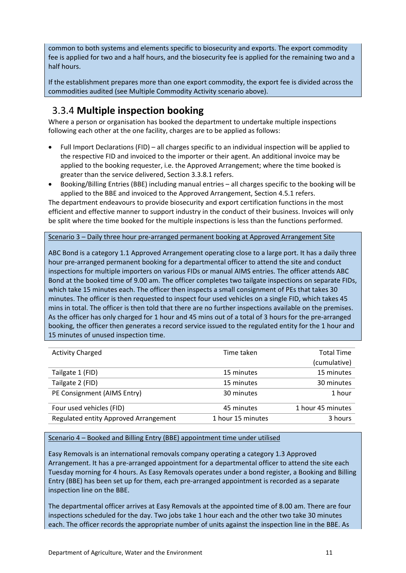common to both systems and elements specific to biosecurity and exports. The export commodity fee is applied for two and a half hours, and the biosecurity fee is applied for the remaining two and a half hours.

If the establishment prepares more than one export commodity, the export fee is divided across the commodities audited (see Multiple Commodity Activity scenario above).

# <span id="page-10-0"></span>3.3.4 **Multiple inspection booking**

Where a person or organisation has booked the department to undertake multiple inspections following each other at the one facility, charges are to be applied as follows:

- Full Import Declarations (FID) all charges specific to an individual inspection will be applied to the respective FID and invoiced to the importer or their agent. An additional invoice may be applied to the booking requester, i.e. the Approved Arrangement; where the time booked is greater than the service delivered, Section 3.3.8.1 refers.
- Booking/Billing Entries (BBE) including manual entries all charges specific to the booking will be applied to the BBE and invoiced to the Approved Arrangement, Section 4.5.1 refers.

The department endeavours to provide biosecurity and export certification functions in the most efficient and effective manner to support industry in the conduct of their business. Invoices will only be split where the time booked for the multiple inspections is less than the functions performed.

Scenario 3 – Daily three hour pre-arranged permanent booking at Approved Arrangement Site

ABC Bond is a category 1.1 Approved Arrangement operating close to a large port. It has a daily three hour pre-arranged permanent booking for a departmental officer to attend the site and conduct inspections for multiple importers on various FIDs or manual AIMS entries. The officer attends ABC Bond at the booked time of 9.00 am. The officer completes two tailgate inspections on separate FIDs, which take 15 minutes each. The officer then inspects a small consignment of PEs that takes 30 minutes. The officer is then requested to inspect four used vehicles on a single FID, which takes 45 mins in total. The officer is then told that there are no further inspections available on the premises. As the officer has only charged for 1 hour and 45 mins out of a total of 3 hours for the pre-arranged booking, the officer then generates a record service issued to the regulated entity for the 1 hour and 15 minutes of unused inspection time.

| <b>Activity Charged</b>               | Time taken        | <b>Total Time</b> |
|---------------------------------------|-------------------|-------------------|
|                                       |                   | (cumulative)      |
| Tailgate 1 (FID)                      | 15 minutes        | 15 minutes        |
| Tailgate 2 (FID)                      | 15 minutes        | 30 minutes        |
| PE Consignment (AIMS Entry)           | 30 minutes        | 1 hour            |
| Four used vehicles (FID)              | 45 minutes        | 1 hour 45 minutes |
| Regulated entity Approved Arrangement | 1 hour 15 minutes | 3 hours           |

Scenario 4 – Booked and Billing Entry (BBE) appointment time under utilised

Easy Removals is an international removals company operating a category 1.3 Approved Arrangement. It has a pre-arranged appointment for a departmental officer to attend the site each Tuesday morning for 4 hours. As Easy Removals operates under a bond register, a Booking and Billing Entry (BBE) has been set up for them, each pre-arranged appointment is recorded as a separate inspection line on the BBE.

The departmental officer arrives at Easy Removals at the appointed time of 8.00 am. There are four inspections scheduled for the day. Two jobs take 1 hour each and the other two take 30 minutes each. The officer records the appropriate number of units against the inspection line in the BBE. As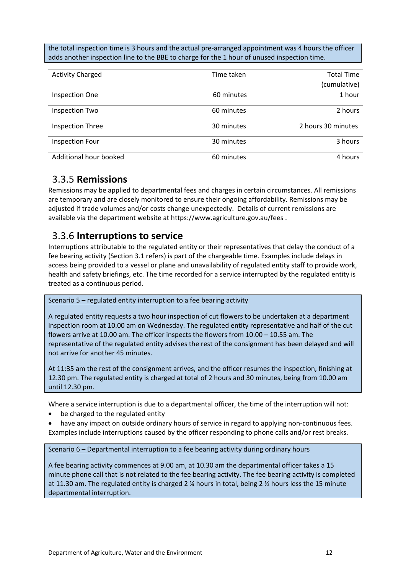the total inspection time is 3 hours and the actual pre-arranged appointment was 4 hours the officer adds another inspection line to the BBE to charge for the 1 hour of unused inspection time.

| <b>Activity Charged</b> | Time taken | <b>Total Time</b><br>(cumulative) |
|-------------------------|------------|-----------------------------------|
| <b>Inspection One</b>   | 60 minutes | 1 hour                            |
| <b>Inspection Two</b>   | 60 minutes | 2 hours                           |
| <b>Inspection Three</b> | 30 minutes | 2 hours 30 minutes                |
| <b>Inspection Four</b>  | 30 minutes | 3 hours                           |
| Additional hour booked  | 60 minutes | 4 hours                           |

### <span id="page-11-0"></span>3.3.5 **Remissions**

Remissions may be applied to departmental fees and charges in certain circumstances. All remissions are temporary and are closely monitored to ensure their ongoing affordability. Remissions may be adjusted if trade volumes and/or costs change unexpectedly. Details of current remissions are available via the department website at https://www.agriculture.gov.au/fees .

### <span id="page-11-1"></span>3.3.6 **Interruptions to service**

Interruptions attributable to the regulated entity or their representatives that delay the conduct of a fee bearing activity (Section 3.1 refers) is part of the chargeable time. Examples include delays in access being provided to a vessel or plane and unavailability of regulated entity staff to provide work, health and safety briefings, etc. The time recorded for a service interrupted by the regulated entity is treated as a continuous period.

Scenario 5 – regulated entity interruption to a fee bearing activity

A regulated entity requests a two hour inspection of cut flowers to be undertaken at a department inspection room at 10.00 am on Wednesday. The regulated entity representative and half of the cut flowers arrive at 10.00 am. The officer inspects the flowers from 10.00 – 10.55 am. The representative of the regulated entity advises the rest of the consignment has been delayed and will not arrive for another 45 minutes.

At 11:35 am the rest of the consignment arrives, and the officer resumes the inspection, finishing at 12.30 pm. The regulated entity is charged at total of 2 hours and 30 minutes, being from 10.00 am until 12.30 pm.

Where a service interruption is due to a departmental officer, the time of the interruption will not:

- be charged to the regulated entity
- have any impact on outside ordinary hours of service in regard to applying non-continuous fees. Examples include interruptions caused by the officer responding to phone calls and/or rest breaks.

Scenario 6 – Departmental interruption to a fee bearing activity during ordinary hours

A fee bearing activity commences at 9.00 am, at 10.30 am the departmental officer takes a 15 minute phone call that is not related to the fee bearing activity. The fee bearing activity is completed at 11.30 am. The regulated entity is charged 2 ¼ hours in total, being 2 ½ hours less the 15 minute departmental interruption.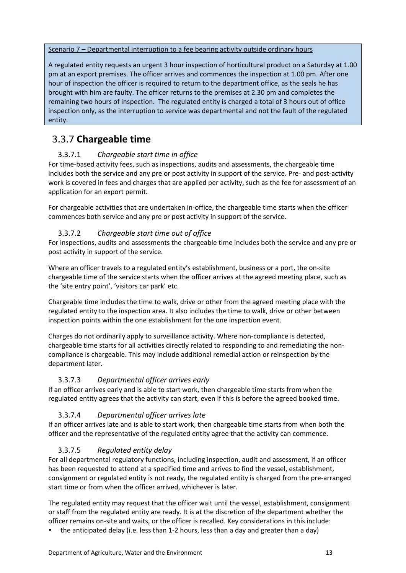### Scenario 7 – Departmental interruption to a fee bearing activity outside ordinary hours

A regulated entity requests an urgent 3 hour inspection of horticultural product on a Saturday at 1.00 pm at an export premises. The officer arrives and commences the inspection at 1.00 pm. After one hour of inspection the officer is required to return to the department office, as the seals he has brought with him are faulty. The officer returns to the premises at 2.30 pm and completes the remaining two hours of inspection. The regulated entity is charged a total of 3 hours out of office inspection only, as the interruption to service was departmental and not the fault of the regulated entity.

### <span id="page-12-0"></span>3.3.7 **Chargeable time**

### 3.3.7.1 *Chargeable start time in office*

For time-based activity fees, such as inspections, audits and assessments, the chargeable time includes both the service and any pre or post activity in support of the service. Pre- and post-activity work is covered in fees and charges that are applied per activity, such as the fee for assessment of an application for an export permit.

For chargeable activities that are undertaken in-office, the chargeable time starts when the officer commences both service and any pre or post activity in support of the service.

### 3.3.7.2 *Chargeable start time out of office*

For inspections, audits and assessments the chargeable time includes both the service and any pre or post activity in support of the service.

Where an officer travels to a regulated entity's establishment, business or a port, the on-site chargeable time of the service starts when the officer arrives at the agreed meeting place, such as the 'site entry point', 'visitors car park' etc.

Chargeable time includes the time to walk, drive or other from the agreed meeting place with the regulated entity to the inspection area. It also includes the time to walk, drive or other between inspection points within the one establishment for the one inspection event.

Charges do not ordinarily apply to surveillance activity. Where non-compliance is detected, chargeable time starts for all activities directly related to responding to and remediating the noncompliance is chargeable. This may include additional remedial action or reinspection by the department later.

### 3.3.7.3 *Departmental officer arrives early*

If an officer arrives early and is able to start work, then chargeable time starts from when the regulated entity agrees that the activity can start, even if this is before the agreed booked time.

### 3.3.7.4 *Departmental officer arrives late*

If an officer arrives late and is able to start work, then chargeable time starts from when both the officer and the representative of the regulated entity agree that the activity can commence.

### 3.3.7.5 *Regulated entity delay*

For all departmental regulatory functions, including inspection, audit and assessment, if an officer has been requested to attend at a specified time and arrives to find the vessel, establishment, consignment or regulated entity is not ready, the regulated entity is charged from the pre-arranged start time or from when the officer arrived, whichever is later.

The regulated entity may request that the officer wait until the vessel, establishment, consignment or staff from the regulated entity are ready. It is at the discretion of the department whether the officer remains on-site and waits, or the officer is recalled. Key considerations in this include:

the anticipated delay (i.e. less than 1-2 hours, less than a day and greater than a day)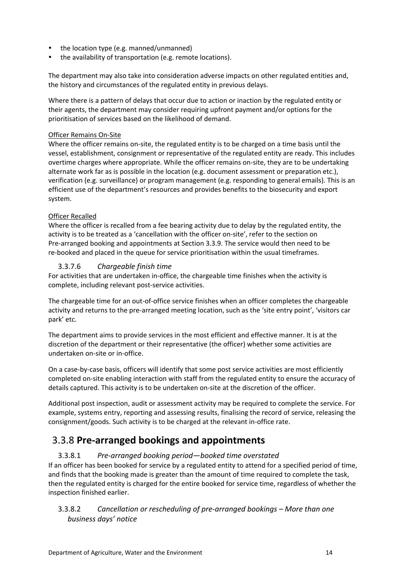- the location type (e.g. manned/unmanned)
- the availability of transportation (e.g. remote locations).

The department may also take into consideration adverse impacts on other regulated entities and, the history and circumstances of the regulated entity in previous delays.

Where there is a pattern of delays that occur due to action or inaction by the regulated entity or their agents, the department may consider requiring upfront payment and/or options for the prioritisation of services based on the likelihood of demand.

### Officer Remains On-Site

Where the officer remains on-site, the regulated entity is to be charged on a time basis until the vessel, establishment, consignment or representative of the regulated entity are ready. This includes overtime charges where appropriate. While the officer remains on-site, they are to be undertaking alternate work far as is possible in the location (e.g. document assessment or preparation etc.), verification (e.g. surveillance) or program management (e.g. responding to general emails). This is an efficient use of the department's resources and provides benefits to the biosecurity and export system.

### Officer Recalled

Where the officer is recalled from a fee bearing activity due to delay by the regulated entity, the activity is to be treated as a 'cancellation with the officer on-site', refer to the section on Pre-arranged booking and appointments at Section 3.3.9. The service would then need to be re-booked and placed in the queue for service prioritisation within the usual timeframes.

### 3.3.7.6 *Chargeable finish time*

For activities that are undertaken in-office, the chargeable time finishes when the activity is complete, including relevant post-service activities.

The chargeable time for an out-of-office service finishes when an officer completes the chargeable activity and returns to the pre-arranged meeting location, such as the 'site entry point', 'visitors car park' etc.

The department aims to provide services in the most efficient and effective manner. It is at the discretion of the department or their representative (the officer) whether some activities are undertaken on-site or in-office.

On a case-by-case basis, officers will identify that some post service activities are most efficiently completed on-site enabling interaction with staff from the regulated entity to ensure the accuracy of details captured. This activity is to be undertaken on-site at the discretion of the officer.

Additional post inspection, audit or assessment activity may be required to complete the service. For example, systems entry, reporting and assessing results, finalising the record of service, releasing the consignment/goods. Such activity is to be charged at the relevant in-office rate.

## <span id="page-13-0"></span>3.3.8 **Pre-arranged bookings and appointments**

### 3.3.8.1 *Pre-arranged booking period—booked time overstated*

If an officer has been booked for service by a regulated entity to attend for a specified period of time, and finds that the booking made is greater than the amount of time required to complete the task, then the regulated entity is charged for the entire booked for service time, regardless of whether the inspection finished earlier.

### 3.3.8.2 *Cancellation or rescheduling of pre-arranged bookings – More than one business days' notice*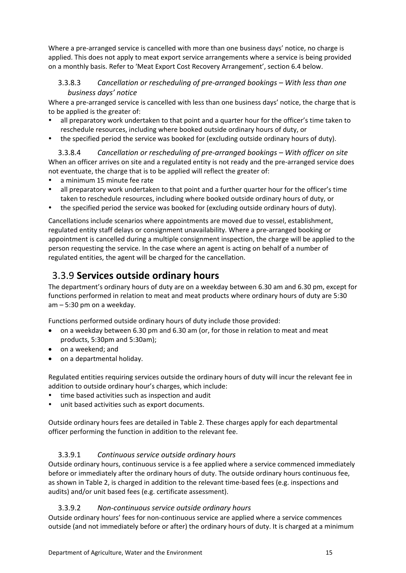Where a pre-arranged service is cancelled with more than one business days' notice, no charge is applied. This does not apply to meat export service arrangements where a service is being provided on a monthly basis. Refer to 'Meat Export Cost Recovery Arrangement', section 6.4 below.

### 3.3.8.3 *Cancellation or rescheduling of pre-arranged bookings – With less than one business days' notice*

Where a pre-arranged service is cancelled with less than one business days' notice, the charge that is to be applied is the greater of:

- all preparatory work undertaken to that point and a quarter hour for the officer's time taken to reschedule resources, including where booked outside ordinary hours of duty, or
- the specified period the service was booked for (excluding outside ordinary hours of duty).

3.3.8.4 *Cancellation or rescheduling of pre-arranged bookings – With officer on site* When an officer arrives on site and a regulated entity is not ready and the pre-arranged service does not eventuate, the charge that is to be applied will reflect the greater of:

- a minimum 15 minute fee rate
- all preparatory work undertaken to that point and a further quarter hour for the officer's time taken to reschedule resources, including where booked outside ordinary hours of duty, or
- the specified period the service was booked for (excluding outside ordinary hours of duty).

Cancellations include scenarios where appointments are moved due to vessel, establishment, regulated entity staff delays or consignment unavailability. Where a pre-arranged booking or appointment is cancelled during a multiple consignment inspection, the charge will be applied to the person requesting the service. In the case where an agent is acting on behalf of a number of regulated entities, the agent will be charged for the cancellation.

### <span id="page-14-0"></span>3.3.9 **Services outside ordinary hours**

The department's ordinary hours of duty are on a weekday between 6.30 am and 6.30 pm, except for functions performed in relation to meat and meat products where ordinary hours of duty are 5:30 am – 5:30 pm on a weekday.

Functions performed outside ordinary hours of duty include those provided:

- on a weekday between 6.30 pm and 6.30 am (or, for those in relation to meat and meat products, 5:30pm and 5:30am);
- on a weekend; and
- on a departmental holiday.

Regulated entities requiring services outside the ordinary hours of duty will incur the relevant fee in addition to outside ordinary hour's charges, which include:

- time based activities such as inspection and audit
- unit based activities such as export documents.

Outside ordinary hours fees are detailed in Table 2. These charges apply for each departmental officer performing the function in addition to the relevant fee.

### 3.3.9.1 *Continuous service outside ordinary hours*

Outside ordinary hours, continuous service is a fee applied where a service commenced immediately before or immediately after the ordinary hours of duty. The outside ordinary hours continuous fee, as shown in Table 2, is charged in addition to the relevant time-based fees (e.g. inspections and audits) and/or unit based fees (e.g. certificate assessment).

### 3.3.9.2 *Non-continuous service outside ordinary hours*

Outside ordinary hours' fees for non-continuous service are applied where a service commences outside (and not immediately before or after) the ordinary hours of duty. It is charged at a minimum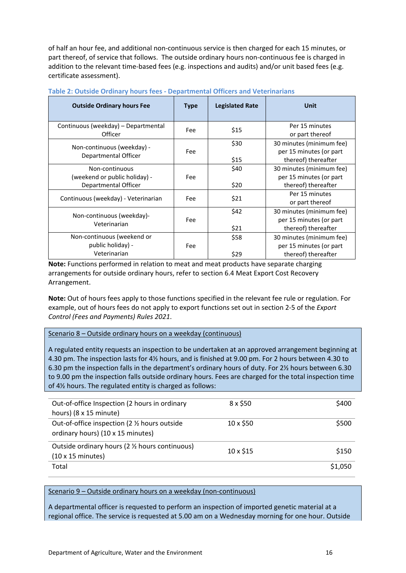of half an hour fee, and additional non-continuous service is then charged for each 15 minutes, or part thereof, of service that follows. The outside ordinary hours non-continuous fee is charged in addition to the relevant time-based fees (e.g. inspections and audits) and/or unit based fees (e.g. certificate assessment).

| <b>Outside Ordinary hours Fee</b>                                       | <b>Type</b> | <b>Legislated Rate</b> | Unit                                                                       |
|-------------------------------------------------------------------------|-------------|------------------------|----------------------------------------------------------------------------|
| Continuous (weekday) – Departmental<br>Officer                          | Fee         | \$15                   | Per 15 minutes<br>or part thereof                                          |
| Non-continuous (weekday) -<br>Departmental Officer                      | Fee         | \$30<br>\$15           | 30 minutes (minimum fee)<br>per 15 minutes (or part<br>thereof) thereafter |
| Non-continuous<br>(weekend or public holiday) -<br>Departmental Officer | Fee         | \$40<br>\$20           | 30 minutes (minimum fee)<br>per 15 minutes (or part<br>thereof) thereafter |
| Continuous (weekday) - Veterinarian                                     | Fee         | \$21                   | Per 15 minutes<br>or part thereof                                          |
| Non-continuous (weekday)-<br>Veterinarian                               | Fee         | \$42<br>\$21           | 30 minutes (minimum fee)<br>per 15 minutes (or part<br>thereof) thereafter |
| Non-continuous (weekend or<br>public holiday) -<br>Veterinarian         | Fee         | \$58<br>\$29           | 30 minutes (minimum fee)<br>per 15 minutes (or part<br>thereof) thereafter |

#### **Table 2: Outside Ordinary hours fees - Departmental Officers and Veterinarians**

**Note:** Functions performed in relation to meat and meat products have separate charging arrangements for outside ordinary hours, refer to section 6.4 Meat Export Cost Recovery Arrangement.

**Note:** Out of hours fees apply to those functions specified in the relevant fee rule or regulation. For example, out of hours fees do not apply to export functions set out in section 2-5 of the *Export Control (Fees and Payments) Rules 2021*.

Scenario 8 – Outside ordinary hours on a weekday (continuous)

A regulated entity requests an inspection to be undertaken at an approved arrangement beginning at 4.30 pm. The inspection lasts for 4½ hours, and is finished at 9.00 pm. For 2 hours between 4.30 to 6.30 pm the inspection falls in the department's ordinary hours of duty. For 2½ hours between 6.30 to 9.00 pm the inspection falls outside ordinary hours. Fees are charged for the total inspection time of 4½ hours. The regulated entity is charged as follows:

| Out-of-office Inspection (2 hours in ordinary<br>hours) (8 x 15 minute)          | 8 x \$50        | \$400   |
|----------------------------------------------------------------------------------|-----------------|---------|
| Out-of-office inspection (2 % hours outside<br>ordinary hours) (10 x 15 minutes) | 10 x \$50       | \$500   |
| Outside ordinary hours (2 % hours continuous)<br>(10 x 15 minutes)               | $10 \times $15$ | \$150   |
| Total                                                                            |                 | \$1,050 |

Scenario 9 – Outside ordinary hours on a weekday (non-continuous)

A departmental officer is requested to perform an inspection of imported genetic material at a regional office. The service is requested at 5.00 am on a Wednesday morning for one hour. Outside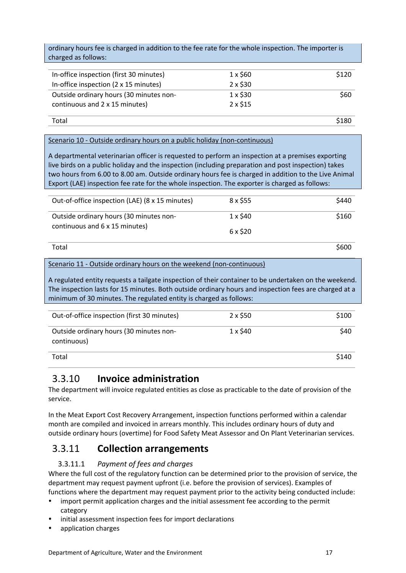ordinary hours fee is charged in addition to the fee rate for the whole inspection. The importer is charged as follows:

| In-office inspection (first 30 minutes) | $1 \times$ \$60 | \$120 |
|-----------------------------------------|-----------------|-------|
| In-office inspection (2 x 15 minutes)   | $2 \times $30$  |       |
| Outside ordinary hours (30 minutes non- | $1 \times$ \$30 | \$60  |
| continuous and 2 x 15 minutes)          | $2 \times $15$  |       |
|                                         |                 |       |

Total \$180

### Scenario 10 - Outside ordinary hours on a public holiday (non-continuous)

A departmental veterinarian officer is requested to perform an inspection at a premises exporting live birds on a public holiday and the inspection (including preparation and post inspection) takes two hours from 6.00 to 8.00 am. Outside ordinary hours fee is charged in addition to the Live Animal Export (LAE) inspection fee rate for the whole inspection. The exporter is charged as follows:

| Out-of-office inspection (LAE) (8 x 15 minutes) | $8 \times $55$  | \$440 |
|-------------------------------------------------|-----------------|-------|
|                                                 |                 |       |
| Outside ordinary hours (30 minutes non-         | $1 \times$ \$40 | \$160 |
| continuous and 6 x 15 minutes)                  | 6 x \$20        |       |
| Total                                           |                 | \$600 |

### Scenario 11 - Outside ordinary hours on the weekend (non-continuous)

A regulated entity requests a tailgate inspection of their container to be undertaken on the weekend. The inspection lasts for 15 minutes. Both outside ordinary hours and inspection fees are charged at a minimum of 30 minutes. The regulated entity is charged as follows:

| Out-of-office inspection (first 30 minutes)            | $2 \times$ \$50 | \$100 |
|--------------------------------------------------------|-----------------|-------|
| Outside ordinary hours (30 minutes non-<br>continuous) | $1 \times$ \$40 | \$40  |
| Total                                                  |                 | \$140 |

### <span id="page-16-0"></span>3.3.10 **Invoice administration**

The department will invoice regulated entities as close as practicable to the date of provision of the service.

In the Meat Export Cost Recovery Arrangement, inspection functions performed within a calendar month are compiled and invoiced in arrears monthly. This includes ordinary hours of duty and outside ordinary hours (overtime) for Food Safety Meat Assessor and On Plant Veterinarian services.

### <span id="page-16-1"></span>3.3.11 **Collection arrangements**

### 3.3.11.1 *Payment of fees and charges*

Where the full cost of the regulatory function can be determined prior to the provision of service, the department may request payment upfront (i.e. before the provision of services). Examples of functions where the department may request payment prior to the activity being conducted include:

- import permit application charges and the initial assessment fee according to the permit category
- initial assessment inspection fees for import declarations
- application charges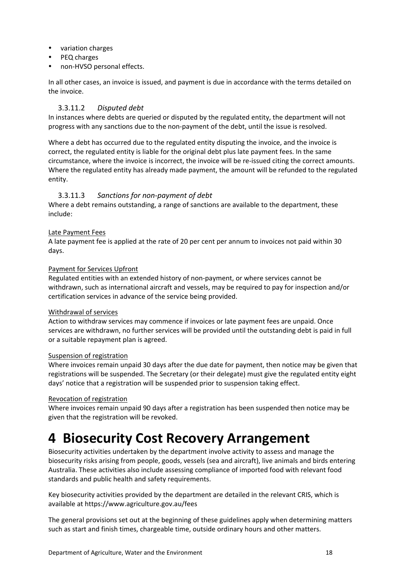- variation charges
- PEQ charges
- non-HVSO personal effects.

In all other cases, an invoice is issued, and payment is due in accordance with the terms detailed on the invoice.

### 3.3.11.2 *Disputed debt*

In instances where debts are queried or disputed by the regulated entity, the department will not progress with any sanctions due to the non-payment of the debt, until the issue is resolved.

Where a debt has occurred due to the regulated entity disputing the invoice, and the invoice is correct, the regulated entity is liable for the original debt plus late payment fees. In the same circumstance, where the invoice is incorrect, the invoice will be re-issued citing the correct amounts. Where the regulated entity has already made payment, the amount will be refunded to the regulated entity.

### 3.3.11.3 *Sanctions for non-payment of debt*

Where a debt remains outstanding, a range of sanctions are available to the department, these include:

### Late Payment Fees

A late payment fee is applied at the rate of 20 per cent per annum to invoices not paid within 30 days.

### Payment for Services Upfront

Regulated entities with an extended history of non-payment, or where services cannot be withdrawn, such as international aircraft and vessels, may be required to pay for inspection and/or certification services in advance of the service being provided.

### Withdrawal of services

Action to withdraw services may commence if invoices or late payment fees are unpaid. Once services are withdrawn, no further services will be provided until the outstanding debt is paid in full or a suitable repayment plan is agreed.

### Suspension of registration

Where invoices remain unpaid 30 days after the due date for payment, then notice may be given that registrations will be suspended. The Secretary (or their delegate) must give the regulated entity eight days' notice that a registration will be suspended prior to suspension taking effect.

### Revocation of registration

Where invoices remain unpaid 90 days after a registration has been suspended then notice may be given that the registration will be revoked.

# <span id="page-17-0"></span>**4 Biosecurity Cost Recovery Arrangement**

Biosecurity activities undertaken by the department involve activity to assess and manage the biosecurity risks arising from people, goods, vessels (sea and aircraft), live animals and birds entering Australia. These activities also include assessing compliance of imported food with relevant food standards and public health and safety requirements.

Key biosecurity activities provided by the department are detailed in the relevant CRIS, which is available at https://www.agriculture.gov.au/fees

The general provisions set out at the beginning of these guidelines apply when determining matters such as start and finish times, chargeable time, outside ordinary hours and other matters.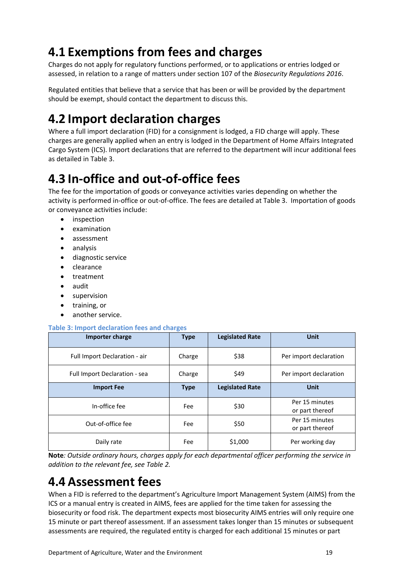# <span id="page-18-0"></span>**4.1 Exemptions from fees and charges**

Charges do not apply for regulatory functions performed, or to applications or entries lodged or assessed, in relation to a range of matters under section 107 of the *Biosecurity Regulations 2016*.

Regulated entities that believe that a service that has been or will be provided by the department should be exempt, should contact the department to discuss this.

# <span id="page-18-1"></span>**4.2 Import declaration charges**

Where a full import declaration (FID) for a consignment is lodged, a FID charge will apply. These charges are generally applied when an entry is lodged in the Department of Home Affairs Integrated Cargo System (ICS). Import declarations that are referred to the department will incur additional fees as detailed in Table 3.

# <span id="page-18-2"></span>**4.3 In-office and out-of-office fees**

The fee for the importation of goods or conveyance activities varies depending on whether the activity is performed in-office or out-of-office. The fees are detailed at Table 3. Importation of goods or conveyance activities include:

- inspection
- examination
- assessment
- analysis
- diagnostic service
- clearance
- treatment
- audit
- **•** supervision
- training, or
- another service.

### **Table 3: Import declaration fees and charges**

| Importer charge               | <b>Type</b> | <b>Legislated Rate</b> | Unit                              |
|-------------------------------|-------------|------------------------|-----------------------------------|
| Full Import Declaration - air | Charge      | \$38                   | Per import declaration            |
| Full Import Declaration - sea | Charge      | \$49                   | Per import declaration            |
| <b>Import Fee</b>             | <b>Type</b> | <b>Legislated Rate</b> | <b>Unit</b>                       |
| In-office fee                 | Fee         | \$30                   | Per 15 minutes<br>or part thereof |
| Out-of-office fee             | Fee         | \$50                   | Per 15 minutes<br>or part thereof |
| Daily rate                    | Fee         | \$1,000                | Per working day                   |

**Note***: Outside ordinary hours, charges apply for each departmental officer performing the service in addition to the relevant fee, see Table 2.*

# <span id="page-18-3"></span>**4.4 Assessment fees**

When a FID is referred to the department's Agriculture Import Management System (AIMS) from the ICS or a manual entry is created in AIMS, fees are applied for the time taken for assessing the biosecurity or food risk. The department expects most biosecurity AIMS entries will only require one 15 minute or part thereof assessment. If an assessment takes longer than 15 minutes or subsequent assessments are required, the regulated entity is charged for each additional 15 minutes or part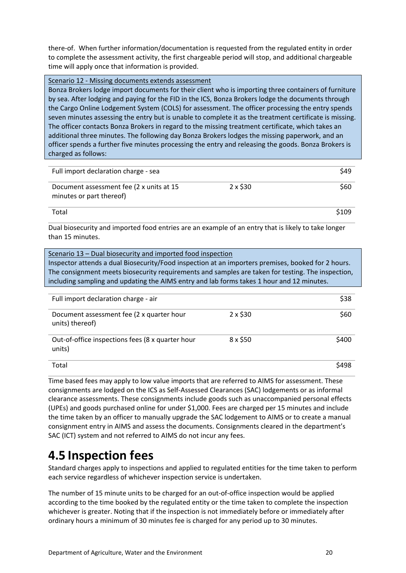there-of. When further information/documentation is requested from the regulated entity in order to complete the assessment activity, the first chargeable period will stop, and additional chargeable time will apply once that information is provided.

### Scenario 12 - Missing documents extends assessment

Bonza Brokers lodge import documents for their client who is importing three containers of furniture by sea. After lodging and paying for the FID in the ICS, Bonza Brokers lodge the documents through the Cargo Online Lodgement System (COLS) for assessment. The officer processing the entry spends seven minutes assessing the entry but is unable to complete it as the treatment certificate is missing. The officer contacts Bonza Brokers in regard to the missing treatment certificate, which takes an additional three minutes. The following day Bonza Brokers lodges the missing paperwork, and an officer spends a further five minutes processing the entry and releasing the goods. Bonza Brokers is charged as follows:

| Full import declaration charge - sea                                 |                | \$49  |  |
|----------------------------------------------------------------------|----------------|-------|--|
| Document assessment fee (2 x units at 15<br>minutes or part thereof) | $2 \times $30$ | \$60  |  |
| Total                                                                |                | \$109 |  |

Dual biosecurity and imported food entries are an example of an entry that is likely to take longer than 15 minutes.

| Scenario 13 – Dual biosecurity and imported food inspection<br>Inspector attends a dual Biosecurity/Food inspection at an importers premises, booked for 2 hours.<br>The consignment meets biosecurity requirements and samples are taken for testing. The inspection,<br>including sampling and updating the AIMS entry and lab forms takes 1 hour and 12 minutes. |          |       |
|---------------------------------------------------------------------------------------------------------------------------------------------------------------------------------------------------------------------------------------------------------------------------------------------------------------------------------------------------------------------|----------|-------|
| Full import declaration charge - air                                                                                                                                                                                                                                                                                                                                |          | \$38  |
| Document assessment fee (2 x quarter hour<br>units) thereof)                                                                                                                                                                                                                                                                                                        | 2 x \$30 | \$60  |
| Out-of-office inspections fees (8 x quarter hour<br>units)                                                                                                                                                                                                                                                                                                          | 8 x \$50 | \$400 |
| Total                                                                                                                                                                                                                                                                                                                                                               |          | \$498 |

Time based fees may apply to low value imports that are referred to AIMS for assessment. These consignments are lodged on the ICS as Self-Assessed Clearances (SAC) lodgements or as informal clearance assessments. These consignments include goods such as unaccompanied personal effects (UPEs) and goods purchased online for under \$1,000. Fees are charged per 15 minutes and include the time taken by an officer to manually upgrade the SAC lodgement to AIMS or to create a manual consignment entry in AIMS and assess the documents. Consignments cleared in the department's SAC (ICT) system and not referred to AIMS do not incur any fees.

# <span id="page-19-0"></span>**4.5 Inspection fees**

Standard charges apply to inspections and applied to regulated entities for the time taken to perform each service regardless of whichever inspection service is undertaken.

The number of 15 minute units to be charged for an out-of-office inspection would be applied according to the time booked by the regulated entity or the time taken to complete the inspection whichever is greater. Noting that if the inspection is not immediately before or immediately after ordinary hours a minimum of 30 minutes fee is charged for any period up to 30 minutes.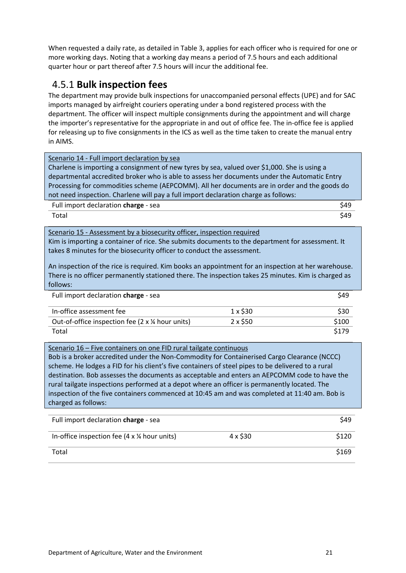When requested a daily rate, as detailed in Table 3, applies for each officer who is required for one or more working days. Noting that a working day means a period of 7.5 hours and each additional quarter hour or part thereof after 7.5 hours will incur the additional fee.

### <span id="page-20-0"></span>4.5.1 **Bulk inspection fees**

The department may provide bulk inspections for unaccompanied personal effects (UPE) and for SAC imports managed by airfreight couriers operating under a bond registered process with the department. The officer will inspect multiple consignments during the appointment and will charge the importer's representative for the appropriate in and out of office fee. The in-office fee is applied for releasing up to five consignments in the ICS as well as the time taken to create the manual entry in AIMS.

| Scenario 14 - Full import declaration by sea<br>Charlene is importing a consignment of new tyres by sea, valued over \$1,000. She is using a<br>departmental accredited broker who is able to assess her documents under the Automatic Entry<br>Processing for commodities scheme (AEPCOMM). All her documents are in order and the goods do<br>not need inspection. Charlene will pay a full import declaration charge as follows:                                            |                |       |
|--------------------------------------------------------------------------------------------------------------------------------------------------------------------------------------------------------------------------------------------------------------------------------------------------------------------------------------------------------------------------------------------------------------------------------------------------------------------------------|----------------|-------|
| Full import declaration charge - sea                                                                                                                                                                                                                                                                                                                                                                                                                                           |                | \$49  |
| Total                                                                                                                                                                                                                                                                                                                                                                                                                                                                          |                | \$49  |
| Scenario 15 - Assessment by a biosecurity officer, inspection required<br>Kim is importing a container of rice. She submits documents to the department for assessment. It<br>takes 8 minutes for the biosecurity officer to conduct the assessment.<br>An inspection of the rice is required. Kim books an appointment for an inspection at her warehouse.<br>There is no officer permanently stationed there. The inspection takes 25 minutes. Kim is charged as<br>follows: |                |       |
| Full import declaration charge - sea                                                                                                                                                                                                                                                                                                                                                                                                                                           |                | \$49  |
| In-office assessment fee                                                                                                                                                                                                                                                                                                                                                                                                                                                       | $1 \times $30$ | \$30  |
| Out-of-office inspection fee (2 $\times$ ¼ hour units)                                                                                                                                                                                                                                                                                                                                                                                                                         | $2 \times $50$ | \$100 |
| Total                                                                                                                                                                                                                                                                                                                                                                                                                                                                          |                | \$179 |
| Cannoria 1C - Fius containere en ene FID musikajinste continuauo                                                                                                                                                                                                                                                                                                                                                                                                               |                |       |

Scenario 16 – Five containers on one FID rural tailgate continuous Bob is a broker accredited under the Non-Commodity for Containerised Cargo Clearance (NCCC) scheme. He lodges a FID for his client's five containers of steel pipes to be delivered to a rural destination. Bob assesses the documents as acceptable and enters an AEPCOMM code to have the rural tailgate inspections performed at a depot where an officer is permanently located. The inspection of the five containers commenced at 10:45 am and was completed at 11:40 am. Bob is charged as follows:

| Full import declaration charge - sea                          |                | \$49  |
|---------------------------------------------------------------|----------------|-------|
| In-office inspection fee $(4 \times \frac{1}{4})$ hour units) | $4 \times $30$ | \$120 |
| Total                                                         |                | \$169 |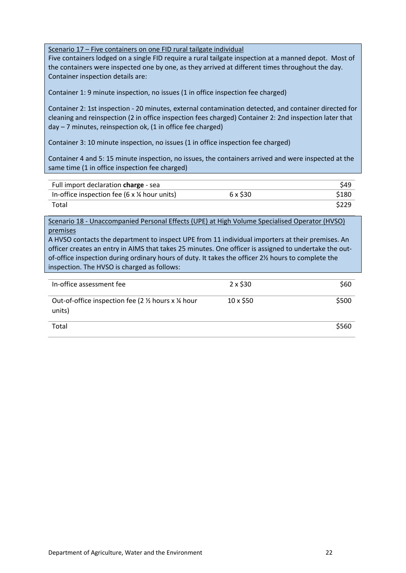Scenario 17 – Five containers on one FID rural tailgate individual

Five containers lodged on a single FID require a rural tailgate inspection at a manned depot. Most of the containers were inspected one by one, as they arrived at different times throughout the day. Container inspection details are:

Container 1: 9 minute inspection, no issues (1 in office inspection fee charged)

Container 2: 1st inspection - 20 minutes, external contamination detected, and container directed for cleaning and reinspection (2 in office inspection fees charged) Container 2: 2nd inspection later that  $day - 7$  minutes, reinspection ok,  $(1$  in office fee charged)

Container 3: 10 minute inspection, no issues (1 in office inspection fee charged)

Container 4 and 5: 15 minute inspection, no issues, the containers arrived and were inspected at the same time (1 in office inspection fee charged)

| Full import declaration charge - sea               |          | \$49  |
|----------------------------------------------------|----------|-------|
| In-office inspection fee (6 $\times$ ¼ hour units) | 6 x \$30 | \$180 |
| Total                                              |          | \$229 |

Scenario 18 - Unaccompanied Personal Effects (UPE) at High Volume Specialised Operator (HVSO) premises

A HVSO contacts the department to inspect UPE from 11 individual importers at their premises. An officer creates an entry in AIMS that takes 25 minutes. One officer is assigned to undertake the outof-office inspection during ordinary hours of duty. It takes the officer 2½ hours to complete the inspection. The HVSO is charged as follows:

| In-office assessment fee                                   | $2 \times $30$  | \$60  |
|------------------------------------------------------------|-----------------|-------|
| Out-of-office inspection fee (2 % hours x % hour<br>units) | $10 \times $50$ | \$500 |
| Total                                                      |                 | \$560 |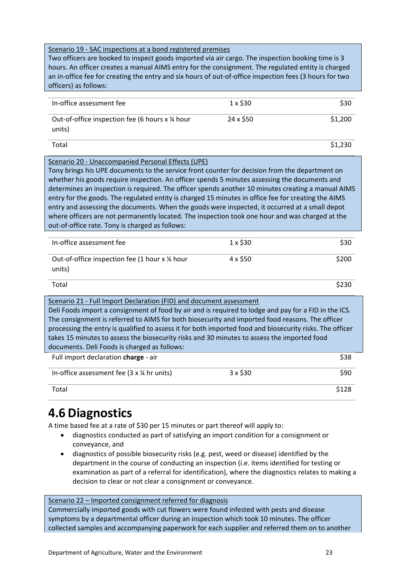### Scenario 19 - SAC inspections at a bond registered premises

Two officers are booked to inspect goods imported via air cargo. The inspection booking time is 3 hours. An officer creates a manual AIMS entry for the consignment. The regulated entity is charged an in-office fee for creating the entry and six hours of out-of-office inspection fees (3 hours for two officers) as follows:

| In-office assessment fee                                   | $1 \times$ \$30 | \$30    |
|------------------------------------------------------------|-----------------|---------|
| Out-of-office inspection fee (6 hours x 1/4 hour<br>units) | 24 x \$50       | \$1,200 |

 $\mathsf{Total}$ 

### Scenario 20 - Unaccompanied Personal Effects (UPE)

Tony brings his UPE documents to the service front counter for decision from the department on whether his goods require inspection. An officer spends 5 minutes assessing the documents and determines an inspection is required. The officer spends another 10 minutes creating a manual AIMS entry for the goods. The regulated entity is charged 15 minutes in office fee for creating the AIMS entry and assessing the documents. When the goods were inspected, it occurred at a small depot where officers are not permanently located. The inspection took one hour and was charged at the out-of-office rate. Tony is charged as follows:

| In-office assessment fee                                  | $1 \times$ \$30 | \$30  |
|-----------------------------------------------------------|-----------------|-------|
| Out-of-office inspection fee (1 hour x 1/4 hour<br>units) | 4 x \$50        | \$200 |
| Total                                                     |                 |       |

Scenario 21 - Full Import Declaration (FID) and document assessment Deli Foods import a consignment of food by air and is required to lodge and pay for a FID in the ICS. The consignment is referred to AIMS for both biosecurity and imported food reasons. The officer processing the entry is qualified to assess it for both imported food and biosecurity risks. The officer takes 15 minutes to assess the biosecurity risks and 30 minutes to assess the imported food documents. Deli Foods is charged as follows: Full import declaration **charge** - air  $\frac{1}{2}$  **538** In-office assessment fee (3 x  $\frac{1}{4}$  hr units) 3 x \$30 \$90 Total \$128

# <span id="page-22-0"></span>**4.6 Diagnostics**

A time based fee at a rate of \$30 per 15 minutes or part thereof will apply to:

- diagnostics conducted as part of satisfying an import condition for a consignment or conveyance, and
- diagnostics of possible biosecurity risks (e.g. pest, weed or disease) identified by the department in the course of conducting an inspection (i.e. items identified for testing or examination as part of a referral for identification), where the diagnostics relates to making a decision to clear or not clear a consignment or conveyance.

Scenario 22 – Imported consignment referred for diagnosis

Commercially imported goods with cut flowers were found infested with pests and disease symptoms by a departmental officer during an inspection which took 10 minutes. The officer collected samples and accompanying paperwork for each supplier and referred them on to another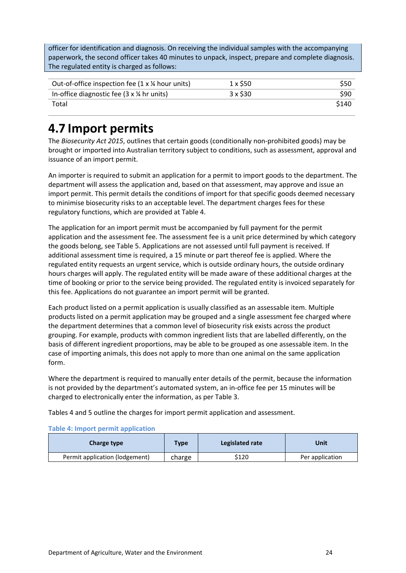officer for identification and diagnosis. On receiving the individual samples with the accompanying paperwork, the second officer takes 40 minutes to unpack, inspect, prepare and complete diagnosis. The regulated entity is charged as follows:

| Out-of-office inspection fee $(1 \times \frac{1}{4})$ hour units) | 1 x S50         | <b>S50</b> |
|-------------------------------------------------------------------|-----------------|------------|
| In-office diagnostic fee $(3 \times \frac{1}{4})$ hr units)       | $3 \times$ \$30 | \$90       |
| Total                                                             |                 | \$140      |

# <span id="page-23-0"></span>**4.7 Import permits**

The *Biosecurity Act 2015*, outlines that certain goods (conditionally non-prohibited goods) may be brought or imported into Australian territory subject to conditions, such as assessment, approval and issuance of an import permit.

An importer is required to submit an application for a permit to import goods to the department. The department will assess the application and, based on that assessment, may approve and issue an import permit. This permit details the conditions of import for that specific goods deemed necessary to minimise biosecurity risks to an acceptable level. The department charges fees for these regulatory functions, which are provided at Table 4.

The application for an import permit must be accompanied by full payment for the permit application and the assessment fee. The assessment fee is a unit price determined by which category the goods belong, see Table 5. Applications are not assessed until full payment is received. If additional assessment time is required, a 15 minute or part thereof fee is applied. Where the regulated entity requests an urgent service, which is outside ordinary hours, the outside ordinary hours charges will apply. The regulated entity will be made aware of these additional charges at the time of booking or prior to the service being provided. The regulated entity is invoiced separately for this fee. Applications do not guarantee an import permit will be granted.

Each product listed on a permit application is usually classified as an assessable item. Multiple products listed on a permit application may be grouped and a single assessment fee charged where the department determines that a common level of biosecurity risk exists across the product grouping. For example, products with common ingredient lists that are labelled differently, on the basis of different ingredient proportions, may be able to be grouped as one assessable item. In the case of importing animals, this does not apply to more than one animal on the same application form.

Where the department is required to manually enter details of the permit, because the information is not provided by the department's automated system, an in-office fee per 15 minutes will be charged to electronically enter the information, as per Table 3.

Tables 4 and 5 outline the charges for import permit application and assessment.

### **Table 4: Import permit application**

| Charge type                    | <b>Type</b> | Legislated rate | Unit            |
|--------------------------------|-------------|-----------------|-----------------|
| Permit application (lodgement) | charge      | \$120           | Per application |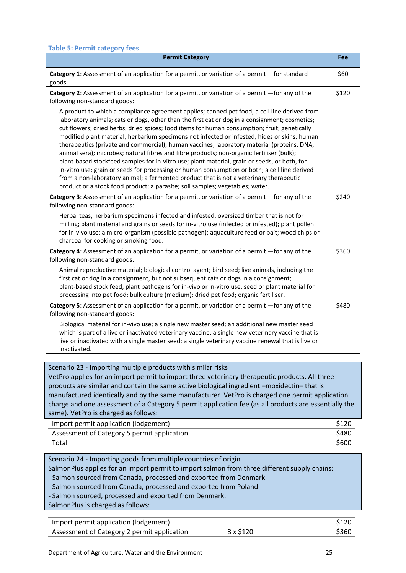| <b>Permit Category</b>                                                                                                                                                                                                                                                                                                                                                                                                                                                                                                                                                                                                                                                                                                                                                                                                                                                                                                                                                | Fee   |
|-----------------------------------------------------------------------------------------------------------------------------------------------------------------------------------------------------------------------------------------------------------------------------------------------------------------------------------------------------------------------------------------------------------------------------------------------------------------------------------------------------------------------------------------------------------------------------------------------------------------------------------------------------------------------------------------------------------------------------------------------------------------------------------------------------------------------------------------------------------------------------------------------------------------------------------------------------------------------|-------|
| Category 1: Assessment of an application for a permit, or variation of a permit -for standard<br>goods.                                                                                                                                                                                                                                                                                                                                                                                                                                                                                                                                                                                                                                                                                                                                                                                                                                                               | \$60  |
| Category 2: Assessment of an application for a permit, or variation of a permit -for any of the<br>following non-standard goods:                                                                                                                                                                                                                                                                                                                                                                                                                                                                                                                                                                                                                                                                                                                                                                                                                                      | \$120 |
| A product to which a compliance agreement applies; canned pet food; a cell line derived from<br>laboratory animals; cats or dogs, other than the first cat or dog in a consignment; cosmetics;<br>cut flowers; dried herbs, dried spices; food items for human consumption; fruit; genetically<br>modified plant material; herbarium specimens not infected or infested; hides or skins; human<br>therapeutics (private and commercial); human vaccines; laboratory material (proteins, DNA,<br>animal sera); microbes; natural fibres and fibre products; non-organic fertiliser (bulk);<br>plant-based stockfeed samples for in-vitro use; plant material, grain or seeds, or both, for<br>in-vitro use; grain or seeds for processing or human consumption or both; a cell line derived<br>from a non-laboratory animal; a fermented product that is not a veterinary therapeutic<br>product or a stock food product; a parasite; soil samples; vegetables; water. |       |
| Category 3: Assessment of an application for a permit, or variation of a permit -for any of the<br>following non-standard goods:                                                                                                                                                                                                                                                                                                                                                                                                                                                                                                                                                                                                                                                                                                                                                                                                                                      | \$240 |
| Herbal teas; herbarium specimens infected and infested; oversized timber that is not for<br>milling; plant material and grains or seeds for in-vitro use (infected or infested); plant pollen<br>for in-vivo use; a micro-organism (possible pathogen); aquaculture feed or bait; wood chips or<br>charcoal for cooking or smoking food.                                                                                                                                                                                                                                                                                                                                                                                                                                                                                                                                                                                                                              |       |
| Category 4: Assessment of an application for a permit, or variation of a permit -for any of the<br>following non-standard goods:                                                                                                                                                                                                                                                                                                                                                                                                                                                                                                                                                                                                                                                                                                                                                                                                                                      | \$360 |
| Animal reproductive material; biological control agent; bird seed; live animals, including the<br>first cat or dog in a consignment, but not subsequent cats or dogs in a consignment;<br>plant-based stock feed; plant pathogens for in-vivo or in-vitro use; seed or plant material for<br>processing into pet food; bulk culture (medium); dried pet food; organic fertiliser.                                                                                                                                                                                                                                                                                                                                                                                                                                                                                                                                                                                     |       |
| Category 5: Assessment of an application for a permit, or variation of a permit -for any of the<br>following non-standard goods:                                                                                                                                                                                                                                                                                                                                                                                                                                                                                                                                                                                                                                                                                                                                                                                                                                      | \$480 |
| Biological material for in-vivo use; a single new master seed; an additional new master seed<br>which is part of a live or inactivated veterinary vaccine; a single new veterinary vaccine that is<br>live or inactivated with a single master seed; a single veterinary vaccine renewal that is live or<br>inactivated.                                                                                                                                                                                                                                                                                                                                                                                                                                                                                                                                                                                                                                              |       |
|                                                                                                                                                                                                                                                                                                                                                                                                                                                                                                                                                                                                                                                                                                                                                                                                                                                                                                                                                                       |       |
| Scenario 23 - Importing multiple products with similar risks<br>VetPro applies for an import permit to import three veterinary therapeutic products. All three                                                                                                                                                                                                                                                                                                                                                                                                                                                                                                                                                                                                                                                                                                                                                                                                        |       |
| products are similar and contain the same active biological ingredient -moxidectin-that is                                                                                                                                                                                                                                                                                                                                                                                                                                                                                                                                                                                                                                                                                                                                                                                                                                                                            |       |
| manufactured identically and by the same manufacturer. VetPro is charged one permit application                                                                                                                                                                                                                                                                                                                                                                                                                                                                                                                                                                                                                                                                                                                                                                                                                                                                       |       |
| charge and one assessment of a Category 5 permit application fee (as all products are essentially the<br>same). VetPro is charged as follows:                                                                                                                                                                                                                                                                                                                                                                                                                                                                                                                                                                                                                                                                                                                                                                                                                         |       |
| Import permit application (lodgement)                                                                                                                                                                                                                                                                                                                                                                                                                                                                                                                                                                                                                                                                                                                                                                                                                                                                                                                                 | \$120 |

| Import permit application (lodgement)       | \$120 |
|---------------------------------------------|-------|
| Assessment of Category 5 permit application | \$480 |
| Total                                       | \$600 |

Scenario 24 - Importing goods from multiple countries of origin

SalmonPlus applies for an import permit to import salmon from three different supply chains:

- Salmon sourced from Canada, processed and exported from Denmark

- Salmon sourced from Canada, processed and exported from Poland
- Salmon sourced, processed and exported from Denmark.

SalmonPlus is charged as follows:

| Import permit application (lodgement)       |                 |       |
|---------------------------------------------|-----------------|-------|
| Assessment of Category 2 permit application | $3 \times $120$ | \$360 |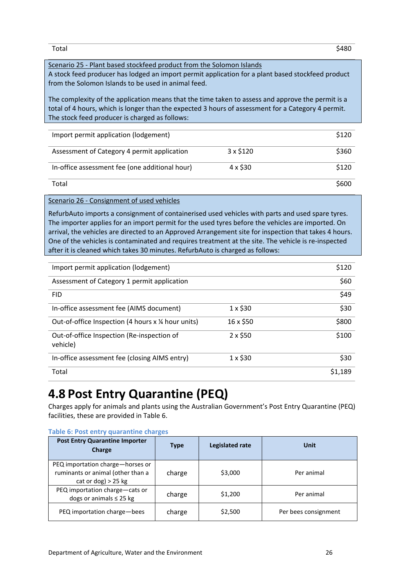Total \$480

### Scenario 25 - Plant based stockfeed product from the Solomon Islands

A stock feed producer has lodged an import permit application for a plant based stockfeed product from the Solomon Islands to be used in animal feed.

The complexity of the application means that the time taken to assess and approve the permit is a total of 4 hours, which is longer than the expected 3 hours of assessment for a Category 4 permit. The stock feed producer is charged as follows:

| Import permit application (lodgement)          |                 | \$120 |
|------------------------------------------------|-----------------|-------|
| Assessment of Category 4 permit application    | $3 \times $120$ | \$360 |
| In-office assessment fee (one additional hour) | $4 \times $30$  | \$120 |
| Total                                          |                 | \$600 |

Scenario 26 - Consignment of used vehicles

RefurbAuto imports a consignment of containerised used vehicles with parts and used spare tyres. The importer applies for an import permit for the used tyres before the vehicles are imported. On arrival, the vehicles are directed to an Approved Arrangement site for inspection that takes 4 hours. One of the vehicles is contaminated and requires treatment at the site. The vehicle is re-inspected after it is cleaned which takes 30 minutes. RefurbAuto is charged as follows:

| Import permit application (lodgement)                  |                | \$120   |
|--------------------------------------------------------|----------------|---------|
| Assessment of Category 1 permit application            |                | \$60    |
| <b>FID</b>                                             |                | \$49    |
| In-office assessment fee (AIMS document)               | $1 \times $30$ | \$30    |
| Out-of-office Inspection (4 hours x 1/4 hour units)    | 16 x \$50      | \$800   |
| Out-of-office Inspection (Re-inspection of<br>vehicle) | $2 \times $50$ | \$100   |
| In-office assessment fee (closing AIMS entry)          | $1 \times $30$ | \$30    |
| Total                                                  |                | \$1.189 |

# <span id="page-25-0"></span>**4.8 Post Entry Quarantine (PEQ)**

Charges apply for animals and plants using the Australian Government's Post Entry Quarantine (PEQ) facilities, these are provided in Table 6.

| <b>Post Entry Quarantine Importer</b><br><b>Charge</b>                                         | <b>Type</b> | <b>Legislated rate</b> | <b>Unit</b>          |
|------------------------------------------------------------------------------------------------|-------------|------------------------|----------------------|
| PEQ importation charge-horses or<br>ruminants or animal (other than a<br>cat or dog) $> 25$ kg | charge      | \$3,000                | Per animal           |
| PEQ importation charge-cats or<br>dogs or animals $\leq$ 25 kg                                 | charge      | \$1,200                | Per animal           |
| PEQ importation charge-bees                                                                    | charge      | \$2,500                | Per bees consignment |

#### **Table 6: Post entry quarantine charges**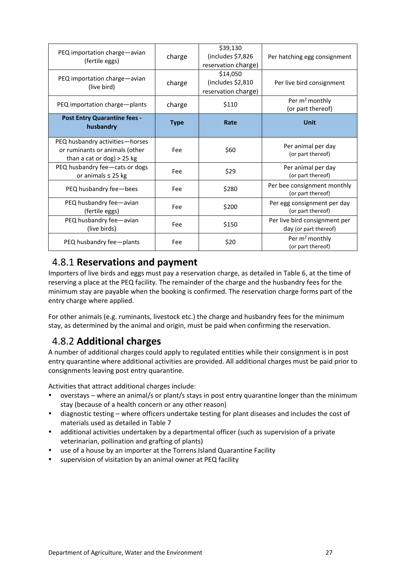| PEQ importation charge-avian<br>(fertile eggs)                                                    | charge      | \$39,130<br>(includes \$7,826<br>reservation charge) | Per hatching egg consignment                           |
|---------------------------------------------------------------------------------------------------|-------------|------------------------------------------------------|--------------------------------------------------------|
| PEQ importation charge-avian<br>(live bird)                                                       | charge      | \$14,050<br>(includes \$2,810<br>reservation charge) | Per live bird consignment                              |
| PEQ importation charge-plants                                                                     | charge      | \$110                                                | Per m <sup>2</sup> monthly<br>(or part thereof)        |
| <b>Post Entry Quarantine fees -</b><br>husbandry                                                  | <b>Type</b> | Rate                                                 | <b>Unit</b>                                            |
| PEQ husbandry activities-horses<br>or ruminants or animals (other<br>than a cat or dog) $>$ 25 kg | Fee         | \$60                                                 | Per animal per day<br>(or part thereof)                |
| PEQ husbandry fee-cats or dogs<br>or animals $\leq$ 25 kg                                         | Fee         | \$29                                                 | Per animal per day<br>(or part thereof)                |
| PEQ husbandry fee-bees                                                                            | Fee         | \$280                                                | Per bee consignment monthly<br>(or part thereof)       |
| PEQ husbandry fee-avian<br>(fertile eggs)                                                         | Fee         | \$200                                                | Per egg consignment per day<br>(or part thereof)       |
| PEQ husbandry fee-avian<br>(live birds)                                                           | Fee         | \$150                                                | Per live bird consignment per<br>day (or part thereof) |
| PEQ husbandry fee-plants                                                                          | Fee         | \$20                                                 | Per m <sup>2</sup> monthly<br>(or part thereof)        |

# <span id="page-26-0"></span>4.8.1 **Reservations and payment**

Importers of live birds and eggs must pay a reservation charge, as detailed in Table 6, at the time of reserving a place at the PEQ facility. The remainder of the charge and the husbandry fees for the minimum stay are payable when the booking is confirmed. The reservation charge forms part of the entry charge where applied.

For other animals (e.g. ruminants, livestock etc.) the charge and husbandry fees for the minimum stay, as determined by the animal and origin, must be paid when confirming the reservation.

# <span id="page-26-1"></span>4.8.2 **Additional charges**

A number of additional charges could apply to regulated entities while their consignment is in post entry quarantine where additional activities are provided. All additional charges must be paid prior to consignments leaving post entry quarantine.

Activities that attract additional charges include:

- overstays where an animal/s or plant/s stays in post entry quarantine longer than the minimum stay (because of a health concern or any other reason)
- diagnostic testing where officers undertake testing for plant diseases and includes the cost of materials used as detailed in Table 7
- additional activities undertaken by a departmental officer (such as supervision of a private veterinarian, pollination and grafting of plants)
- use of a house by an importer at the Torrens Island Quarantine Facility
- supervision of visitation by an animal owner at PEQ facility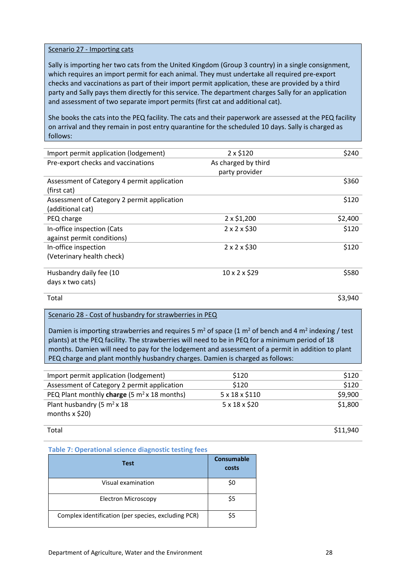#### Scenario 27 - Importing cats

Sally is importing her two cats from the United Kingdom (Group 3 country) in a single consignment, which requires an import permit for each animal. They must undertake all required pre-export checks and vaccinations as part of their import permit application, these are provided by a third party and Sally pays them directly for this service. The department charges Sally for an application and assessment of two separate import permits (first cat and additional cat).

She books the cats into the PEQ facility. The cats and their paperwork are assessed at the PEQ facility on arrival and they remain in post entry quarantine for the scheduled 10 days. Sally is charged as follows:

| Import permit application (lodgement)       | $2 \times $120$         | \$240   |
|---------------------------------------------|-------------------------|---------|
| Pre-export checks and vaccinations          | As charged by third     |         |
|                                             | party provider          |         |
| Assessment of Category 4 permit application |                         | \$360   |
| (first cat)                                 |                         |         |
| Assessment of Category 2 permit application |                         | \$120   |
| (additional cat)                            |                         |         |
| PEQ charge                                  | 2 x \$1,200             | \$2,400 |
| In-office inspection (Cats                  | $2 \times 2 \times $30$ | \$120   |
| against permit conditions)                  |                         |         |
| In-office inspection                        | $2 \times 2 \times $30$ | \$120   |
| (Veterinary health check)                   |                         |         |
|                                             |                         |         |
| Husbandry daily fee (10                     | 10 x 2 x \$29           | \$580   |
| days x two cats)                            |                         |         |

Total \$3,940

### Scenario 28 - Cost of husbandry for strawberries in PEQ

Damien is importing strawberries and requires 5  $m^2$  of space (1  $m^2$  of bench and 4  $m^2$  indexing / test plants) at the PEQ facility. The strawberries will need to be in PEQ for a minimum period of 18 months. Damien will need to pay for the lodgement and assessment of a permit in addition to plant PEQ charge and plant monthly husbandry charges. Damien is charged as follows:

| Import permit application (lodgement)            | \$120                    | \$120   |
|--------------------------------------------------|--------------------------|---------|
| Assessment of Category 2 permit application      | \$120                    | \$120   |
| PEQ Plant monthly charge (5 $m2$ x 18 months)    | 5 x 18 x \$110           | \$9,900 |
| Plant husbandry (5 $m2$ x 18<br>months $x$ \$20) | $5 \times 18 \times $20$ | \$1,800 |

Total \$11,940

### **Table 7: Operational science diagnostic testing fees**

| Test                                                | Consumable<br>costs |
|-----------------------------------------------------|---------------------|
| Visual examination                                  | \$0                 |
| <b>Electron Microscopy</b>                          | \$5                 |
| Complex identification (per species, excluding PCR) | Ś5                  |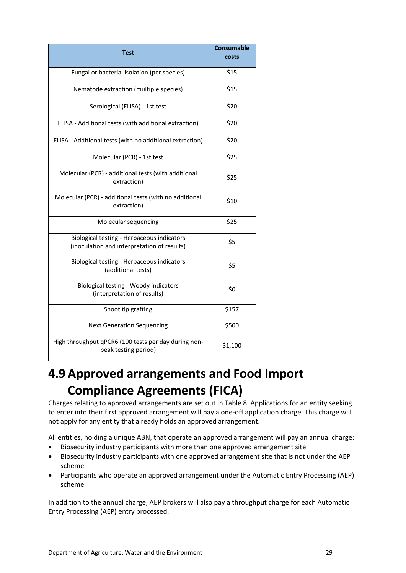| <b>Test</b>                                                                               | <b>Consumable</b><br>costs |
|-------------------------------------------------------------------------------------------|----------------------------|
| Fungal or bacterial isolation (per species)                                               | \$15                       |
| Nematode extraction (multiple species)                                                    | \$15                       |
| Serological (ELISA) - 1st test                                                            | \$20                       |
| ELISA - Additional tests (with additional extraction)                                     | \$20                       |
| ELISA - Additional tests (with no additional extraction)                                  | \$20                       |
| Molecular (PCR) - 1st test                                                                | \$25                       |
| Molecular (PCR) - additional tests (with additional<br>extraction)                        | \$25                       |
| Molecular (PCR) - additional tests (with no additional<br>extraction)                     | \$10                       |
| Molecular sequencing                                                                      | \$25                       |
| Biological testing - Herbaceous indicators<br>(inoculation and interpretation of results) | \$5                        |
| Biological testing - Herbaceous indicators<br>(additional tests)                          | \$5                        |
| Biological testing - Woody indicators<br>(interpretation of results)                      | \$0                        |
| Shoot tip grafting                                                                        | \$157                      |
| <b>Next Generation Sequencing</b>                                                         | \$500                      |
| High throughput qPCR6 (100 tests per day during non-<br>peak testing period)              | \$1,100                    |

# <span id="page-28-0"></span>**4.9 Approved arrangements and Food Import Compliance Agreements (FICA)**

Charges relating to approved arrangements are set out in Table 8. Applications for an entity seeking to enter into their first approved arrangement will pay a one-off application charge. This charge will not apply for any entity that already holds an approved arrangement.

All entities, holding a unique ABN, that operate an approved arrangement will pay an annual charge:

- Biosecurity industry participants with more than one approved arrangement site
- Biosecurity industry participants with one approved arrangement site that is not under the AEP scheme
- Participants who operate an approved arrangement under the Automatic Entry Processing (AEP) scheme

In addition to the annual charge, AEP brokers will also pay a throughput charge for each Automatic Entry Processing (AEP) entry processed.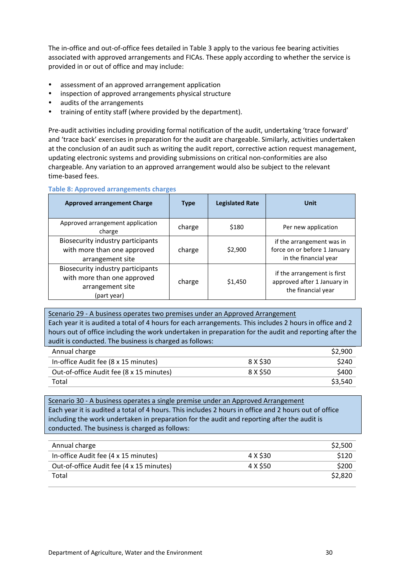The in-office and out-of-office fees detailed in Table 3 apply to the various fee bearing activities associated with approved arrangements and FICAs. These apply according to whether the service is provided in or out of office and may include:

- assessment of an approved arrangement application
- inspection of approved arrangements physical structure
- audits of the arrangements
- training of entity staff (where provided by the department).

Pre-audit activities including providing formal notification of the audit, undertaking 'trace forward' and 'trace back' exercises in preparation for the audit are chargeable. Similarly, activities undertaken at the conclusion of an audit such as writing the audit report, corrective action request management, updating electronic systems and providing submissions on critical non-conformities are also chargeable. Any variation to an approved arrangement would also be subject to the relevant time-based fees.

#### **Table 8: Approved arrangements charges**

| <b>Approved arrangement Charge</b>                                                                  | <b>Type</b> | <b>Legislated Rate</b> | Unit                                                                               |
|-----------------------------------------------------------------------------------------------------|-------------|------------------------|------------------------------------------------------------------------------------|
| Approved arrangement application<br>charge                                                          | charge      | \$180                  | Per new application                                                                |
| Biosecurity industry participants<br>with more than one approved<br>arrangement site                | charge      | \$2,900                | if the arrangement was in<br>force on or before 1 January<br>in the financial year |
| Biosecurity industry participants<br>with more than one approved<br>arrangement site<br>(part year) | charge      | \$1,450                | if the arrangement is first<br>approved after 1 January in<br>the financial year   |

Scenario 29 - A business operates two premises under an Approved Arrangement Each year it is audited a total of 4 hours for each arrangements. This includes 2 hours in office and 2 hours out of office including the work undertaken in preparation for the audit and reporting after the audit is conducted. The business is charged as follows:

| Annual charge                            |          | \$2.900 |
|------------------------------------------|----------|---------|
| In-office Audit fee (8 x 15 minutes)     | 8 X \$30 | \$240   |
| Out-of-office Audit fee (8 x 15 minutes) | 8 X \$50 | \$400   |
| Total                                    |          | \$3,540 |

Scenario 30 - A business operates a single premise under an Approved Arrangement Each year it is audited a total of 4 hours. This includes 2 hours in office and 2 hours out of office including the work undertaken in preparation for the audit and reporting after the audit is conducted. The business is charged as follows:

| Annual charge                            |          | \$2,500 |
|------------------------------------------|----------|---------|
| In-office Audit fee (4 x 15 minutes)     | 4 X \$30 | \$120   |
| Out-of-office Audit fee (4 x 15 minutes) | 4 X \$50 | \$200   |
| Total                                    |          | \$2,820 |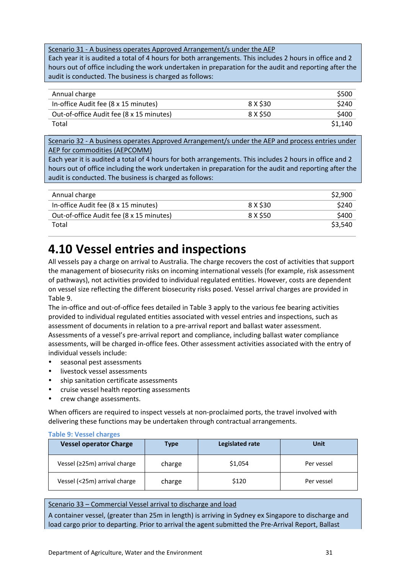Scenario 31 - A business operates Approved Arrangement/s under the AEP

Each year it is audited a total of 4 hours for both arrangements. This includes 2 hours in office and 2 hours out of office including the work undertaken in preparation for the audit and reporting after the audit is conducted. The business is charged as follows:

| Annual charge                            |          | \$500   |
|------------------------------------------|----------|---------|
| In-office Audit fee (8 x 15 minutes)     | 8 X \$30 | \$240   |
| Out-of-office Audit fee (8 x 15 minutes) | 8 X \$50 | \$400   |
| Total                                    |          | \$1,140 |

Scenario 32 - A business operates Approved Arrangement/s under the AEP and process entries under AEP for commodities (AEPCOMM)

Each year it is audited a total of 4 hours for both arrangements. This includes 2 hours in office and 2 hours out of office including the work undertaken in preparation for the audit and reporting after the audit is conducted. The business is charged as follows:

| Annual charge                            |          | \$2,900 |
|------------------------------------------|----------|---------|
| In-office Audit fee (8 x 15 minutes)     | 8 X \$30 | \$240   |
| Out-of-office Audit fee (8 x 15 minutes) | 8 X \$50 | \$400   |
| Total                                    |          | \$3,540 |

# <span id="page-30-0"></span>**4.10 Vessel entries and inspections**

All vessels pay a charge on arrival to Australia. The charge recovers the cost of activities that support the management of biosecurity risks on incoming international vessels (for example, risk assessment of pathways), not activities provided to individual regulated entities. However, costs are dependent on vessel size reflecting the different biosecurity risks posed. Vessel arrival charges are provided in Table 9.

The in-office and out-of-office fees detailed in Table 3 apply to the various fee bearing activities provided to individual regulated entities associated with vessel entries and inspections, such as assessment of documents in relation to a pre-arrival report and ballast water assessment. Assessments of a vessel's pre-arrival report and compliance, including ballast water compliance assessments, will be charged in-office fees. Other assessment activities associated with the entry of individual vessels include:

- seasonal pest assessments
- livestock vessel assessments
- ship sanitation certificate assessments
- cruise vessel health reporting assessments
- crew change assessments.

When officers are required to inspect vessels at non-proclaimed ports, the travel involved with delivering these functions may be undertaken through contractual arrangements.

#### **Table 9: Vessel charges**

| <b>Vessel operator Charge</b> | Type   | Legislated rate | Unit       |
|-------------------------------|--------|-----------------|------------|
| Vessel (≥25m) arrival charge  | charge | \$1,054         | Per vessel |
| Vessel (<25m) arrival charge  | charge | \$120           | Per vessel |

### Scenario 33 – Commercial Vessel arrival to discharge and load

A container vessel, (greater than 25m in length) is arriving in Sydney ex Singapore to discharge and load cargo prior to departing. Prior to arrival the agent submitted the Pre-Arrival Report, Ballast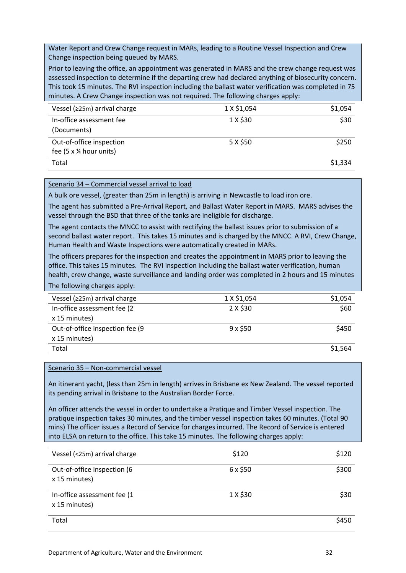Water Report and Crew Change request in MARs, leading to a Routine Vessel Inspection and Crew Change inspection being queued by MARS.

Prior to leaving the office, an appointment was generated in MARS and the crew change request was assessed inspection to determine if the departing crew had declared anything of biosecurity concern. This took 15 minutes. The RVI inspection including the ballast water verification was completed in 75 minutes. A Crew Change inspection was not required. The following charges apply:

| Vessel ( $\geq$ 25m) arrival charge                                  | 1 X \$1,054 | \$1,054 |
|----------------------------------------------------------------------|-------------|---------|
| In-office assessment fee<br>(Documents)                              | 1 X \$30    | \$30    |
| Out-of-office inspection<br>fee $(5 \times \frac{1}{4})$ hour units) | 5 X \$50    | \$250   |
| Total                                                                |             | \$1,334 |

### Scenario 34 – Commercial vessel arrival to load

A bulk ore vessel, (greater than 25m in length) is arriving in Newcastle to load iron ore.

The agent has submitted a Pre-Arrival Report, and Ballast Water Report in MARS. MARS advises the vessel through the BSD that three of the tanks are ineligible for discharge.

The agent contacts the MNCC to assist with rectifying the ballast issues prior to submission of a second ballast water report. This takes 15 minutes and is charged by the MNCC. A RVI, Crew Change, Human Health and Waste Inspections were automatically created in MARs.

The officers prepares for the inspection and creates the appointment in MARS prior to leaving the office. This takes 15 minutes. The RVI inspection including the ballast water verification, human health, crew change, waste surveillance and landing order was completed in 2 hours and 15 minutes The following charges apply:

| Vessel ( $\geq$ 25m) arrival charge | 1 X \$1,054    | \$1,054 |
|-------------------------------------|----------------|---------|
| In-office assessment fee (2         | 2 X \$30       | \$60    |
| x 15 minutes)                       |                |         |
| Out-of-office inspection fee (9)    | $9 \times $50$ | \$450   |
| x 15 minutes)                       |                |         |
| Total                               |                | \$1,564 |

### Scenario 35 – Non-commercial vessel

An itinerant yacht, (less than 25m in length) arrives in Brisbane ex New Zealand. The vessel reported its pending arrival in Brisbane to the Australian Border Force.

An officer attends the vessel in order to undertake a Pratique and Timber Vessel inspection. The pratique inspection takes 30 minutes, and the timber vessel inspection takes 60 minutes. (Total 90 mins) The officer issues a Record of Service for charges incurred. The Record of Service is entered into ELSA on return to the office. This take 15 minutes. The following charges apply:

| Vessel (<25m) arrival charge                 | \$120    | \$120 |
|----------------------------------------------|----------|-------|
| Out-of-office inspection (6<br>x 15 minutes) | 6 x \$50 | \$300 |
| In-office assessment fee (1<br>x 15 minutes) | 1 X \$30 | \$30  |
| Total                                        |          | \$450 |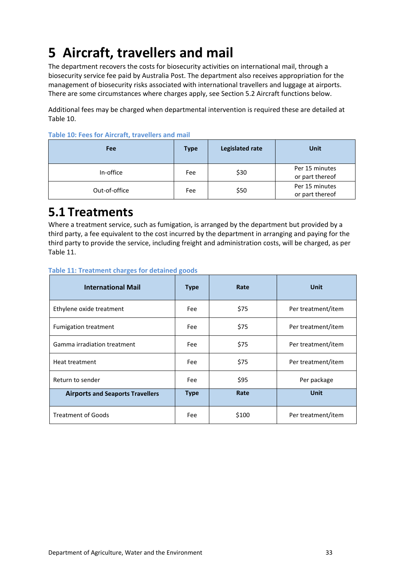# <span id="page-32-0"></span>**5 Aircraft, travellers and mail**

The department recovers the costs for biosecurity activities on international mail, through a biosecurity service fee paid by Australia Post. The department also receives appropriation for the management of biosecurity risks associated with international travellers and luggage at airports. There are some circumstances where charges apply, see Section 5.2 Aircraft functions below.

Additional fees may be charged when departmental intervention is required these are detailed at Table 10.

| <b>Fee</b>    | <b>Type</b> | <b>Legislated rate</b> | <b>Unit</b>                       |
|---------------|-------------|------------------------|-----------------------------------|
| In-office     | Fee         | \$30                   | Per 15 minutes<br>or part thereof |
| Out-of-office | Fee         | \$50                   | Per 15 minutes<br>or part thereof |

**Table 10: Fees for Aircraft, travellers and mail**

# <span id="page-32-1"></span>**5.1 Treatments**

Where a treatment service, such as fumigation, is arranged by the department but provided by a third party, a fee equivalent to the cost incurred by the department in arranging and paying for the third party to provide the service, including freight and administration costs, will be charged, as per Table 11.

| <b>International Mail</b>               | <b>Type</b> | Rate  | <b>Unit</b>        |
|-----------------------------------------|-------------|-------|--------------------|
| Ethylene oxide treatment                | Fee         | \$75  | Per treatment/item |
| <b>Fumigation treatment</b>             | Fee         | \$75  | Per treatment/item |
| Gamma irradiation treatment             | Fee         | \$75  | Per treatment/item |
| Heat treatment                          | Fee         | \$75  | Per treatment/item |
| Return to sender                        | Fee         | \$95  | Per package        |
| <b>Airports and Seaports Travellers</b> | <b>Type</b> | Rate  | <b>Unit</b>        |
| <b>Treatment of Goods</b>               | Fee         | \$100 | Per treatment/item |

### **Table 11: Treatment charges for detained goods**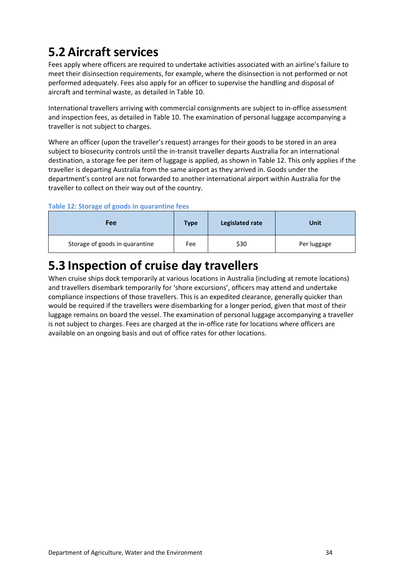# <span id="page-33-0"></span>**5.2 Aircraft services**

Fees apply where officers are required to undertake activities associated with an airline's failure to meet their disinsection requirements, for example, where the disinsection is not performed or not performed adequately. Fees also apply for an officer to supervise the handling and disposal of aircraft and terminal waste, as detailed in Table 10.

International travellers arriving with commercial consignments are subject to in-office assessment and inspection fees, as detailed in Table 10. The examination of personal luggage accompanying a traveller is not subject to charges.

Where an officer (upon the traveller's request) arranges for their goods to be stored in an area subject to biosecurity controls until the in-transit traveller departs Australia for an international destination, a storage fee per item of luggage is applied, as shown in Table 12. This only applies if the traveller is departing Australia from the same airport as they arrived in. Goods under the department's control are not forwarded to another international airport within Australia for the traveller to collect on their way out of the country.

### **Table 12: Storage of goods in quarantine fees**

| Fee                            | Type | Legislated rate | Unit        |
|--------------------------------|------|-----------------|-------------|
| Storage of goods in quarantine | Fee  | \$30            | Per luggage |

# <span id="page-33-1"></span>**5.3 Inspection of cruise day travellers**

When cruise ships dock temporarily at various locations in Australia (including at remote locations) and travellers disembark temporarily for 'shore excursions', officers may attend and undertake compliance inspections of those travellers. This is an expedited clearance, generally quicker than would be required if the travellers were disembarking for a longer period, given that most of their luggage remains on board the vessel. The examination of personal luggage accompanying a traveller is not subject to charges. Fees are charged at the in-office rate for locations where officers are available on an ongoing basis and out of office rates for other locations.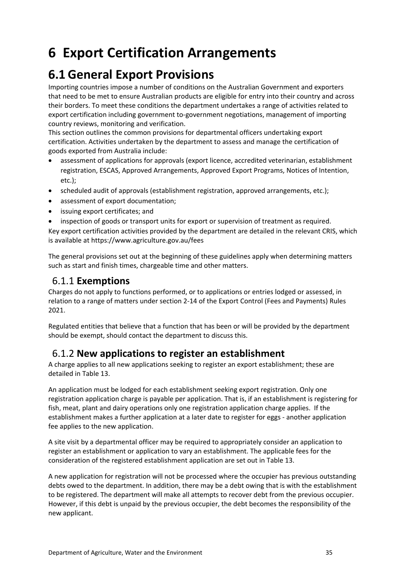# <span id="page-34-0"></span>**6 Export Certification Arrangements**

# <span id="page-34-1"></span>**6.1 General Export Provisions**

Importing countries impose a number of conditions on the Australian Government and exporters that need to be met to ensure Australian products are eligible for entry into their country and across their borders. To meet these conditions the department undertakes a range of activities related to export certification including government to-government negotiations, management of importing country reviews, monitoring and verification.

This section outlines the common provisions for departmental officers undertaking export certification. Activities undertaken by the department to assess and manage the certification of goods exported from Australia include:

- assessment of applications for approvals (export licence, accredited veterinarian, establishment registration, ESCAS, Approved Arrangements, Approved Export Programs, Notices of Intention, etc.);
- scheduled audit of approvals (establishment registration, approved arrangements, etc.);
- assessment of export documentation;
- issuing export certificates; and
- inspection of goods or transport units for export or supervision of treatment as required.

Key export certification activities provided by the department are detailed in the relevant CRIS, which is available at https://www.agriculture.gov.au/fees

The general provisions set out at the beginning of these guidelines apply when determining matters such as start and finish times, chargeable time and other matters.

## <span id="page-34-2"></span>6.1.1 **Exemptions**

Charges do not apply to functions performed, or to applications or entries lodged or assessed, in relation to a range of matters under section 2-14 of the Export Control (Fees and Payments) Rules 2021.

Regulated entities that believe that a function that has been or will be provided by the department should be exempt, should contact the department to discuss this.

### <span id="page-34-3"></span>6.1.2 **New applications to register an establishment**

A charge applies to all new applications seeking to register an export establishment; these are detailed in Table 13.

An application must be lodged for each establishment seeking export registration. Only one registration application charge is payable per application. That is, if an establishment is registering for fish, meat, plant and dairy operations only one registration application charge applies. If the establishment makes a further application at a later date to register for eggs - another application fee applies to the new application.

A site visit by a departmental officer may be required to appropriately consider an application to register an establishment or application to vary an establishment. The applicable fees for the consideration of the registered establishment application are set out in Table 13.

A new application for registration will not be processed where the occupier has previous outstanding debts owed to the department. In addition, there may be a debt owing that is with the establishment to be registered. The department will make all attempts to recover debt from the previous occupier. However, if this debt is unpaid by the previous occupier, the debt becomes the responsibility of the new applicant.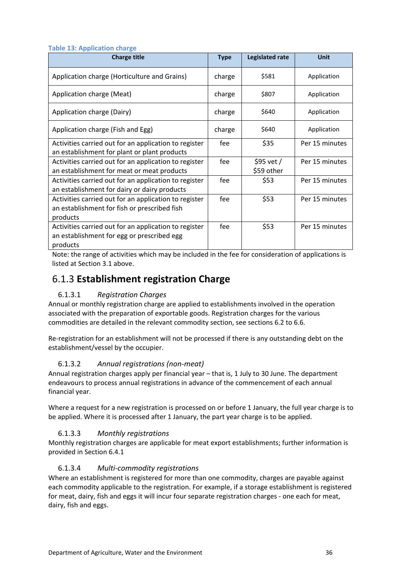| rapic 19. Application charge                                                                                      |             |                           |                |
|-------------------------------------------------------------------------------------------------------------------|-------------|---------------------------|----------------|
| <b>Charge title</b>                                                                                               | <b>Type</b> | Legislated rate           | <b>Unit</b>    |
| Application charge (Horticulture and Grains)                                                                      | charge      | \$581                     | Application    |
| Application charge (Meat)                                                                                         | charge      | \$807                     | Application    |
| Application charge (Dairy)                                                                                        | charge      | \$640                     | Application    |
| Application charge (Fish and Egg)                                                                                 | charge      | \$640                     | Application    |
| Activities carried out for an application to register<br>an establishment for plant or plant products             | fee         | \$35                      | Per 15 minutes |
| Activities carried out for an application to register<br>an establishment for meat or meat products               | fee         | $$95$ vet /<br>\$59 other | Per 15 minutes |
| Activities carried out for an application to register<br>an establishment for dairy or dairy products             | fee         | \$53                      | Per 15 minutes |
| Activities carried out for an application to register<br>an establishment for fish or prescribed fish<br>products | fee         | \$53                      | Per 15 minutes |
| Activities carried out for an application to register<br>an establishment for egg or prescribed egg<br>products   | fee         | \$53                      | Per 15 minutes |

**Table 13: Application charge**

Note: the range of activities which may be included in the fee for consideration of applications is listed at Section 3.1 above.

### <span id="page-35-0"></span>6.1.3 **Establishment registration Charge**

### 6.1.3.1 *Registration Charges*

Annual or monthly registration charge are applied to establishments involved in the operation associated with the preparation of exportable goods. Registration charges for the various commodities are detailed in the relevant commodity section, see sections 6.2 to 6.6.

Re-registration for an establishment will not be processed if there is any outstanding debt on the establishment/vessel by the occupier.

### 6.1.3.2 *Annual registrations (non-meat)*

Annual registration charges apply per financial year – that is, 1 July to 30 June. The department endeavours to process annual registrations in advance of the commencement of each annual financial year.

Where a request for a new registration is processed on or before 1 January, the full year charge is to be applied. Where it is processed after 1 January, the part year charge is to be applied.

### 6.1.3.3 *Monthly registrations*

Monthly registration charges are applicable for meat export establishments; further information is provided in Section 6.4.1

### 6.1.3.4 *Multi-commodity registrations*

Where an establishment is registered for more than one commodity, charges are payable against each commodity applicable to the registration. For example, if a storage establishment is registered for meat, dairy, fish and eggs it will incur four separate registration charges - one each for meat, dairy, fish and eggs.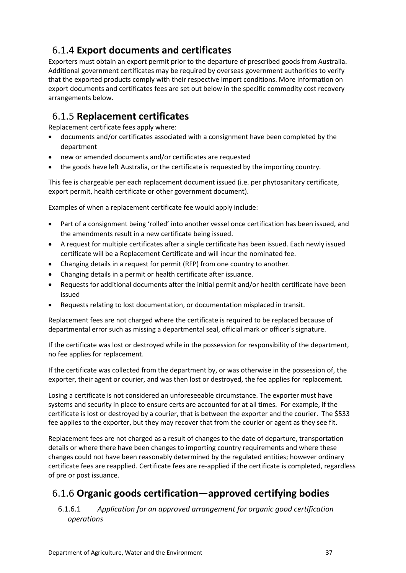# <span id="page-36-0"></span>6.1.4 **Export documents and certificates**

Exporters must obtain an export permit prior to the departure of prescribed goods from Australia. Additional government certificates may be required by overseas government authorities to verify that the exported products comply with their respective import conditions. More information on export documents and certificates fees are set out below in the specific commodity cost recovery arrangements below.

# <span id="page-36-1"></span>6.1.5 **Replacement certificates**

Replacement certificate fees apply where:

- documents and/or certificates associated with a consignment have been completed by the department
- new or amended documents and/or certificates are requested
- the goods have left Australia, or the certificate is requested by the importing country.

This fee is chargeable per each replacement document issued (i.e. per phytosanitary certificate, export permit, health certificate or other government document).

Examples of when a replacement certificate fee would apply include:

- Part of a consignment being 'rolled' into another vessel once certification has been issued, and the amendments result in a new certificate being issued.
- A request for multiple certificates after a single certificate has been issued. Each newly issued certificate will be a Replacement Certificate and will incur the nominated fee.
- Changing details in a request for permit (RFP) from one country to another.
- Changing details in a permit or health certificate after issuance.
- Requests for additional documents after the initial permit and/or health certificate have been issued
- Requests relating to lost documentation, or documentation misplaced in transit.

Replacement fees are not charged where the certificate is required to be replaced because of departmental error such as missing a departmental seal, official mark or officer's signature.

If the certificate was lost or destroyed while in the possession for responsibility of the department, no fee applies for replacement.

If the certificate was collected from the department by, or was otherwise in the possession of, the exporter, their agent or courier, and was then lost or destroyed, the fee applies for replacement.

Losing a certificate is not considered an unforeseeable circumstance. The exporter must have systems and security in place to ensure certs are accounted for at all times. For example, if the certificate is lost or destroyed by a courier, that is between the exporter and the courier. The \$533 fee applies to the exporter, but they may recover that from the courier or agent as they see fit.

Replacement fees are not charged as a result of changes to the date of departure, transportation details or where there have been changes to importing country requirements and where these changes could not have been reasonably determined by the regulated entities; however ordinary certificate fees are reapplied. Certificate fees are re-applied if the certificate is completed, regardless of pre or post issuance.

## <span id="page-36-2"></span>6.1.6 **Organic goods certification—approved certifying bodies**

### 6.1.6.1 *Application for an approved arrangement for organic good certification operations*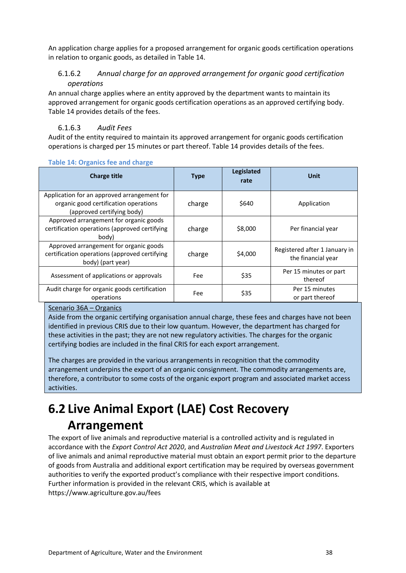An application charge applies for a proposed arrangement for organic goods certification operations in relation to organic goods, as detailed in Table 14.

### 6.1.6.2 *Annual charge for an approved arrangement for organic good certification operations*

An annual charge applies where an entity approved by the department wants to maintain its approved arrangement for organic goods certification operations as an approved certifying body. Table 14 provides details of the fees.

### 6.1.6.3 *Audit Fees*

Audit of the entity required to maintain its approved arrangement for organic goods certification operations is charged per 15 minutes or part thereof. Table 14 provides details of the fees.

| <b>Charge title</b>                                                                                                | <b>Type</b> | Legislated<br>rate | <b>Unit</b>                                         |
|--------------------------------------------------------------------------------------------------------------------|-------------|--------------------|-----------------------------------------------------|
| Application for an approved arrangement for<br>organic good certification operations<br>(approved certifying body) | charge      | \$640              | Application                                         |
| Approved arrangement for organic goods<br>certification operations (approved certifying<br>body)                   | charge      | \$8,000            | Per financial year                                  |
| Approved arrangement for organic goods<br>certification operations (approved certifying<br>body) (part year)       | charge      | \$4,000            | Registered after 1 January in<br>the financial year |
| Assessment of applications or approvals                                                                            | Fee         | \$35               | Per 15 minutes or part<br>thereof                   |
| Audit charge for organic goods certification<br>operations                                                         | Fee         | \$35               | Per 15 minutes<br>or part thereof                   |

### **Table 14: Organics fee and charge**

### Scenario 36A – Organics

Aside from the organic certifying organisation annual charge, these fees and charges have not been identified in previous CRIS due to their low quantum. However, the department has charged for these activities in the past; they are not new regulatory activities. The charges for the organic certifying bodies are included in the final CRIS for each export arrangement.

The charges are provided in the various arrangements in recognition that the commodity arrangement underpins the export of an organic consignment. The commodity arrangements are, therefore, a contributor to some costs of the organic export program and associated market access activities.

# <span id="page-37-0"></span>**6.2 Live Animal Export (LAE) Cost Recovery Arrangement**

The export of live animals and reproductive material is a controlled activity and is regulated in accordance with the *Export Control Act 2020*, and *Australian Meat and Livestock Act 1997*. Exporters of live animals and animal reproductive material must obtain an export permit prior to the departure of goods from Australia and additional export certification may be required by overseas government authorities to verify the exported product's compliance with their respective import conditions. Further information is provided in the relevant CRIS, which is available at https://www.agriculture.gov.au/fees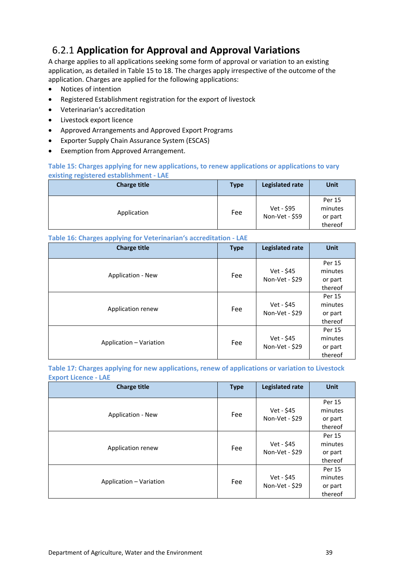# <span id="page-38-0"></span>6.2.1 **Application for Approval and Approval Variations**

A charge applies to all applications seeking some form of approval or variation to an existing application, as detailed in Table 15 to 18. The charges apply irrespective of the outcome of the application. Charges are applied for the following applications:

- Notices of intention
- Registered Establishment registration for the export of livestock
- Veterinarian's accreditation
- Livestock export licence
- Approved Arrangements and Approved Export Programs
- Exporter Supply Chain Assurance System (ESCAS)
- Exemption from Approved Arrangement.

### **Table 15: Charges applying for new applications, to renew applications or applications to vary existing registered establishment - LAE**

| <b>Charge title</b> | <b>Type</b> | Legislated rate              | Unit                                    |
|---------------------|-------------|------------------------------|-----------------------------------------|
| Application         | Fee         | Vet - \$95<br>Non-Vet - \$59 | Per 15<br>minutes<br>or part<br>thereof |

#### **Table 16: Charges applying for Veterinarian's accreditation - LAE**

| ັ<br>. .<br>. .<br>ັ<br><b>Charge title</b> | <b>Type</b> | Legislated rate              | <b>Unit</b>                             |
|---------------------------------------------|-------------|------------------------------|-----------------------------------------|
| <b>Application - New</b>                    | Fee         | Vet - \$45<br>Non-Vet - \$29 | Per 15<br>minutes<br>or part<br>thereof |
| Application renew                           | Fee         | Vet - \$45<br>Non-Vet - \$29 | Per 15<br>minutes<br>or part<br>thereof |
| Application - Variation                     | Fee         | Vet - \$45<br>Non-Vet - \$29 | Per 15<br>minutes<br>or part<br>thereof |

**Table 17: Charges applying for new applications, renew of applications or variation to Livestock Export Licence - LAE**

| <b>Charge title</b>     | <b>Type</b> | Legislated rate              | <b>Unit</b>                             |
|-------------------------|-------------|------------------------------|-----------------------------------------|
| Application - New       | Fee         | Vet - \$45<br>Non-Vet - \$29 | Per 15<br>minutes<br>or part<br>thereof |
| Application renew       | Fee         | Vet - \$45<br>Non-Vet - \$29 | Per 15<br>minutes<br>or part<br>thereof |
| Application - Variation | Fee         | Vet - \$45<br>Non-Vet - \$29 | Per 15<br>minutes<br>or part<br>thereof |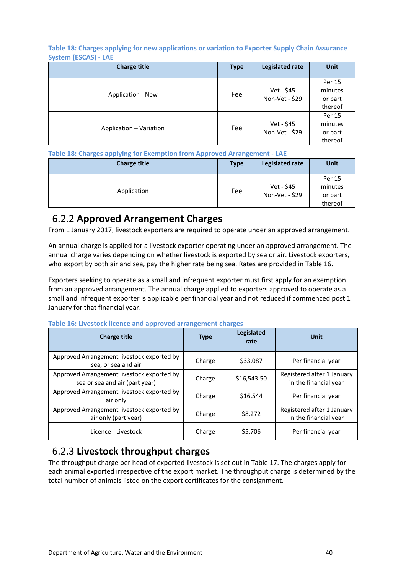**Table 18: Charges applying for new applications or variation to Exporter Supply Chain Assurance System (ESCAS) - LAE**

| <b>Charge title</b>     | <b>Type</b> | <b>Legislated rate</b>       | Unit                                    |
|-------------------------|-------------|------------------------------|-----------------------------------------|
| Application - New       | Fee         | Vet - \$45<br>Non-Vet - \$29 | Per 15<br>minutes<br>or part<br>thereof |
| Application - Variation | Fee         | Vet - \$45<br>Non-Vet - \$29 | Per 15<br>minutes<br>or part<br>thereof |

### **Table 18: Charges applying for Exemption from Approved Arrangement - LAE**

| <b>Charge title</b> | <b>Type</b> | Legislated rate              | Unit                                    |
|---------------------|-------------|------------------------------|-----------------------------------------|
| Application         | Fee         | Vet - \$45<br>Non-Vet - \$29 | Per 15<br>minutes<br>or part<br>thereof |

### <span id="page-39-0"></span>6.2.2 **Approved Arrangement Charges**

From 1 January 2017, livestock exporters are required to operate under an approved arrangement.

An annual charge is applied for a livestock exporter operating under an approved arrangement. The annual charge varies depending on whether livestock is exported by sea or air. Livestock exporters, who export by both air and sea, pay the higher rate being sea. Rates are provided in Table 16.

Exporters seeking to operate as a small and infrequent exporter must first apply for an exemption from an approved arrangement. The annual charge applied to exporters approved to operate as a small and infrequent exporter is applicable per financial year and not reduced if commenced post 1 January for that financial year.

| <b>Charge title</b>                                                          | <b>Type</b> | <b>Legislated</b><br>rate | Unit                                                |
|------------------------------------------------------------------------------|-------------|---------------------------|-----------------------------------------------------|
| Approved Arrangement livestock exported by<br>sea, or sea and air            | Charge      | \$33,087                  | Per financial year                                  |
| Approved Arrangement livestock exported by<br>sea or sea and air (part year) | Charge      | \$16,543.50               | Registered after 1 January<br>in the financial year |
| Approved Arrangement livestock exported by<br>air only                       | Charge      | \$16,544                  | Per financial year                                  |
| Approved Arrangement livestock exported by<br>air only (part year)           | Charge      | \$8,272                   | Registered after 1 January<br>in the financial year |
| Licence - Livestock                                                          | Charge      | \$5,706                   | Per financial year                                  |

**Table 16: Livestock licence and approved arrangement charges**

### <span id="page-39-1"></span>6.2.3 **Livestock throughput charges**

The throughput charge per head of exported livestock is set out in Table 17. The charges apply for each animal exported irrespective of the export market. The throughput charge is determined by the total number of animals listed on the export certificates for the consignment.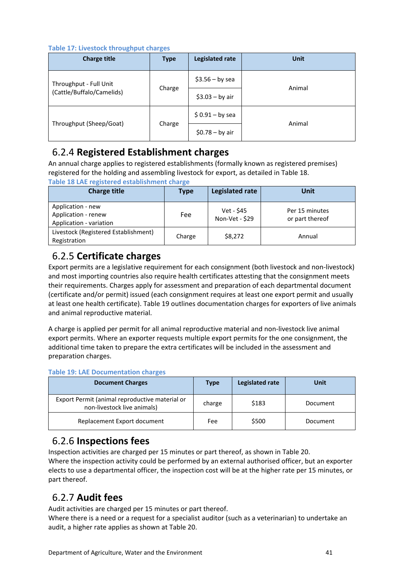**Table 17: Livestock throughput charges**

| <b>Charge title</b>       | <b>Type</b> | <b>Legislated rate</b> | <b>Unit</b> |
|---------------------------|-------------|------------------------|-------------|
| Throughput - Full Unit    |             | $$3.56 - by sea$       |             |
| (Cattle/Buffalo/Camelids) | Charge      | $$3.03 - by air$       | Animal      |
|                           |             | $$0.91 - by sea$       | Animal      |
| Throughput (Sheep/Goat)   | Charge      | $$0.78 - by air$       |             |

# <span id="page-40-0"></span>6.2.4 **Registered Establishment charges**

An annual charge applies to registered establishments (formally known as registered premises) registered for the holding and assembling livestock for export, as detailed in Table 18. **Table 18 LAE registered establishment charge** 

| <b>Charge title</b>                                                 | Type   | <b>Legislated rate</b>       | Unit                              |
|---------------------------------------------------------------------|--------|------------------------------|-----------------------------------|
| Application - new<br>Application - renew<br>Application - variation | Fee    | Vet - \$45<br>Non-Vet - \$29 | Per 15 minutes<br>or part thereof |
| Livestock (Registered Establishment)<br>Registration                | Charge | \$8,272                      | Annual                            |

# <span id="page-40-1"></span>6.2.5 **Certificate charges**

Export permits are a legislative requirement for each consignment (both livestock and non-livestock) and most importing countries also require health certificates attesting that the consignment meets their requirements. Charges apply for assessment and preparation of each departmental document (certificate and/or permit) issued (each consignment requires at least one export permit and usually at least one health certificate). Table 19 outlines documentation charges for exporters of live animals and animal reproductive material.

A charge is applied per permit for all animal reproductive material and non-livestock live animal export permits. Where an exporter requests multiple export permits for the one consignment, the additional time taken to prepare the extra certificates will be included in the assessment and preparation charges.

### **Table 19: LAE Documentation charges**

| <b>Document Charges</b>                                                       | <b>Type</b> | Legislated rate | Unit     |
|-------------------------------------------------------------------------------|-------------|-----------------|----------|
| Export Permit (animal reproductive material or<br>non-livestock live animals) | charge      | \$183           | Document |
| Replacement Export document                                                   | Fee         | \$500           | Document |

# <span id="page-40-2"></span>6.2.6 **Inspections fees**

Inspection activities are charged per 15 minutes or part thereof, as shown in Table 20. Where the inspection activity could be performed by an external authorised officer, but an exporter elects to use a departmental officer, the inspection cost will be at the higher rate per 15 minutes, or part thereof.

# <span id="page-40-3"></span>6.2.7 **Audit fees**

Audit activities are charged per 15 minutes or part thereof.

Where there is a need or a request for a specialist auditor (such as a veterinarian) to undertake an audit, a higher rate applies as shown at Table 20.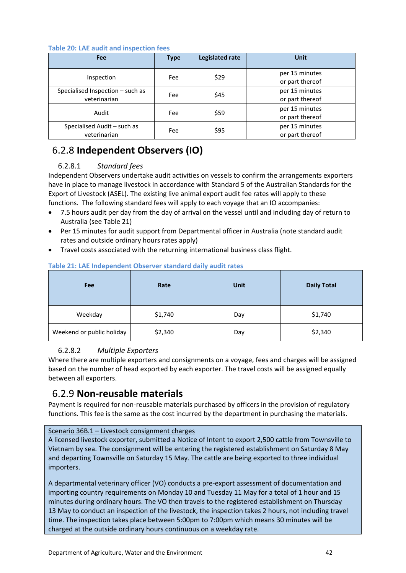### **Table 20: LAE audit and inspection fees**

| Fee                                              | <b>Type</b> | <b>Legislated rate</b> | <b>Unit</b>                       |
|--------------------------------------------------|-------------|------------------------|-----------------------------------|
| Inspection                                       | Fee         | \$29                   | per 15 minutes<br>or part thereof |
| Specialised Inspection - such as<br>veterinarian | Fee         | \$45                   | per 15 minutes<br>or part thereof |
| Audit                                            | Fee         | \$59                   | per 15 minutes<br>or part thereof |
| Specialised Audit - such as<br>veterinarian      | Fee         | \$95                   | per 15 minutes<br>or part thereof |

# <span id="page-41-0"></span>6.2.8 **Independent Observers (IO)**

### 6.2.8.1 *Standard fees*

Independent Observers undertake audit activities on vessels to confirm the arrangements exporters have in place to manage livestock in accordance with Standard 5 of the Australian Standards for the Export of Livestock (ASEL). The existing live animal export audit fee rates will apply to these functions. The following standard fees will apply to each voyage that an IO accompanies:

- 7.5 hours audit per day from the day of arrival on the vessel until and including day of return to Australia (see Table 21)
- Per 15 minutes for audit support from Departmental officer in Australia (note standard audit rates and outside ordinary hours rates apply)
- Travel costs associated with the returning international business class flight.

| Fee                       | Rate    | <b>Unit</b> | <b>Daily Total</b> |
|---------------------------|---------|-------------|--------------------|
| Weekday                   | \$1,740 | Day         | \$1,740            |
| Weekend or public holiday | \$2,340 | Day         | \$2,340            |

### **Table 21: LAE Independent Observer standard daily audit rates**

### 6.2.8.2 *Multiple Exporters*

Where there are multiple exporters and consignments on a voyage, fees and charges will be assigned based on the number of head exported by each exporter. The travel costs will be assigned equally between all exporters.

### <span id="page-41-1"></span>6.2.9 **Non-reusable materials**

Payment is required for non-reusable materials purchased by officers in the provision of regulatory functions. This fee is the same as the cost incurred by the department in purchasing the materials.

### Scenario 36B.1 – Livestock consignment charges

A licensed livestock exporter, submitted a Notice of Intent to export 2,500 cattle from Townsville to Vietnam by sea. The consignment will be entering the registered establishment on Saturday 8 May and departing Townsville on Saturday 15 May. The cattle are being exported to three individual importers.

A departmental veterinary officer (VO) conducts a pre-export assessment of documentation and importing country requirements on Monday 10 and Tuesday 11 May for a total of 1 hour and 15 minutes during ordinary hours. The VO then travels to the registered establishment on Thursday 13 May to conduct an inspection of the livestock, the inspection takes 2 hours, not including travel time. The inspection takes place between 5:00pm to 7:00pm which means 30 minutes will be charged at the outside ordinary hours continuous on a weekday rate.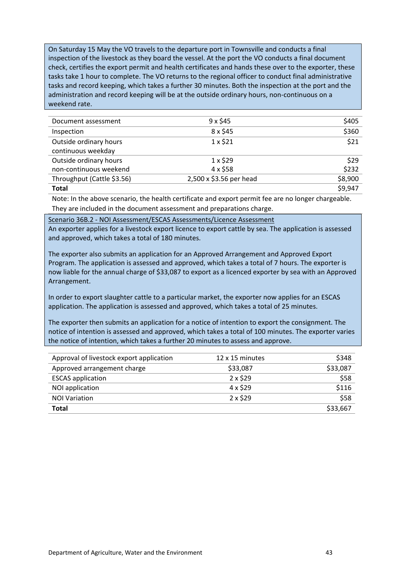On Saturday 15 May the VO travels to the departure port in Townsville and conducts a final inspection of the livestock as they board the vessel. At the port the VO conducts a final document check, certifies the export permit and health certificates and hands these over to the exporter, these tasks take 1 hour to complete. The VO returns to the regional officer to conduct final administrative tasks and record keeping, which takes a further 30 minutes. Both the inspection at the port and the administration and record keeping will be at the outside ordinary hours, non-continuous on a weekend rate.

| Document assessment        | $9 \times $45$          | \$405   |
|----------------------------|-------------------------|---------|
| Inspection                 | 8 x \$45                | \$360   |
| Outside ordinary hours     | $1 \times $21$          | \$21    |
| continuous weekday         |                         |         |
| Outside ordinary hours     | $1 \times $29$          | \$29    |
| non-continuous weekend     | 4 x \$58                | \$232   |
| Throughput (Cattle \$3.56) | 2,500 x \$3.56 per head | \$8,900 |
| <b>Total</b>               |                         | \$9,947 |

Note: In the above scenario, the health certificate and export permit fee are no longer chargeable. They are included in the document assessment and preparations charge.

Scenario 36B.2 - NOI Assessment/ESCAS Assessments/Licence Assessment

An exporter applies for a livestock export licence to export cattle by sea. The application is assessed and approved, which takes a total of 180 minutes.

The exporter also submits an application for an Approved Arrangement and Approved Export Program. The application is assessed and approved, which takes a total of 7 hours. The exporter is now liable for the annual charge of \$33,087 to export as a licenced exporter by sea with an Approved Arrangement.

In order to export slaughter cattle to a particular market, the exporter now applies for an ESCAS application. The application is assessed and approved, which takes a total of 25 minutes.

The exporter then submits an application for a notice of intention to export the consignment. The notice of intention is assessed and approved, which takes a total of 100 minutes. The exporter varies the notice of intention, which takes a further 20 minutes to assess and approve.

| Approval of livestock export application | 12 x 15 minutes | \$348    |
|------------------------------------------|-----------------|----------|
| Approved arrangement charge              | \$33,087        | \$33,087 |
| <b>ESCAS</b> application                 | $2 \times $29$  | \$58     |
| NOI application                          | 4 x \$29        | \$116    |
| <b>NOI Variation</b>                     | $2 \times $29$  | \$58     |
| <b>Total</b>                             |                 | \$33,667 |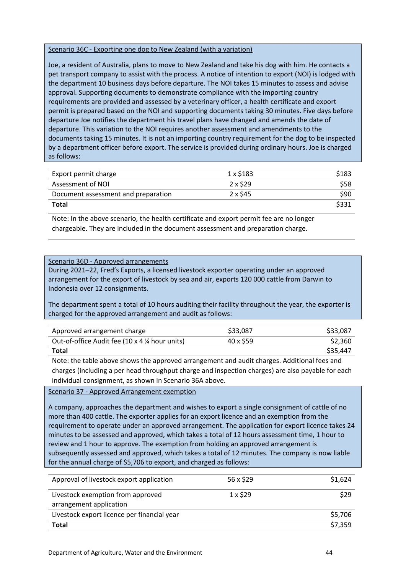### Scenario 36C - Exporting one dog to New Zealand (with a variation)

Joe, a resident of Australia, plans to move to New Zealand and take his dog with him. He contacts a pet transport company to assist with the process. A notice of intention to export (NOI) is lodged with the department 10 business days before departure. The NOI takes 15 minutes to assess and advise approval. Supporting documents to demonstrate compliance with the importing country requirements are provided and assessed by a veterinary officer, a health certificate and export permit is prepared based on the NOI and supporting documents taking 30 minutes. Five days before departure Joe notifies the department his travel plans have changed and amends the date of departure. This variation to the NOI requires another assessment and amendments to the documents taking 15 minutes. It is not an importing country requirement for the dog to be inspected by a department officer before export. The service is provided during ordinary hours. Joe is charged as follows:

| Export permit charge                | 1 x \$183 | \$183 |
|-------------------------------------|-----------|-------|
| Assessment of NOI                   | 2 x \$29  | \$58  |
| Document assessment and preparation | 2 x \$45  | \$90  |
| Total                               |           | \$331 |

Note: In the above scenario, the health certificate and export permit fee are no longer chargeable. They are included in the document assessment and preparation charge.

#### Scenario 36D - Approved arrangements

During 2021–22, Fred's Exports, a licensed livestock exporter operating under an approved arrangement for the export of livestock by sea and air, exports 120 000 cattle from Darwin to Indonesia over 12 consignments.

The department spent a total of 10 hours auditing their facility throughout the year, the exporter is charged for the approved arrangement and audit as follows:

| Approved arrangement charge                   | \$33,087  | \$33,087 |
|-----------------------------------------------|-----------|----------|
| Out-of-office Audit fee (10 x 4 % hour units) | 40 x \$59 | \$2,360  |
| <b>Total</b>                                  |           | \$35,447 |

Note: the table above shows the approved arrangement and audit charges. Additional fees and charges (including a per head throughput charge and inspection charges) are also payable for each individual consignment, as shown in Scenario 36A above.

### Scenario 37 - Approved Arrangement exemption

A company, approaches the department and wishes to export a single consignment of cattle of no more than 400 cattle. The exporter applies for an export licence and an exemption from the requirement to operate under an approved arrangement. The application for export licence takes 24 minutes to be assessed and approved, which takes a total of 12 hours assessment time, 1 hour to review and 1 hour to approve. The exemption from holding an approved arrangement is subsequently assessed and approved, which takes a total of 12 minutes. The company is now liable for the annual charge of \$5,706 to export, and charged as follows:

| Approval of livestock export application                     | 56 x \$29      | \$1,624 |
|--------------------------------------------------------------|----------------|---------|
| Livestock exemption from approved<br>arrangement application | $1 \times $29$ | \$29    |
| Livestock export licence per financial year                  |                | \$5,706 |
| <b>Total</b>                                                 |                | \$7,359 |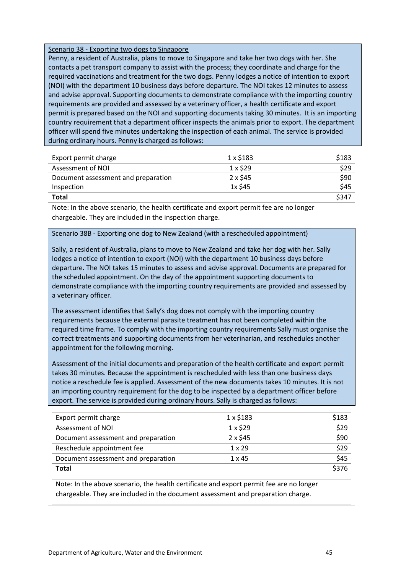### Scenario 38 - Exporting two dogs to Singapore

Penny, a resident of Australia, plans to move to Singapore and take her two dogs with her. She contacts a pet transport company to assist with the process; they coordinate and charge for the required vaccinations and treatment for the two dogs. Penny lodges a notice of intention to export (NOI) with the department 10 business days before departure. The NOI takes 12 minutes to assess and advise approval. Supporting documents to demonstrate compliance with the importing country requirements are provided and assessed by a veterinary officer, a health certificate and export permit is prepared based on the NOI and supporting documents taking 30 minutes. It is an importing country requirement that a department officer inspects the animals prior to export. The department officer will spend five minutes undertaking the inspection of each animal. The service is provided during ordinary hours. Penny is charged as follows:

| Export permit charge                | 1 x \$183       | \$183 |
|-------------------------------------|-----------------|-------|
| Assessment of NOI                   | $1 \times$ \$29 | \$29  |
| Document assessment and preparation | 2 x \$45        | \$90  |
| Inspection                          | 1x \$45         | \$45  |
| Total                               |                 | \$347 |

Note: In the above scenario, the health certificate and export permit fee are no longer chargeable. They are included in the inspection charge.

### Scenario 38B - Exporting one dog to New Zealand (with a rescheduled appointment)

Sally, a resident of Australia, plans to move to New Zealand and take her dog with her. Sally lodges a notice of intention to export (NOI) with the department 10 business days before departure. The NOI takes 15 minutes to assess and advise approval. Documents are prepared for the scheduled appointment. On the day of the appointment supporting documents to demonstrate compliance with the importing country requirements are provided and assessed by a veterinary officer.

The assessment identifies that Sally's dog does not comply with the importing country requirements because the external parasite treatment has not been completed within the required time frame. To comply with the importing country requirements Sally must organise the correct treatments and supporting documents from her veterinarian, and reschedules another appointment for the following morning.

Assessment of the initial documents and preparation of the health certificate and export permit takes 30 minutes. Because the appointment is rescheduled with less than one business days notice a reschedule fee is applied. Assessment of the new documents takes 10 minutes. It is not an importing country requirement for the dog to be inspected by a department officer before export. The service is provided during ordinary hours. Sally is charged as follows:

| Export permit charge                | $1 \times $183$ | \$183 |
|-------------------------------------|-----------------|-------|
| Assessment of NOI                   | $1 \times $29$  | \$29  |
| Document assessment and preparation | $2 \times $45$  | \$90  |
| Reschedule appointment fee          | $1 \times 29$   | \$29  |
| Document assessment and preparation | $1 \times 45$   | \$45  |
| Total                               |                 | \$376 |

Note: In the above scenario, the health certificate and export permit fee are no longer chargeable. They are included in the document assessment and preparation charge.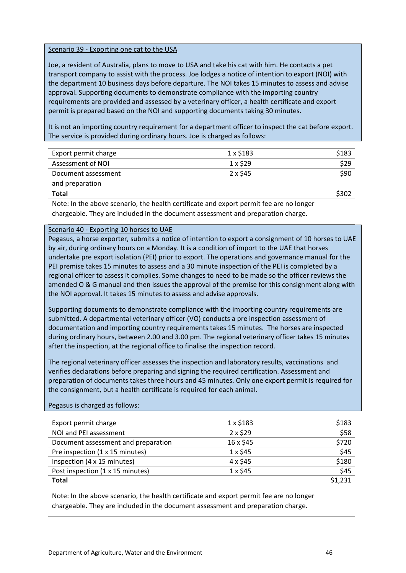### Scenario 39 - Exporting one cat to the USA

Joe, a resident of Australia, plans to move to USA and take his cat with him. He contacts a pet transport company to assist with the process. Joe lodges a notice of intention to export (NOI) with the department 10 business days before departure. The NOI takes 15 minutes to assess and advise approval. Supporting documents to demonstrate compliance with the importing country requirements are provided and assessed by a veterinary officer, a health certificate and export permit is prepared based on the NOI and supporting documents taking 30 minutes.

It is not an importing country requirement for a department officer to inspect the cat before export. The service is provided during ordinary hours. Joe is charged as follows:

| Export permit charge | $1 \times $183$ | \$183 |
|----------------------|-----------------|-------|
| Assessment of NOI    | $1 \times $29$  | \$29  |
| Document assessment  | $2 \times $45$  | \$90  |
| and preparation      |                 |       |
| Total                |                 |       |

Note: In the above scenario, the health certificate and export permit fee are no longer chargeable. They are included in the document assessment and preparation charge.

#### Scenario 40 - Exporting 10 horses to UAE

Pegasus, a horse exporter, submits a notice of intention to export a consignment of 10 horses to UAE by air, during ordinary hours on a Monday. It is a condition of import to the UAE that horses undertake pre export isolation (PEI) prior to export. The operations and governance manual for the PEI premise takes 15 minutes to assess and a 30 minute inspection of the PEI is completed by a regional officer to assess it complies. Some changes to need to be made so the officer reviews the amended O & G manual and then issues the approval of the premise for this consignment along with the NOI approval. It takes 15 minutes to assess and advise approvals.

Supporting documents to demonstrate compliance with the importing country requirements are submitted. A departmental veterinary officer (VO) conducts a pre inspection assessment of documentation and importing country requirements takes 15 minutes. The horses are inspected during ordinary hours, between 2.00 and 3.00 pm. The regional veterinary officer takes 15 minutes after the inspection, at the regional office to finalise the inspection record.

The regional veterinary officer assesses the inspection and laboratory results, vaccinations and verifies declarations before preparing and signing the required certification. Assessment and preparation of documents takes three hours and 45 minutes. Only one export permit is required for the consignment, but a health certificate is required for each animal.

### Pegasus is charged as follows:

| Export permit charge                | $1 \times $183$ | \$183   |
|-------------------------------------|-----------------|---------|
| NOI and PEI assessment              | $2 \times $29$  | \$58    |
| Document assessment and preparation | 16 x \$45       | \$720   |
| Pre inspection (1 x 15 minutes)     | $1 \times $45$  | \$45    |
| Inspection (4 x 15 minutes)         | 4 x \$45        | \$180   |
| Post inspection (1 x 15 minutes)    | $1 \times $45$  | \$45    |
| <b>Total</b>                        |                 | \$1,231 |

Note: In the above scenario, the health certificate and export permit fee are no longer chargeable. They are included in the document assessment and preparation charge.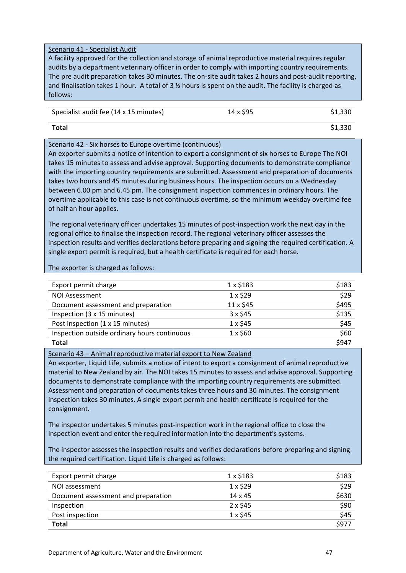### Scenario 41 - Specialist Audit

A facility approved for the collection and storage of animal reproductive material requires regular audits by a department veterinary officer in order to comply with importing country requirements. The pre audit preparation takes 30 minutes. The on-site audit takes 2 hours and post-audit reporting, and finalisation takes 1 hour. A total of 3  $\frac{1}{2}$  hours is spent on the audit. The facility is charged as follows:

| Specialist audit fee (14 x 15 minutes) | 14 x \$95 | \$1,330 |
|----------------------------------------|-----------|---------|
|----------------------------------------|-----------|---------|

**Total** \$1,330

### Scenario 42 - Six horses to Europe overtime (continuous)

An exporter submits a notice of intention to export a consignment of six horses to Europe The NOI takes 15 minutes to assess and advise approval. Supporting documents to demonstrate compliance with the importing country requirements are submitted. Assessment and preparation of documents takes two hours and 45 minutes during business hours. The inspection occurs on a Wednesday between 6.00 pm and 6.45 pm. The consignment inspection commences in ordinary hours. The overtime applicable to this case is not continuous overtime, so the minimum weekday overtime fee of half an hour applies.

The regional veterinary officer undertakes 15 minutes of post-inspection work the next day in the regional office to finalise the inspection record. The regional veterinary officer assesses the inspection results and verifies declarations before preparing and signing the required certification. A single export permit is required, but a health certificate is required for each horse.

The exporter is charged as follows:

| Export permit charge                         | $1 \times $183$ | \$183 |
|----------------------------------------------|-----------------|-------|
| <b>NOI Assessment</b>                        | $1 \times $29$  | \$29  |
| Document assessment and preparation          | 11 x \$45       | \$495 |
| Inspection (3 x 15 minutes)                  | $3 \times $45$  | \$135 |
| Post inspection (1 x 15 minutes)             | $1 \times $45$  | \$45  |
| Inspection outside ordinary hours continuous | $1 \times $60$  | \$60  |
| Total                                        |                 | \$947 |

### Scenario 43 – Animal reproductive material export to New Zealand

An exporter, Liquid Life, submits a notice of intent to export a consignment of animal reproductive material to New Zealand by air. The NOI takes 15 minutes to assess and advise approval. Supporting documents to demonstrate compliance with the importing country requirements are submitted. Assessment and preparation of documents takes three hours and 30 minutes. The consignment inspection takes 30 minutes. A single export permit and health certificate is required for the consignment.

The inspector undertakes 5 minutes post-inspection work in the regional office to close the inspection event and enter the required information into the department's systems.

The inspector assesses the inspection results and verifies declarations before preparing and signing the required certification. Liquid Life is charged as follows:

| Export permit charge                | $1 \times $183$ | \$183 |
|-------------------------------------|-----------------|-------|
| NOI assessment                      | $1 \times $29$  | \$29  |
| Document assessment and preparation | $14 \times 45$  | \$630 |
| Inspection                          | $2 \times $45$  | \$90  |
| Post inspection                     | $1 \times $45$  | \$45  |
| Total                               |                 | \$977 |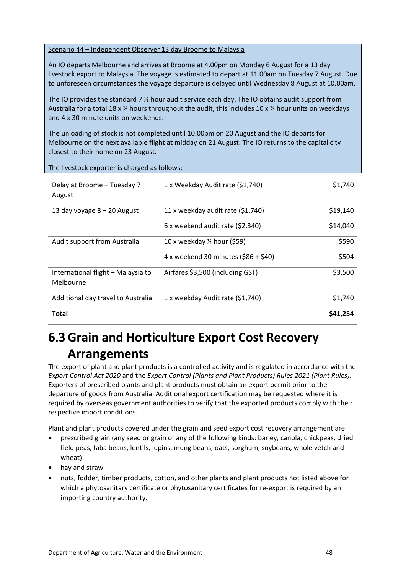Scenario 44 – Independent Observer 13 day Broome to Malaysia

An IO departs Melbourne and arrives at Broome at 4.00pm on Monday 6 August for a 13 day livestock export to Malaysia. The voyage is estimated to depart at 11.00am on Tuesday 7 August. Due to unforeseen circumstances the voyage departure is delayed until Wednesday 8 August at 10.00am.

The IO provides the standard 7 ½ hour audit service each day. The IO obtains audit support from Australia for a total 18 x  $\frac{1}{4}$  hours throughout the audit, this includes 10 x  $\frac{1}{4}$  hour units on weekdays and 4 x 30 minute units on weekends.

The unloading of stock is not completed until 10.00pm on 20 August and the IO departs for Melbourne on the next available flight at midday on 21 August. The IO returns to the capital city closest to their home on 23 August.

The livestock exporter is charged as follows:

| Delay at Broome - Tuesday 7<br>August           | 1 x Weekday Audit rate (\$1,740)       | \$1,740  |
|-------------------------------------------------|----------------------------------------|----------|
| 13 day voyage $8 - 20$ August                   | 11 x weekday audit rate (\$1,740)      | \$19,140 |
|                                                 | $6x$ weekend audit rate (\$2,340)      | \$14,040 |
| Audit support from Australia                    | 10 x weekday $\frac{1}{2}$ hour (\$59) | \$590    |
|                                                 | 4 x weekend 30 minutes $(586 + 540)$   | \$504    |
| International flight - Malaysia to<br>Melbourne | Airfares \$3,500 (including GST)       | \$3,500  |
| Additional day travel to Australia              | 1 x weekday Audit rate (\$1,740)       | \$1,740  |
| Total                                           |                                        | S41.254  |

# <span id="page-47-0"></span>**6.3 Grain and Horticulture Export Cost Recovery Arrangements**

The export of plant and plant products is a controlled activity and is regulated in accordance with the *Export Control Act 2020* and the *Export Control (Plants and Plant Products) Rules 2021 (Plant Rules)*. Exporters of prescribed plants and plant products must obtain an export permit prior to the departure of goods from Australia. Additional export certification may be requested where it is required by overseas government authorities to verify that the exported products comply with their respective import conditions.

Plant and plant products covered under the grain and seed export cost recovery arrangement are:

- prescribed grain (any seed or grain of any of the following kinds: barley, canola, chickpeas, dried field peas, faba beans, lentils, lupins, mung beans, oats, sorghum, soybeans, whole vetch and wheat)
- hay and straw
- nuts, fodder, timber products, cotton, and other plants and plant products not listed above for which a phytosanitary certificate or phytosanitary certificates for re-export is required by an importing country authority.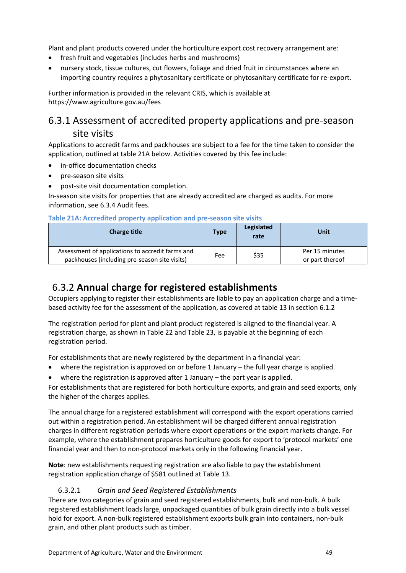Plant and plant products covered under the horticulture export cost recovery arrangement are:

- fresh fruit and vegetables (includes herbs and mushrooms)
- nursery stock, tissue cultures, cut flowers, foliage and dried fruit in circumstances where an importing country requires a phytosanitary certificate or phytosanitary certificate for re-export.

Further information is provided in the relevant CRIS, which is available at https://www.agriculture.gov.au/fees

# <span id="page-48-0"></span>6.3.1 Assessment of accredited property applications and pre-season site visits

Applications to accredit farms and packhouses are subject to a fee for the time taken to consider the application, outlined at table 21A below. Activities covered by this fee include:

- in-office documentation checks
- pre-season site visits
- post-site visit documentation completion.

In-season site visits for properties that are already accredited are charged as audits. For more information, see 6.3.4 Audit fees.

|  |  | Table 21A: Accredited property application and pre-season site visits |  |  |
|--|--|-----------------------------------------------------------------------|--|--|
|  |  |                                                                       |  |  |

| <b>Charge title</b>                                                                               | <b>Type</b> | Legislated<br>rate | Unit                              |
|---------------------------------------------------------------------------------------------------|-------------|--------------------|-----------------------------------|
| Assessment of applications to accredit farms and<br>packhouses (including pre-season site visits) | Fee         | \$35               | Per 15 minutes<br>or part thereof |

## <span id="page-48-1"></span>6.3.2 **Annual charge for registered establishments**

Occupiers applying to register their establishments are liable to pay an application charge and a timebased activity fee for the assessment of the application, as covered at table 13 in section 6.1.2

The registration period for plant and plant product registered is aligned to the financial year. A registration charge, as shown in Table 22 and Table 23, is payable at the beginning of each registration period.

For establishments that are newly registered by the department in a financial year:

- where the registration is approved on or before 1 January the full year charge is applied.
- where the registration is approved after 1 January the part year is applied.

For establishments that are registered for both horticulture exports, and grain and seed exports, only the higher of the charges applies.

The annual charge for a registered establishment will correspond with the export operations carried out within a registration period. An establishment will be charged different annual registration charges in different registration periods where export operations or the export markets change. For example, where the establishment prepares horticulture goods for export to 'protocol markets' one financial year and then to non-protocol markets only in the following financial year.

**Note**: new establishments requesting registration are also liable to pay the establishment registration application charge of \$581 outlined at Table 13.

### 6.3.2.1 *Grain and Seed Registered Establishments*

There are two categories of grain and seed registered establishments, bulk and non-bulk. A bulk registered establishment loads large, unpackaged quantities of bulk grain directly into a bulk vessel hold for export. A non-bulk registered establishment exports bulk grain into containers, non-bulk grain, and other plant products such as timber.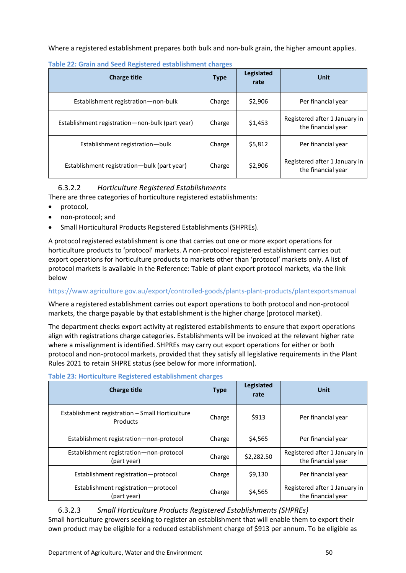Where a registered establishment prepares both bulk and non-bulk grain, the higher amount applies.

| <b>Charge title</b>                             | <b>Type</b> | Legislated<br>rate | Unit                                                |
|-------------------------------------------------|-------------|--------------------|-----------------------------------------------------|
| Establishment registration-non-bulk             | Charge      | \$2,906            | Per financial year                                  |
| Establishment registration—non-bulk (part year) | Charge      | \$1,453            | Registered after 1 January in<br>the financial year |
| Establishment registration-bulk                 | Charge      | \$5,812            | Per financial year                                  |
| Establishment registration—bulk (part year)     | Charge      | \$2,906            | Registered after 1 January in<br>the financial year |

**Table 22: Grain and Seed Registered establishment charges** 

### 6.3.2.2 *Horticulture Registered Establishments*

There are three categories of horticulture registered establishments:

- protocol,
- non-protocol; and
- Small Horticultural Products Registered Establishments (SHPREs).

A protocol registered establishment is one that carries out one or more export operations for horticulture products to 'protocol' markets. A non-protocol registered establishment carries out export operations for horticulture products to markets other than 'protocol' markets only. A list of protocol markets is available in the Reference: Table of plant export protocol markets, via the link below

### https://www.agriculture.gov.au/export/controlled-goods/plants-plant-products/plantexportsmanual

Where a registered establishment carries out export operations to both protocol and non-protocol markets, the charge payable by that establishment is the higher charge (protocol market).

The department checks export activity at registered establishments to ensure that export operations align with registrations charge categories. Establishments will be invoiced at the relevant higher rate where a misalignment is identified. SHPREs may carry out export operations for either or both protocol and non-protocol markets, provided that they satisfy all legislative requirements in the Plant Rules 2021 to retain SHPRE status (see below for more information).

| <b>Charge title</b>                                         | <b>Type</b> | Legislated<br>rate | <b>Unit</b>                                         |  |  |
|-------------------------------------------------------------|-------------|--------------------|-----------------------------------------------------|--|--|
| Establishment registration - Small Horticulture<br>Products | Charge      | \$913              | Per financial year                                  |  |  |
| Establishment registration-non-protocol                     | Charge      | \$4,565            | Per financial year                                  |  |  |
| Establishment registration-non-protocol<br>(part year)      | Charge      | \$2,282.50         | Registered after 1 January in<br>the financial year |  |  |
| Establishment registration-protocol                         | Charge      | \$9,130            | Per financial year                                  |  |  |
| Establishment registration-protocol<br>(part year)          | Charge      | \$4,565            | Registered after 1 January in<br>the financial year |  |  |

**Table 23: Horticulture Registered establishment charges** 

### 6.3.2.3 *Small Horticulture Products Registered Establishments (SHPREs)*

Small horticulture growers seeking to register an establishment that will enable them to export their own product may be eligible for a reduced establishment charge of \$913 per annum. To be eligible as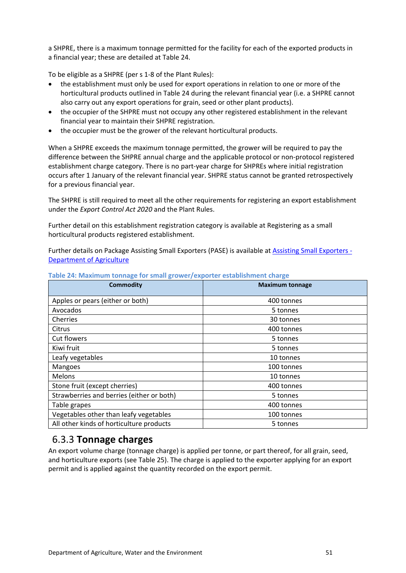a SHPRE, there is a maximum tonnage permitted for the facility for each of the exported products in a financial year; these are detailed at Table 24.

To be eligible as a SHPRE (per s 1-8 of the Plant Rules):

- the establishment must only be used for export operations in relation to one or more of the horticultural products outlined in Table 24 during the relevant financial year (i.e. a SHPRE cannot also carry out any export operations for grain, seed or other plant products).
- the occupier of the SHPRE must not occupy any other registered establishment in the relevant financial year to maintain their SHPRE registration.
- the occupier must be the grower of the relevant horticultural products.

When a SHPRE exceeds the maximum tonnage permitted, the grower will be required to pay the difference between the SHPRE annual charge and the applicable protocol or non-protocol registered establishment charge category. There is no part-year charge for SHPREs where initial registration occurs after 1 January of the relevant financial year. SHPRE status cannot be granted retrospectively for a previous financial year.

The SHPRE is still required to meet all the other requirements for registering an export establishment under the *Export Control Act 2020* and the Plant Rules.

Further detail on this establishment registration category is available at Registering as a small horticultural products registered establishment.

Further details on Package Assisting Small Exporters (PASE) is available at [Assisting Small Exporters -](http://www.agriculture.gov.au/export/from-australia/package-assisting-small-exporters#horticulture)  [Department of Agriculture](http://www.agriculture.gov.au/export/from-australia/package-assisting-small-exporters#horticulture)

| <b>Commodity</b>                          | <b>Maximum tonnage</b> |
|-------------------------------------------|------------------------|
| Apples or pears (either or both)          | 400 tonnes             |
| Avocados                                  | 5 tonnes               |
| Cherries                                  | 30 tonnes              |
| Citrus                                    | 400 tonnes             |
| <b>Cut flowers</b>                        | 5 tonnes               |
| Kiwi fruit                                | 5 tonnes               |
| Leafy vegetables                          | 10 tonnes              |
| Mangoes                                   | 100 tonnes             |
| Melons                                    | 10 tonnes              |
| Stone fruit (except cherries)             | 400 tonnes             |
| Strawberries and berries (either or both) | 5 tonnes               |
| Table grapes                              | 400 tonnes             |
| Vegetables other than leafy vegetables    | 100 tonnes             |
| All other kinds of horticulture products  | 5 tonnes               |

**Table 24: Maximum tonnage for small grower/exporter establishment charge**

### <span id="page-50-0"></span>6.3.3 **Tonnage charges**

An export volume charge (tonnage charge) is applied per tonne, or part thereof, for all grain, seed, and horticulture exports (see Table 25). The charge is applied to the exporter applying for an export permit and is applied against the quantity recorded on the export permit.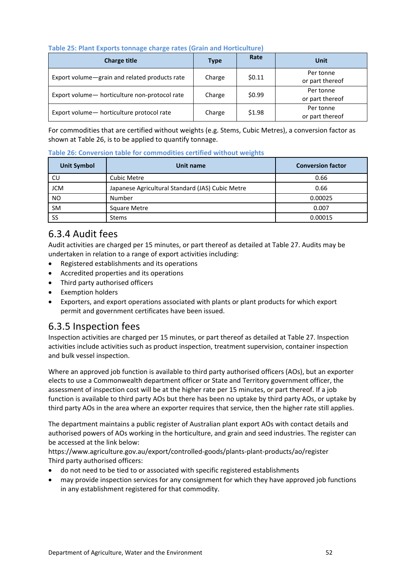| Table 25: Plant Exports tonnage charge rates (Grain and Horticulture) |  |
|-----------------------------------------------------------------------|--|
|-----------------------------------------------------------------------|--|

| <b>Charge title</b>                           | <b>Type</b> | Rate   | Unit                         |
|-----------------------------------------------|-------------|--------|------------------------------|
| Export volume-grain and related products rate | Charge      | \$0.11 | Per tonne<br>or part thereof |
| Export volume- horticulture non-protocol rate | Charge      | \$0.99 | Per tonne<br>or part thereof |
| Export volume- horticulture protocol rate     | Charge      | \$1.98 | Per tonne<br>or part thereof |

For commodities that are certified without weights (e.g. Stems, Cubic Metres), a conversion factor as shown at Table 26, is to be applied to quantify tonnage.

**Table 26: Conversion table for commodities certified without weights**

| <b>Unit Symbol</b> | Unit name                                        | <b>Conversion factor</b> |
|--------------------|--------------------------------------------------|--------------------------|
| CU                 | <b>Cubic Metre</b>                               | 0.66                     |
| <b>JCM</b>         | Japanese Agricultural Standard (JAS) Cubic Metre | 0.66                     |
| <b>NO</b>          | Number                                           | 0.00025                  |
| <b>SM</b>          | Square Metre                                     | 0.007                    |
| SS                 | <b>Stems</b>                                     | 0.00015                  |

## <span id="page-51-0"></span>6.3.4 Audit fees

Audit activities are charged per 15 minutes, or part thereof as detailed at Table 27. Audits may be undertaken in relation to a range of export activities including:

- Registered establishments and its operations
- Accredited properties and its operations
- Third party authorised officers
- **•** Exemption holders
- Exporters, and export operations associated with plants or plant products for which export permit and government certificates have been issued.

# <span id="page-51-1"></span>6.3.5 Inspection fees

Inspection activities are charged per 15 minutes, or part thereof as detailed at Table 27. Inspection activities include activities such as product inspection, treatment supervision, container inspection and bulk vessel inspection.

Where an approved job function is available to third party authorised officers (AOs), but an exporter elects to use a Commonwealth department officer or State and Territory government officer, the assessment of inspection cost will be at the higher rate per 15 minutes, or part thereof. If a job function is available to third party AOs but there has been no uptake by third party AOs, or uptake by third party AOs in the area where an exporter requires that service, then the higher rate still applies.

The department maintains a public register of Australian plant export AOs with contact details and authorised powers of AOs working in the horticulture, and grain and seed industries. The register can be accessed at the link below:

https://www.agriculture.gov.au/export/controlled-goods/plants-plant-products/ao/register Third party authorised officers:

- do not need to be tied to or associated with specific registered establishments
- may provide inspection services for any consignment for which they have approved job functions in any establishment registered for that commodity.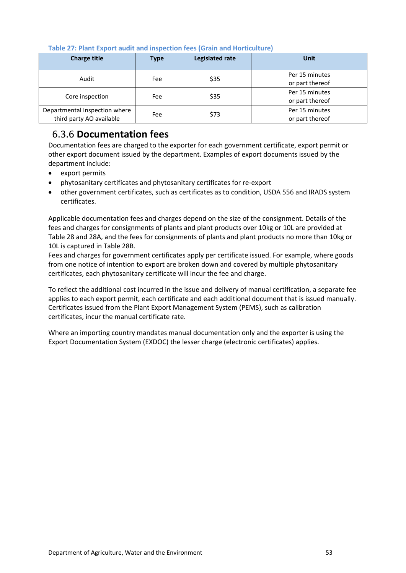| <b>Charge title</b>           | <b>Type</b> | Legislated rate | <b>Unit</b>     |
|-------------------------------|-------------|-----------------|-----------------|
| Audit                         | Fee         | \$35            | Per 15 minutes  |
|                               |             |                 | or part thereof |
|                               |             | \$35            | Per 15 minutes  |
| Core inspection               | Fee         |                 | or part thereof |
| Departmental Inspection where | Fee         | \$73            | Per 15 minutes  |
| third party AO available      |             |                 | or part thereof |

**Table 27: Plant Export audit and inspection fees (Grain and Horticulture)**

# <span id="page-52-0"></span>6.3.6 **Documentation fees**

Documentation fees are charged to the exporter for each government certificate, export permit or other export document issued by the department. Examples of export documents issued by the department include:

- export permits
- phytosanitary certificates and phytosanitary certificates for re-export
- other government certificates, such as certificates as to condition, USDA 556 and IRADS system certificates.

Applicable documentation fees and charges depend on the size of the consignment. Details of the fees and charges for consignments of plants and plant products over 10kg or 10L are provided at Table 28 and 28A, and the fees for consignments of plants and plant products no more than 10kg or 10L is captured in Table 28B.

Fees and charges for government certificates apply per certificate issued. For example, where goods from one notice of intention to export are broken down and covered by multiple phytosanitary certificates, each phytosanitary certificate will incur the fee and charge.

To reflect the additional cost incurred in the issue and delivery of manual certification, a separate fee applies to each export permit, each certificate and each additional document that is issued manually. Certificates issued from the Plant Export Management System (PEMS), such as calibration certificates, incur the manual certificate rate.

Where an importing country mandates manual documentation only and the exporter is using the Export Documentation System (EXDOC) the lesser charge (electronic certificates) applies.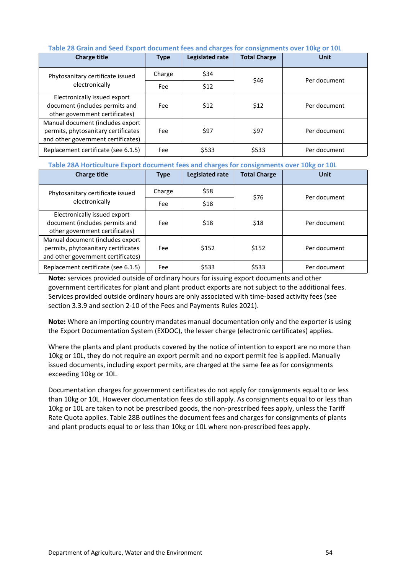| <b>Charge title</b>                                                                                           | <b>Type</b> | Legislated rate | <b>Total Charge</b> | <b>Unit</b>  |
|---------------------------------------------------------------------------------------------------------------|-------------|-----------------|---------------------|--------------|
| Phytosanitary certificate issued                                                                              | Charge      | \$34            | \$46                | Per document |
| electronically                                                                                                | Fee         | \$12            |                     |              |
| Electronically issued export<br>document (includes permits and<br>other government certificates)              | Fee         | \$12            | \$12                | Per document |
| Manual document (includes export<br>permits, phytosanitary certificates<br>and other government certificates) | Fee         | \$97            | \$97                | Per document |
| Replacement certificate (see 6.1.5)                                                                           | Fee         | \$533           | \$533               | Per document |

### **Table 28 Grain and Seed Export document fees and charges for consignments over 10kg or 10L**

#### **Table 28A Horticulture Export document fees and charges for consignments over 10kg or 10L**

| <b>Charge title</b>                                                                                           | <b>Type</b> | Legislated rate | <b>Total Charge</b> | <b>Unit</b>  |
|---------------------------------------------------------------------------------------------------------------|-------------|-----------------|---------------------|--------------|
| Phytosanitary certificate issued                                                                              | Charge      | \$58            | \$76                | Per document |
| electronically                                                                                                | Fee         | \$18            |                     |              |
| Electronically issued export<br>document (includes permits and<br>other government certificates)              | Fee         | \$18            | \$18                | Per document |
| Manual document (includes export<br>permits, phytosanitary certificates<br>and other government certificates) | Fee         | \$152           | \$152               | Per document |
| Replacement certificate (see 6.1.5)                                                                           | Fee         | \$533           | \$533               | Per document |

**Note:** services provided outside of ordinary hours for issuing export documents and other government certificates for plant and plant product exports are not subject to the additional fees. Services provided outside ordinary hours are only associated with time-based activity fees (see section 3.3.9 and section 2-10 of the Fees and Payments Rules 2021).

**Note:** Where an importing country mandates manual documentation only and the exporter is using the Export Documentation System (EXDOC), the lesser charge (electronic certificates) applies.

Where the plants and plant products covered by the notice of intention to export are no more than 10kg or 10L, they do not require an export permit and no export permit fee is applied. Manually issued documents, including export permits, are charged at the same fee as for consignments exceeding 10kg or 10L.

Documentation charges for government certificates do not apply for consignments equal to or less than 10kg or 10L. However documentation fees do still apply. As consignments equal to or less than 10kg or 10L are taken to not be prescribed goods, the non-prescribed fees apply, unless the Tariff Rate Quota applies. Table 28B outlines the document fees and charges for consignments of plants and plant products equal to or less than 10kg or 10L where non-prescribed fees apply.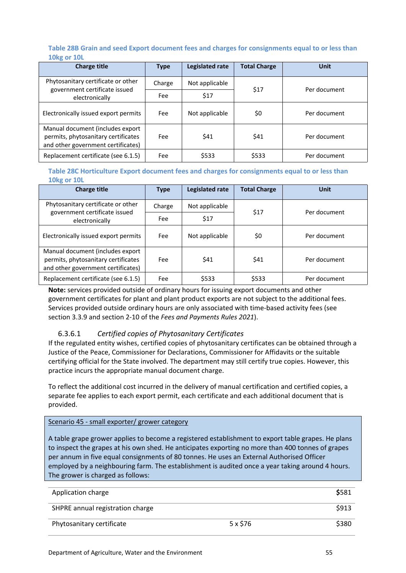### **Table 28B Grain and seed Export document fees and charges for consignments equal to or less than 10kg or 10L**

| <b>Charge title</b>                                                                                           | <b>Type</b> | Legislated rate | <b>Total Charge</b> | <b>Unit</b>  |
|---------------------------------------------------------------------------------------------------------------|-------------|-----------------|---------------------|--------------|
| Phytosanitary certificate or other<br>government certificate issued                                           | Charge      | Not applicable  | \$17                | Per document |
| electronically                                                                                                | Fee         | \$17            |                     |              |
| Electronically issued export permits                                                                          | Fee         | Not applicable  | \$0                 | Per document |
| Manual document (includes export<br>permits, phytosanitary certificates<br>and other government certificates) | Fee         | \$41            | \$41                | Per document |
| Replacement certificate (see 6.1.5)                                                                           | Fee         | \$533           | \$533               | Per document |

**Table 28C Horticulture Export document fees and charges for consignments equal to or less than 10kg or 10L**

| <b>Charge title</b>                                                                                           | <b>Type</b> | Legislated rate | <b>Total Charge</b> | <b>Unit</b>  |                      |  |
|---------------------------------------------------------------------------------------------------------------|-------------|-----------------|---------------------|--------------|----------------------|--|
| Phytosanitary certificate or other<br>government certificate issued                                           | Charge      | Not applicable  |                     |              | \$17<br>Per document |  |
| electronically                                                                                                | Fee         | \$17            |                     |              |                      |  |
| Electronically issued export permits                                                                          | Fee         | Not applicable  | \$0                 | Per document |                      |  |
| Manual document (includes export<br>permits, phytosanitary certificates<br>and other government certificates) | Fee         | \$41            | \$41                | Per document |                      |  |
| Replacement certificate (see 6.1.5)                                                                           | Fee         | \$533           | \$533               | Per document |                      |  |

**Note:** services provided outside of ordinary hours for issuing export documents and other government certificates for plant and plant product exports are not subject to the additional fees. Services provided outside ordinary hours are only associated with time-based activity fees (see section 3.3.9 and section 2-10 of the *Fees and Payments Rules 2021*).

### 6.3.6.1 *Certified copies of Phytosanitary Certificates*

If the regulated entity wishes, certified copies of phytosanitary certificates can be obtained through a Justice of the Peace, Commissioner for Declarations, Commissioner for Affidavits or the suitable certifying official for the State involved. The department may still certify true copies. However, this practice incurs the appropriate manual document charge.

To reflect the additional cost incurred in the delivery of manual certification and certified copies, a separate fee applies to each export permit, each certificate and each additional document that is provided.

### Scenario 45 - small exporter/ grower category

A table grape grower applies to become a registered establishment to export table grapes. He plans to inspect the grapes at his own shed. He anticipates exporting no more than 400 tonnes of grapes per annum in five equal consignments of 80 tonnes. He uses an External Authorised Officer employed by a neighbouring farm. The establishment is audited once a year taking around 4 hours. The grower is charged as follows:

| Application charge               |          | \$581 |
|----------------------------------|----------|-------|
| SHPRE annual registration charge |          | \$913 |
| Phytosanitary certificate        | 5 x \$76 | \$380 |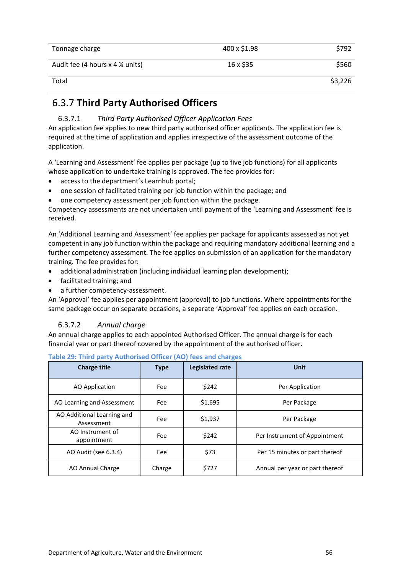| Tonnage charge                                | 400 x \$1.98 | \$792   |
|-----------------------------------------------|--------------|---------|
| Audit fee (4 hours $x$ 4 $\frac{1}{4}$ units) | 16 x \$35    | \$560   |
| Total                                         |              | \$3,226 |

### <span id="page-55-0"></span>6.3.7 **Third Party Authorised Officers**

6.3.7.1 *Third Party Authorised Officer Application Fees* An application fee applies to new third party authorised officer applicants. The application fee is required at the time of application and applies irrespective of the assessment outcome of the application.

A 'Learning and Assessment' fee applies per package (up to five job functions) for all applicants whose application to undertake training is approved. The fee provides for:

- access to the department's Learnhub portal;
- one session of facilitated training per job function within the package; and
- one competency assessment per job function within the package.

Competency assessments are not undertaken until payment of the 'Learning and Assessment' fee is received.

An 'Additional Learning and Assessment' fee applies per package for applicants assessed as not yet competent in any job function within the package and requiring mandatory additional learning and a further competency assessment. The fee applies on submission of an application for the mandatory training. The fee provides for:

- additional administration (including individual learning plan development);
- facilitated training; and
- a further competency-assessment.

An 'Approval' fee applies per appointment (approval) to job functions. Where appointments for the same package occur on separate occasions, a separate 'Approval' fee applies on each occasion.

### 6.3.7.2 *Annual charge*

An annual charge applies to each appointed Authorised Officer. The annual charge is for each financial year or part thereof covered by the appointment of the authorised officer.

| <b>Charge title</b>                      | <b>Type</b> | Legislated rate | Unit                            |
|------------------------------------------|-------------|-----------------|---------------------------------|
| AO Application                           | Fee         | \$242           | Per Application                 |
| AO Learning and Assessment               | Fee         | \$1,695         | Per Package                     |
| AO Additional Learning and<br>Assessment | Fee         | \$1,937         | Per Package                     |
| AO Instrument of<br>appointment          | Fee         | \$242           | Per Instrument of Appointment   |
| AO Audit (see 6.3.4)                     | Fee         | \$73            | Per 15 minutes or part thereof  |
| AO Annual Charge                         | Charge      | \$727           | Annual per year or part thereof |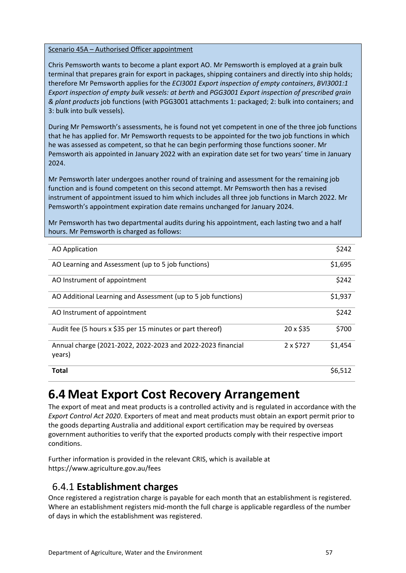### Scenario 45A – Authorised Officer appointment

Chris Pemsworth wants to become a plant export AO. Mr Pemsworth is employed at a grain bulk terminal that prepares grain for export in packages, shipping containers and directly into ship holds; therefore Mr Pemsworth applies for the *ECI3001 Export inspection of empty containers*, *BVI3001:1 Export inspection of empty bulk vessels: at berth* and *PGG3001 Export inspection of prescribed grain & plant products* job functions (with PGG3001 attachments 1: packaged; 2: bulk into containers; and 3: bulk into bulk vessels).

During Mr Pemsworth's assessments, he is found not yet competent in one of the three job functions that he has applied for. Mr Pemsworth requests to be appointed for the two job functions in which he was assessed as competent, so that he can begin performing those functions sooner. Mr Pemsworth ais appointed in January 2022 with an expiration date set for two years' time in January 2024.

Mr Pemsworth later undergoes another round of training and assessment for the remaining job function and is found competent on this second attempt. Mr Pemsworth then has a revised instrument of appointment issued to him which includes all three job functions in March 2022. Mr Pemsworth's appointment expiration date remains unchanged for January 2024.

Mr Pemsworth has two departmental audits during his appointment, each lasting two and a half hours. Mr Pemsworth is charged as follows:

| <b>AO Application</b>                                                 |                 | \$242   |
|-----------------------------------------------------------------------|-----------------|---------|
| AO Learning and Assessment (up to 5 job functions)                    |                 | \$1,695 |
| AO Instrument of appointment                                          |                 | \$242   |
| AO Additional Learning and Assessment (up to 5 job functions)         |                 | \$1,937 |
| AO Instrument of appointment                                          |                 | \$242   |
| Audit fee (5 hours x \$35 per 15 minutes or part thereof)             | 20 x \$35       | \$700   |
| Annual charge (2021-2022, 2022-2023 and 2022-2023 financial<br>years) | $2 \times $727$ | \$1,454 |
| <b>Total</b>                                                          |                 | \$6,512 |

# <span id="page-56-0"></span>**6.4 Meat Export Cost Recovery Arrangement**

The export of meat and meat products is a controlled activity and is regulated in accordance with the *Export Control Act 2020*. Exporters of meat and meat products must obtain an export permit prior to the goods departing Australia and additional export certification may be required by overseas government authorities to verify that the exported products comply with their respective import conditions.

Further information is provided in the relevant CRIS, which is available at https://www.agriculture.gov.au/fees

### <span id="page-56-1"></span>6.4.1 **Establishment charges**

Once registered a registration charge is payable for each month that an establishment is registered. Where an establishment registers mid-month the full charge is applicable regardless of the number of days in which the establishment was registered.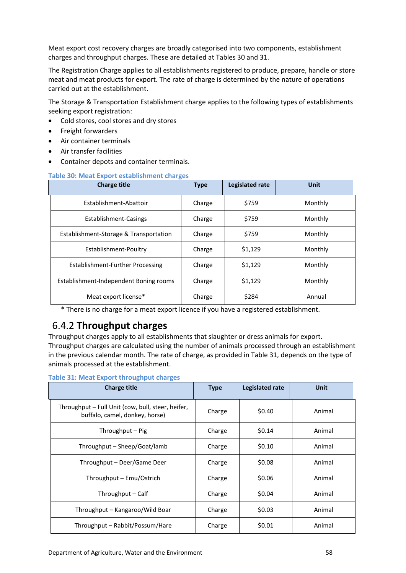Meat export cost recovery charges are broadly categorised into two components, establishment charges and throughput charges. These are detailed at Tables 30 and 31.

The Registration Charge applies to all establishments registered to produce, prepare, handle or store meat and meat products for export. The rate of charge is determined by the nature of operations carried out at the establishment.

The Storage & Transportation Establishment charge applies to the following types of establishments seeking export registration:

- Cold stores, cool stores and dry stores
- Freight forwarders
- Air container terminals
- Air transfer facilities
- Container depots and container terminals.

### **Table 30: Meat Export establishment charges**

| <b>Charge title</b>                     | <b>Type</b> | <b>Legislated rate</b> | Unit    |
|-----------------------------------------|-------------|------------------------|---------|
| Establishment-Abattoir                  | Charge      | \$759                  | Monthly |
| Establishment-Casings                   | Charge      | \$759                  | Monthly |
| Establishment-Storage & Transportation  | Charge      | \$759                  | Monthly |
| Establishment-Poultry                   | Charge      | \$1,129                | Monthly |
| <b>Establishment-Further Processing</b> | Charge      | \$1,129                | Monthly |
| Establishment-Independent Boning rooms  | Charge      | \$1,129                | Monthly |
| Meat export license*                    | Charge      | \$284                  | Annual  |

\* There is no charge for a meat export licence if you have a registered establishment.

## <span id="page-57-0"></span>6.4.2 **Throughput charges**

Throughput charges apply to all establishments that slaughter or dress animals for export. Throughput charges are calculated using the number of animals processed through an establishment in the previous calendar month. The rate of charge, as provided in Table 31, depends on the type of animals processed at the establishment.

**Table 31: Meat Export throughput charges**

| <b>Charge title</b>                                                                 | <b>Type</b> | Legislated rate | <b>Unit</b> |
|-------------------------------------------------------------------------------------|-------------|-----------------|-------------|
| Throughput – Full Unit (cow, bull, steer, heifer,<br>buffalo, camel, donkey, horse) | Charge      | \$0.40          | Animal      |
| Throughput – Pig                                                                    | Charge      | \$0.14          | Animal      |
| Throughput – Sheep/Goat/lamb                                                        | Charge      | \$0.10          | Animal      |
| Throughput – Deer/Game Deer                                                         | Charge      | \$0.08          | Animal      |
| Throughput – Emu/Ostrich                                                            | Charge      | \$0.06          | Animal      |
| Throughput – Calf                                                                   | Charge      | \$0.04          | Animal      |
| Throughput - Kangaroo/Wild Boar                                                     | Charge      | \$0.03          | Animal      |
| Throughput – Rabbit/Possum/Hare                                                     | Charge      | \$0.01          | Animal      |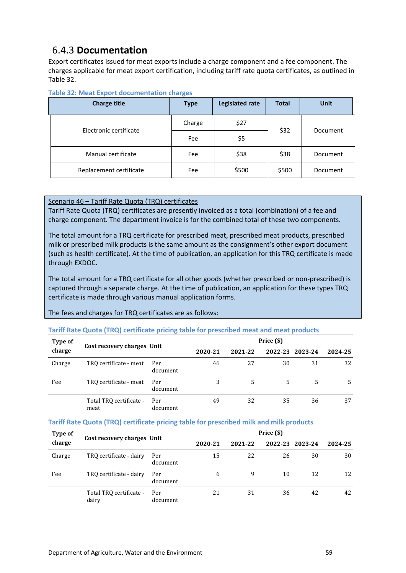## <span id="page-58-0"></span>6.4.3 **Documentation**

Export certificates issued for meat exports include a charge component and a fee component. The charges applicable for meat export certification, including tariff rate quota certificates, as outlined in Table 32.

| <b>Charge title</b>     | <b>Type</b> | Legislated rate | <b>Total</b> | <b>Unit</b> |
|-------------------------|-------------|-----------------|--------------|-------------|
| Electronic certificate  | Charge      | \$27            | \$32         | Document    |
|                         | Fee         | \$5             |              |             |
| Manual certificate      | Fee         | \$38            | \$38         | Document    |
| Replacement certificate | Fee         | \$500           | \$500        | Document    |

### **Table 32: Meat Export documentation charges**

### <span id="page-58-1"></span>Scenario 46 – Tariff Rate Quota (TRQ) certificates

Tariff Rate Quota (TRQ) certificates are presently invoiced as a total (combination) of a fee and charge component. The department invoice is for the combined total of these two components.

The total amount for a TRQ certificate for prescribed meat, prescribed meat products, prescribed milk or prescribed milk products is the same amount as the consignment's other export document (such as health certificate). At the time of publication, an application for this TRQ certificate is made through EXDOC.

The total amount for a TRQ certificate for all other goods (whether prescribed or non-prescribed) is captured through a separate charge. At the time of publication, an application for these types TRQ certificate is made through various manual application forms.

### The fees and charges for TRQ certificates are as follows:

### **Tariff Rate Quota (TRQ) certificate pricing table for prescribed meat and meat products**

| <b>Type of</b> |                                 |                 | Price (\$) |         |    |                 |         |
|----------------|---------------------------------|-----------------|------------|---------|----|-----------------|---------|
| charge         | Cost recovery charges Unit      |                 | 2020-21    | 2021-22 |    | 2022-23 2023-24 | 2024-25 |
| Charge         | TRO certificate - meat          | Per<br>document | 46         | 27      | 30 | 31              | 32      |
| Fee            | TRQ certificate - meat          | Per<br>document | 3          | 5.      | 5. | 5.              | 5.      |
|                | Total TRQ certificate -<br>meat | Per<br>document | 49         | 32      | 35 | 36              | 37      |

### **Tariff Rate Quota (TRQ) certificate pricing table for prescribed milk and milk products**

| Type of | Cost recovery charges Unit       |                 | Price (\$) |         |    |                 |         |
|---------|----------------------------------|-----------------|------------|---------|----|-----------------|---------|
| charge  |                                  |                 | 2020-21    | 2021-22 |    | 2022-23 2023-24 | 2024-25 |
| Charge  | TRO certificate - dairy          | Per<br>document | 15         | 22      | 26 | 30              | 30      |
| Fee     | TRQ certificate - dairy          | Per<br>document | 6          | 9       | 10 | 12              | 12      |
|         | Total TRQ certificate -<br>dairy | Per<br>document | 21         | 31      | 36 | 42              | 42      |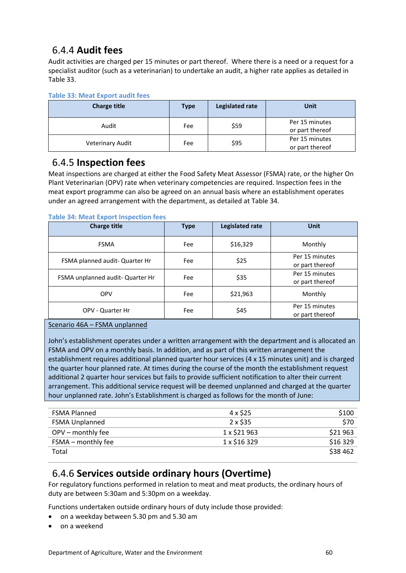## 6.4.4 **Audit fees**

Audit activities are charged per 15 minutes or part thereof. Where there is a need or a request for a specialist auditor (such as a veterinarian) to undertake an audit, a higher rate applies as detailed in Table 33.

### **Table 33: Meat Export audit fees**

| <b>Charge title</b>     | <b>Type</b> | Legislated rate | Unit                              |
|-------------------------|-------------|-----------------|-----------------------------------|
| Audit                   | Fee         | \$59            | Per 15 minutes<br>or part thereof |
| <b>Veterinary Audit</b> | Fee         | \$95            | Per 15 minutes<br>or part thereof |

### <span id="page-59-0"></span>6.4.5 **Inspection fees**

Meat inspections are charged at either the Food Safety Meat Assessor (FSMA) rate, or the higher On Plant Veterinarian (OPV) rate when veterinary competencies are required. Inspection fees in the meat export programme can also be agreed on an annual basis where an establishment operates under an agreed arrangement with the department, as detailed at Table 34.

### **Table 34: Meat Export Inspection fees**

| <b>Charge title</b>              | <b>Type</b> | Legislated rate | <b>Unit</b>     |
|----------------------------------|-------------|-----------------|-----------------|
| <b>FSMA</b>                      | Fee         | \$16,329        | Monthly         |
| FSMA planned audit- Quarter Hr   | Fee         | \$25            | Per 15 minutes  |
|                                  |             |                 | or part thereof |
| FSMA unplanned audit- Quarter Hr | \$35<br>Fee |                 | Per 15 minutes  |
|                                  |             |                 | or part thereof |
| <b>OPV</b>                       | Fee         | \$21,963        | Monthly         |
|                                  | Fee         | \$45            | Per 15 minutes  |
| OPV - Quarter Hr                 |             |                 | or part thereof |

### Scenario 46A – FSMA unplanned

John's establishment operates under a written arrangement with the department and is allocated an FSMA and OPV on a monthly basis. In addition, and as part of this written arrangement the establishment requires additional planned quarter hour services (4 x 15 minutes unit) and is charged the quarter hour planned rate. At times during the course of the month the establishment request additional 2 quarter hour services but fails to provide sufficient notification to alter their current arrangement. This additional service request will be deemed unplanned and charged at the quarter hour unplanned rate. John's Establishment is charged as follows for the month of June:

| <b>FSMA Planned</b>   | 4 x \$25     | \$100    |
|-----------------------|--------------|----------|
| <b>FSMA Unplanned</b> | 2 x \$35     | \$70     |
| OPV - monthly fee     | 1 x \$21 963 | \$21963  |
| FSMA – monthly fee    | 1 x \$16 329 | \$16 329 |
| Total                 |              | \$38 462 |

## <span id="page-59-1"></span>6.4.6 **Services outside ordinary hours (Overtime)**

For regulatory functions performed in relation to meat and meat products, the ordinary hours of duty are between 5:30am and 5:30pm on a weekday.

Functions undertaken outside ordinary hours of duty include those provided:

- on a weekday between 5.30 pm and 5.30 am
- on a weekend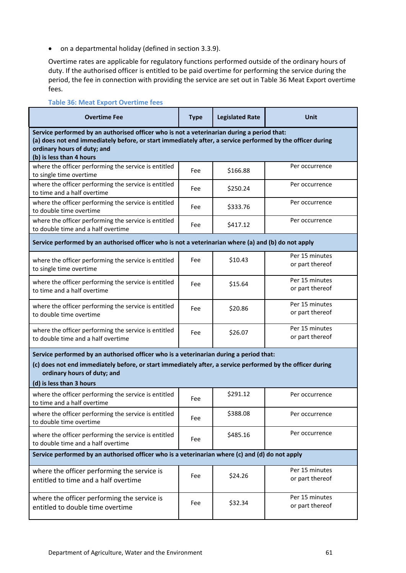on a departmental holiday (defined in section 3.3.9).

Overtime rates are applicable for regulatory functions performed outside of the ordinary hours of duty. If the authorised officer is entitled to be paid overtime for performing the service during the period, the fee in connection with providing the service are set out in Table 36 Meat Export overtime fees.

| <b>Table 36: Meat Export Overtime fees</b>                                                                                                                                                                                                                          |             |                        |                                   |
|---------------------------------------------------------------------------------------------------------------------------------------------------------------------------------------------------------------------------------------------------------------------|-------------|------------------------|-----------------------------------|
| <b>Overtime Fee</b>                                                                                                                                                                                                                                                 | <b>Type</b> | <b>Legislated Rate</b> | <b>Unit</b>                       |
| Service performed by an authorised officer who is not a veterinarian during a period that:<br>(a) does not end immediately before, or start immediately after, a service performed by the officer during<br>ordinary hours of duty; and<br>(b) is less than 4 hours |             |                        |                                   |
| where the officer performing the service is entitled<br>to single time overtime                                                                                                                                                                                     | Fee         | \$166.88               | Per occurrence                    |
| where the officer performing the service is entitled<br>to time and a half overtime                                                                                                                                                                                 | Fee         | \$250.24               | Per occurrence                    |
| where the officer performing the service is entitled<br>to double time overtime                                                                                                                                                                                     | Fee         | \$333.76               | Per occurrence                    |
| where the officer performing the service is entitled<br>to double time and a half overtime                                                                                                                                                                          | Fee         | \$417.12               | Per occurrence                    |
| Service performed by an authorised officer who is not a veterinarian where (a) and (b) do not apply                                                                                                                                                                 |             |                        |                                   |
| where the officer performing the service is entitled<br>to single time overtime                                                                                                                                                                                     | Fee         | \$10.43                | Per 15 minutes<br>or part thereof |
| where the officer performing the service is entitled<br>to time and a half overtime                                                                                                                                                                                 | Fee         | \$15.64                | Per 15 minutes<br>or part thereof |
| where the officer performing the service is entitled<br>to double time overtime                                                                                                                                                                                     | Fee         | \$20.86                | Per 15 minutes<br>or part thereof |
| where the officer performing the service is entitled<br>to double time and a half overtime                                                                                                                                                                          | Fee         | \$26.07                | Per 15 minutes<br>or part thereof |
| Service performed by an authorised officer who is a veterinarian during a period that:<br>(c) does not end immediately before, or start immediately after, a service performed by the officer during<br>ordinary hours of duty; and<br>(d) is less than 3 hours     |             |                        |                                   |
| where the officer performing the service is entitled<br>to time and a half overtime                                                                                                                                                                                 | Fee         | \$291.12               | Per occurrence                    |
| where the officer performing the service is entitled<br>to double time overtime                                                                                                                                                                                     | Fee         | \$388.08               | Per occurrence                    |
| where the officer performing the service is entitled<br>to double time and a half overtime                                                                                                                                                                          | Fee         | \$485.16               | Per occurrence                    |
| Service performed by an authorised officer who is a veterinarian where (c) and (d) do not apply                                                                                                                                                                     |             |                        |                                   |
| where the officer performing the service is<br>entitled to time and a half overtime                                                                                                                                                                                 | Fee         | \$24.26                | Per 15 minutes<br>or part thereof |
| where the officer performing the service is<br>entitled to double time overtime                                                                                                                                                                                     | Fee         | \$32.34                | Per 15 minutes<br>or part thereof |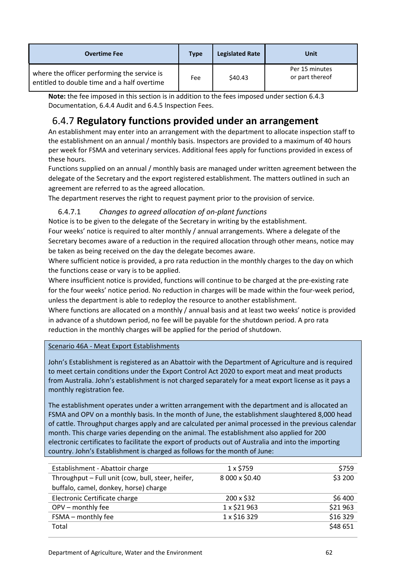| <b>Overtime Fee</b>                                                                        | <b>Type</b> | <b>Legislated Rate</b> | Unit                              |
|--------------------------------------------------------------------------------------------|-------------|------------------------|-----------------------------------|
| where the officer performing the service is<br>entitled to double time and a half overtime | Fee         | \$40.43                | Per 15 minutes<br>or part thereof |

**Note:** the fee imposed in this section is in addition to the fees imposed under section 6.4.3 Documentation, 6.4.4 Audit and 6.4.5 Inspection Fees.

# <span id="page-61-0"></span>6.4.7 **Regulatory functions provided under an arrangement**

An establishment may enter into an arrangement with the department to allocate inspection staff to the establishment on an annual / monthly basis. Inspectors are provided to a maximum of 40 hours per week for FSMA and veterinary services. Additional fees apply for functions provided in excess of these hours.

Functions supplied on an annual / monthly basis are managed under written agreement between the delegate of the Secretary and the export registered establishment. The matters outlined in such an agreement are referred to as the agreed allocation.

The department reserves the right to request payment prior to the provision of service.

### 6.4.7.1 *Changes to agreed allocation of on-plant functions*

Notice is to be given to the delegate of the Secretary in writing by the establishment. Four weeks' notice is required to alter monthly / annual arrangements. Where a delegate of the Secretary becomes aware of a reduction in the required allocation through other means, notice may be taken as being received on the day the delegate becomes aware.

Where sufficient notice is provided, a pro rata reduction in the monthly charges to the day on which the functions cease or vary is to be applied.

Where insufficient notice is provided, functions will continue to be charged at the pre-existing rate for the four weeks' notice period. No reduction in charges will be made within the four-week period, unless the department is able to redeploy the resource to another establishment.

Where functions are allocated on a monthly / annual basis and at least two weeks' notice is provided in advance of a shutdown period, no fee will be payable for the shutdown period. A pro rata reduction in the monthly charges will be applied for the period of shutdown.

Scenario 46A - Meat Export Establishments

John's Establishment is registered as an Abattoir with the Department of Agriculture and is required to meet certain conditions under the Export Control Act 2020 to export meat and meat products from Australia. John's establishment is not charged separately for a meat export license as it pays a monthly registration fee.

The establishment operates under a written arrangement with the department and is allocated an FSMA and OPV on a monthly basis. In the month of June, the establishment slaughtered 8,000 head of cattle. Throughput charges apply and are calculated per animal processed in the previous calendar month. This charge varies depending on the animal. The establishment also applied for 200 electronic certificates to facilitate the export of products out of Australia and into the importing country. John's Establishment is charged as follows for the month of June:

| Establishment - Abattoir charge                   | $1 \times $759$ | \$759    |
|---------------------------------------------------|-----------------|----------|
| Throughput - Full unit (cow, bull, steer, heifer, | 8 000 x \$0.40  | \$3 200  |
| buffalo, camel, donkey, horse) charge             |                 |          |
| Electronic Certificate charge                     | 200 x \$32      | \$6 400  |
| OPV - monthly fee                                 | 1 x \$21 963    | \$21963  |
| FSMA - monthly fee                                | 1 x \$16 329    | \$16 329 |
| Total                                             |                 | \$48 651 |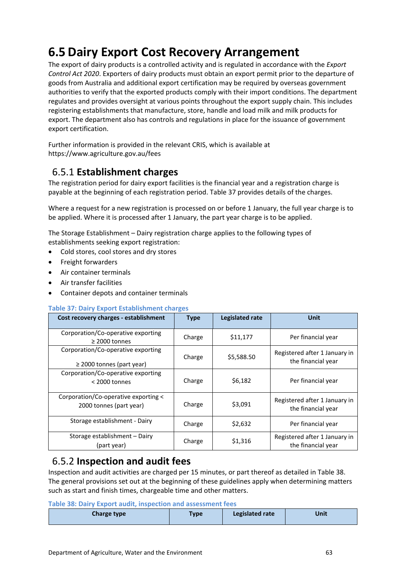# <span id="page-62-0"></span>**6.5 Dairy Export Cost Recovery Arrangement**

The export of dairy products is a controlled activity and is regulated in accordance with the *Export Control Act 2020*. Exporters of dairy products must obtain an export permit prior to the departure of goods from Australia and additional export certification may be required by overseas government authorities to verify that the exported products comply with their import conditions. The department regulates and provides oversight at various points throughout the export supply chain. This includes registering establishments that manufacture, store, handle and load milk and milk products for export. The department also has controls and regulations in place for the issuance of government export certification.

Further information is provided in the relevant CRIS, which is available at https://www.agriculture.gov.au/fees

# <span id="page-62-1"></span>6.5.1 **Establishment charges**

The registration period for dairy export facilities is the financial year and a registration charge is payable at the beginning of each registration period. Table 37 provides details of the charges.

Where a request for a new registration is processed on or before 1 January, the full year charge is to be applied. Where it is processed after 1 January, the part year charge is to be applied.

The Storage Establishment – Dairy registration charge applies to the following types of establishments seeking export registration:

- Cold stores, cool stores and dry stores
- Freight forwarders
- Air container terminals
- Air transfer facilities
- Container depots and container terminals

### **Table 37: Dairy Export Establishment charges**

| Cost recovery charges - establishment                                | <b>Type</b> | Legislated rate | Unit                                                |
|----------------------------------------------------------------------|-------------|-----------------|-----------------------------------------------------|
| Corporation/Co-operative exporting<br>$\geq$ 2000 tonnes             | Charge      | \$11,177        | Per financial year                                  |
| Corporation/Co-operative exporting<br>$\geq$ 2000 tonnes (part year) | Charge      | \$5,588.50      | Registered after 1 January in<br>the financial year |
| Corporation/Co-operative exporting<br>$<$ 2000 tonnes                | Charge      | \$6,182         | Per financial year                                  |
| Corporation/Co-operative exporting <<br>2000 tonnes (part year)      | Charge      | \$3,091         | Registered after 1 January in<br>the financial year |
| Storage establishment - Dairy                                        | Charge      | \$2,632         | Per financial year                                  |
| Storage establishment - Dairy<br>(part year)                         | Charge      | \$1,316         | Registered after 1 January in<br>the financial year |

## <span id="page-62-2"></span>6.5.2 **Inspection and audit fees**

Inspection and audit activities are charged per 15 minutes, or part thereof as detailed in Table 38. The general provisions set out at the beginning of these guidelines apply when determining matters such as start and finish times, chargeable time and other matters.

### **Table 38: Dairy Export audit, inspection and assessment fees**

| <b>Charge type</b> | <b>Type</b> | <b>Legislated rate</b> | Unit |
|--------------------|-------------|------------------------|------|
|--------------------|-------------|------------------------|------|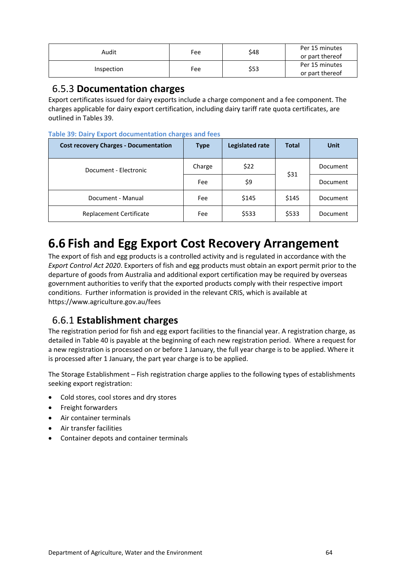| Audit      | \$48<br>Fee |      | Per 15 minutes  |
|------------|-------------|------|-----------------|
|            |             |      | or part thereof |
| Inspection | Fee         |      | Per 15 minutes  |
|            |             | \$53 | or part thereof |

### <span id="page-63-0"></span>6.5.3 **Documentation charges**

Export certificates issued for dairy exports include a charge component and a fee component. The charges applicable for dairy export certification, including dairy tariff rate quota certificates, are outlined in Tables 39.

### **Table 39: Dairy Export documentation charges and fees**

| <b>Cost recovery Charges - Documentation</b> | <b>Type</b> | Legislated rate | <b>Total</b> | <b>Unit</b> |
|----------------------------------------------|-------------|-----------------|--------------|-------------|
| Document - Electronic                        | Charge      | \$22            | \$31         | Document    |
|                                              | Fee         | \$9             |              | Document    |
| Document - Manual                            | Fee         | \$145           | \$145        | Document    |
| Replacement Certificate                      | Fee         | \$533           | \$533        | Document    |

# <span id="page-63-1"></span>**6.6 Fish and Egg Export Cost Recovery Arrangement**

The export of fish and egg products is a controlled activity and is regulated in accordance with the *Export Control Act 2020*. Exporters of fish and egg products must obtain an export permit prior to the departure of goods from Australia and additional export certification may be required by overseas government authorities to verify that the exported products comply with their respective import conditions. Further information is provided in the relevant CRIS, which is available at https://www.agriculture.gov.au/fees

### <span id="page-63-2"></span>6.6.1 **Establishment charges**

The registration period for fish and egg export facilities to the financial year. A registration charge, as detailed in Table 40 is payable at the beginning of each new registration period. Where a request for a new registration is processed on or before 1 January, the full year charge is to be applied. Where it is processed after 1 January, the part year charge is to be applied.

The Storage Establishment – Fish registration charge applies to the following types of establishments seeking export registration:

- Cold stores, cool stores and dry stores
- Freight forwarders
- Air container terminals
- Air transfer facilities
- Container depots and container terminals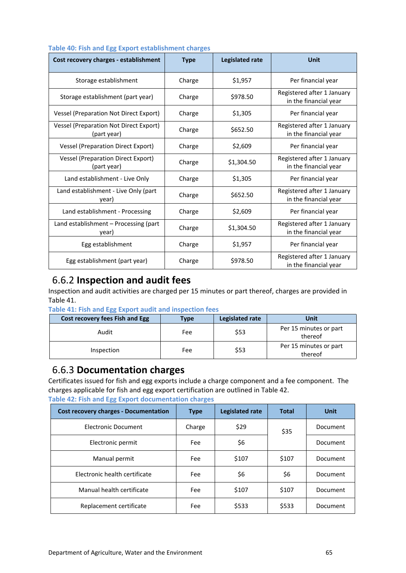| Cost recovery charges - establishment                        | <b>Type</b> | <b>Legislated rate</b> | <b>Unit</b>                                         |
|--------------------------------------------------------------|-------------|------------------------|-----------------------------------------------------|
| Storage establishment                                        | Charge      | \$1,957                | Per financial year                                  |
| Storage establishment (part year)                            | Charge      | \$978.50               | Registered after 1 January<br>in the financial year |
| <b>Vessel (Preparation Not Direct Export)</b>                | Charge      | \$1,305                | Per financial year                                  |
| <b>Vessel (Preparation Not Direct Export)</b><br>(part year) | Charge      | \$652.50               | Registered after 1 January<br>in the financial year |
| <b>Vessel (Preparation Direct Export)</b>                    | Charge      | \$2,609                | Per financial year                                  |
| <b>Vessel (Preparation Direct Export)</b><br>(part year)     | Charge      | \$1,304.50             | Registered after 1 January<br>in the financial year |
| Land establishment - Live Only                               | Charge      | \$1,305                | Per financial year                                  |
| Land establishment - Live Only (part<br>year)                | Charge      | \$652.50               | Registered after 1 January<br>in the financial year |
| Land establishment - Processing                              | Charge      | \$2,609                | Per financial year                                  |
| Land establishment - Processing (part<br>year)               | Charge      | \$1,304.50             | Registered after 1 January<br>in the financial year |
| Egg establishment                                            | Charge      | \$1,957                | Per financial year                                  |
| Egg establishment (part year)                                | Charge      | \$978.50               | Registered after 1 January<br>in the financial year |

### **Table 40: Fish and Egg Export establishment charges**

### <span id="page-64-0"></span>6.6.2 **Inspection and audit fees**

Inspection and audit activities are charged per 15 minutes or part thereof, charges are provided in Table 41.

| Table 41: Fish and Egg Export audit and inspection fees |  |  |  |  |  |
|---------------------------------------------------------|--|--|--|--|--|

| Cost recovery fees Fish and Egg | Type | Legislated rate | Unit                              |
|---------------------------------|------|-----------------|-----------------------------------|
| Audit                           | Fee  | \$53            | Per 15 minutes or part<br>thereof |
| Inspection                      | Fee  | \$53            | Per 15 minutes or part<br>thereof |

### <span id="page-64-1"></span>6.6.3 **Documentation charges**

Certificates issued for fish and egg exports include a charge component and a fee component. The charges applicable for fish and egg export certification are outlined in Table 42.

|  |  |  | Table 42: Fish and Egg Export documentation charges |  |
|--|--|--|-----------------------------------------------------|--|
|  |  |  |                                                     |  |

| <b>Cost recovery charges - Documentation</b> | <b>Type</b> | Legislated rate | <b>Total</b> | Unit     |
|----------------------------------------------|-------------|-----------------|--------------|----------|
| Electronic Document                          | Charge      | \$29            | \$35         | Document |
| Electronic permit                            | Fee         | \$6             |              | Document |
| Manual permit                                | Fee         | \$107           | \$107        | Document |
| Electronic health certificate                | Fee         | \$6             | \$6          | Document |
| Manual health certificate                    | Fee         | \$107           | \$107        | Document |
| Replacement certificate                      | Fee         | \$533           | \$533        | Document |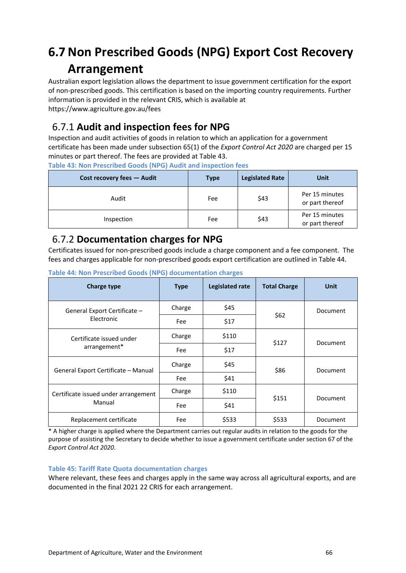# <span id="page-65-0"></span>**6.7 Non Prescribed Goods (NPG) Export Cost Recovery Arrangement**

Australian export legislation allows the department to issue government certification for the export of non-prescribed goods. This certification is based on the importing country requirements. Further information is provided in the relevant CRIS, which is available at https://www.agriculture.gov.au/fees

# <span id="page-65-1"></span>6.7.1 **Audit and inspection fees for NPG**

Inspection and audit activities of goods in relation to which an application for a government certificate has been made under subsection 65(1) of the *Export Control Act 2020* are charged per 15 minutes or part thereof. The fees are provided at Table 43.

**Table 43: Non Prescribed Goods (NPG) Audit and inspection fees**

| Cost recovery fees - Audit | <b>Type</b> | <b>Legislated Rate</b> | Unit                              |
|----------------------------|-------------|------------------------|-----------------------------------|
| Audit                      | Fee         | \$43                   | Per 15 minutes<br>or part thereof |
| Inspection                 | Fee         | \$43                   | Per 15 minutes<br>or part thereof |

### <span id="page-65-2"></span>6.7.2 **Documentation charges for NPG**

Certificates issued for non-prescribed goods include a charge component and a fee component. The fees and charges applicable for non-prescribed goods export certification are outlined in Table 44.

| Charge type                          | <b>Type</b> | Legislated rate | <b>Total Charge</b> | <b>Unit</b> |
|--------------------------------------|-------------|-----------------|---------------------|-------------|
| General Export Certificate -         | Charge      | \$45            | \$62                | Document    |
| Electronic                           | Fee         | \$17            |                     |             |
| Certificate issued under             | Charge      | \$110           | \$127               | Document    |
| arrangement*                         | Fee         | \$17            |                     |             |
| General Export Certificate - Manual  | Charge      | \$45            | \$86                | Document    |
|                                      | Fee         | \$41            |                     |             |
| Certificate issued under arrangement | Charge      | \$110           | \$151               | Document    |
| Manual                               | Fee         | \$41            |                     |             |
| Replacement certificate              | Fee         | \$533           | \$533               | Document    |

**Table 44: Non Prescribed Goods (NPG) documentation charges**

\* A higher charge is applied where the Department carries out regular audits in relation to the goods for the purpose of assisting the Secretary to decide whether to issue a government certificate under section 67 of the *Export Control Act 2020*.

### **Table 45: Tariff Rate Quota documentation charges**

Where relevant, these fees and charges apply in the same way across all agricultural exports, and are documented in the final 2021 22 CRIS for each arrangement.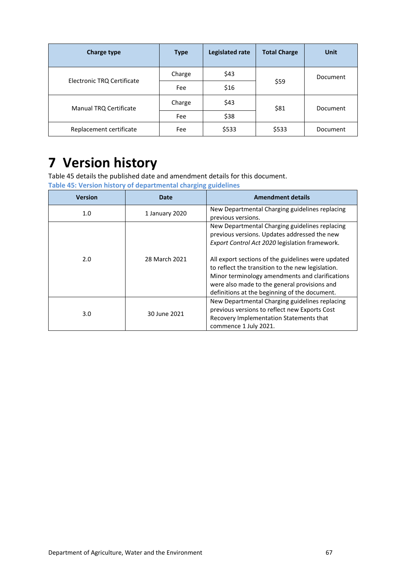| <b>Charge type</b>         | <b>Type</b> | Legislated rate | <b>Total Charge</b> | Unit     |
|----------------------------|-------------|-----------------|---------------------|----------|
|                            | Charge      | \$43            |                     | Document |
| Electronic TRQ Certificate | Fee         | \$16            | \$59                |          |
| Manual TRQ Certificate     | Charge      | \$43            | \$81                | Document |
|                            | Fee         | \$38            |                     |          |
| Replacement certificate    | Fee         | \$533           | \$533               | Document |

# <span id="page-66-0"></span>**7 Version history**

Table 45 details the published date and amendment details for this document.

**Table 45: Version history of departmental charging guidelines** 

| <b>Version</b> | <b>Date</b>    | <b>Amendment details</b>                                                                                                                                                                                                                                                                                                                                                                                        |
|----------------|----------------|-----------------------------------------------------------------------------------------------------------------------------------------------------------------------------------------------------------------------------------------------------------------------------------------------------------------------------------------------------------------------------------------------------------------|
| 1.0            | 1 January 2020 | New Departmental Charging guidelines replacing<br>previous versions.                                                                                                                                                                                                                                                                                                                                            |
| 2.0            | 28 March 2021  | New Departmental Charging guidelines replacing<br>previous versions. Updates addressed the new<br>Export Control Act 2020 legislation framework.<br>All export sections of the guidelines were updated<br>to reflect the transition to the new legislation.<br>Minor terminology amendments and clarifications<br>were also made to the general provisions and<br>definitions at the beginning of the document. |
| 3.0            | 30 June 2021   | New Departmental Charging guidelines replacing<br>previous versions to reflect new Exports Cost<br>Recovery Implementation Statements that<br>commence 1 July 2021.                                                                                                                                                                                                                                             |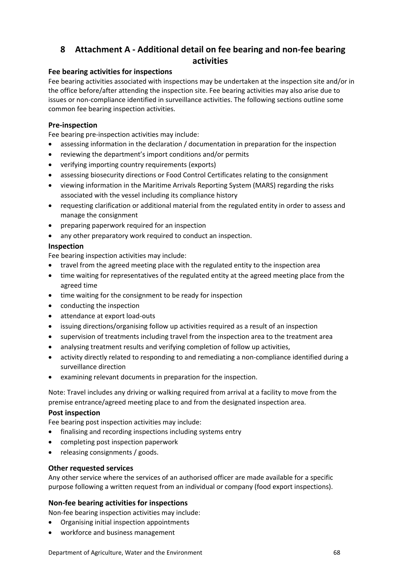### <span id="page-67-0"></span>**8 Attachment A - Additional detail on fee bearing and non-fee bearing activities**

### **Fee bearing activities for inspections**

Fee bearing activities associated with inspections may be undertaken at the inspection site and/or in the office before/after attending the inspection site. Fee bearing activities may also arise due to issues or non-compliance identified in surveillance activities. The following sections outline some common fee bearing inspection activities.

### **Pre-inspection**

Fee bearing pre-inspection activities may include:

- assessing information in the declaration / documentation in preparation for the inspection
- reviewing the department's import conditions and/or permits
- verifying importing country requirements (exports)
- assessing biosecurity directions or Food Control Certificates relating to the consignment
- viewing information in the Maritime Arrivals Reporting System (MARS) regarding the risks associated with the vessel including its compliance history
- requesting clarification or additional material from the regulated entity in order to assess and manage the consignment
- preparing paperwork required for an inspection
- any other preparatory work required to conduct an inspection.

### **Inspection**

Fee bearing inspection activities may include:

- travel from the agreed meeting place with the regulated entity to the inspection area
- time waiting for representatives of the regulated entity at the agreed meeting place from the agreed time
- time waiting for the consignment to be ready for inspection
- conducting the inspection
- attendance at export load-outs
- issuing directions/organising follow up activities required as a result of an inspection
- supervision of treatments including travel from the inspection area to the treatment area
- analysing treatment results and verifying completion of follow up activities,
- activity directly related to responding to and remediating a non-compliance identified during a surveillance direction
- examining relevant documents in preparation for the inspection.

Note: Travel includes any driving or walking required from arrival at a facility to move from the premise entrance/agreed meeting place to and from the designated inspection area.

### **Post inspection**

Fee bearing post inspection activities may include:

- finalising and recording inspections including systems entry
- completing post inspection paperwork
- releasing consignments / goods.

### **Other requested services**

Any other service where the services of an authorised officer are made available for a specific purpose following a written request from an individual or company (food export inspections).

### **Non-fee bearing activities for inspections**

Non-fee bearing inspection activities may include:

- Organising initial inspection appointments
- workforce and business management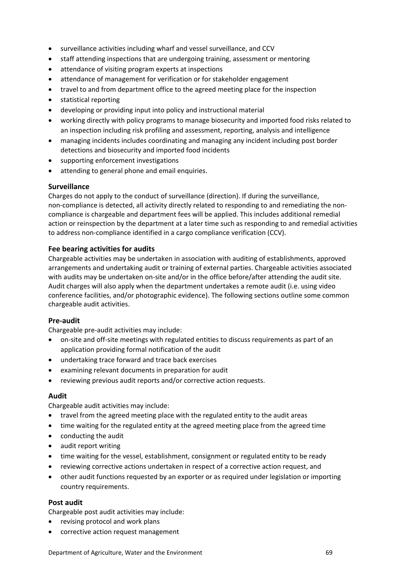- surveillance activities including wharf and vessel surveillance, and CCV
- staff attending inspections that are undergoing training, assessment or mentoring
- attendance of visiting program experts at inspections
- attendance of management for verification or for stakeholder engagement
- travel to and from department office to the agreed meeting place for the inspection
- statistical reporting
- developing or providing input into policy and instructional material
- working directly with policy programs to manage biosecurity and imported food risks related to an inspection including risk profiling and assessment, reporting, analysis and intelligence
- managing incidents includes coordinating and managing any incident including post border detections and biosecurity and imported food incidents
- supporting enforcement investigations
- attending to general phone and email enquiries.

### **Surveillance**

Charges do not apply to the conduct of surveillance (direction). If during the surveillance, non-compliance is detected, all activity directly related to responding to and remediating the noncompliance is chargeable and department fees will be applied. This includes additional remedial action or reinspection by the department at a later time such as responding to and remedial activities to address non-compliance identified in a cargo compliance verification (CCV).

### **Fee bearing activities for audits**

Chargeable activities may be undertaken in association with auditing of establishments, approved arrangements and undertaking audit or training of external parties. Chargeable activities associated with audits may be undertaken on-site and/or in the office before/after attending the audit site. Audit charges will also apply when the department undertakes a remote audit (i.e. using video conference facilities, and/or photographic evidence). The following sections outline some common chargeable audit activities.

### **Pre-audit**

Chargeable pre-audit activities may include:

- on-site and off-site meetings with regulated entities to discuss requirements as part of an application providing formal notification of the audit
- undertaking trace forward and trace back exercises
- examining relevant documents in preparation for audit
- reviewing previous audit reports and/or corrective action requests.

### **Audit**

Chargeable audit activities may include:

- travel from the agreed meeting place with the regulated entity to the audit areas
- time waiting for the regulated entity at the agreed meeting place from the agreed time
- conducting the audit
- audit report writing
- time waiting for the vessel, establishment, consignment or regulated entity to be ready
- reviewing corrective actions undertaken in respect of a corrective action request, and
- other audit functions requested by an exporter or as required under legislation or importing country requirements.

### **Post audit**

Chargeable post audit activities may include:

- revising protocol and work plans
- corrective action request management